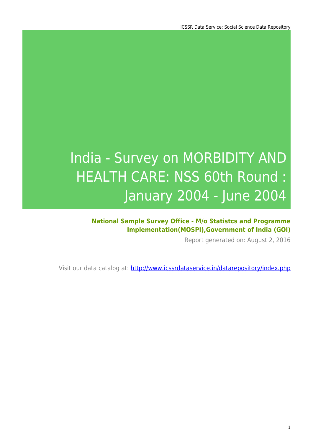# India - Survey on MORBIDITY AND HEALTH CARE: NSS 60th Round : January 2004 - June 2004

### **National Sample Survey Office - M/o Statistcs and Programme Implementation(MOSPI),Government of India (GOI)**

Report generated on: August 2, 2016

Visit our data catalog at: http://www.icssrdataservice.in/datarepository/index.php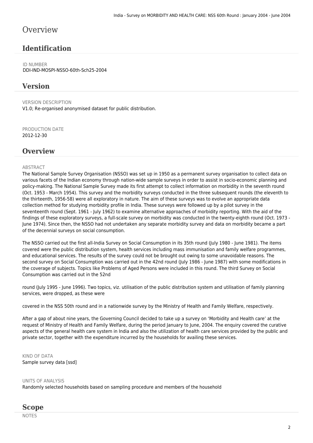### **Overview**

### **Identification**

ID NUMBER DDI-IND-MOSPI-NSSO-60th-Sch25-2004

### **Version**

VERSION DESCRIPTION V1.0; Re-organised anonymised dataset for public distribution.

PRODUCTION DATE 2012-12-30

### **Overview**

#### **ABSTRACT**

The National Sample Survey Organisation (NSSO) was set up in 1950 as a permanent survey organisation to collect data on various facets of the Indian economy through nation-wide sample surveys in order to assist in socio-economic planning and policy-making. The National Sample Survey made its first attempt to collect information on morbidity in the seventh round (Oct. 1953 - March 1954). This survey and the morbidity surveys conducted in the three subsequent rounds (the eleventh to the thirteenth, 1956-58) were all exploratory in nature. The aim of these surveys was to evolve an appropriate data collection method for studying morbidity profile in India. These surveys were followed up by a pilot survey in the seventeenth round (Sept. 1961 - July 1962) to examine alternative approaches of morbidity reporting. With the aid of the findings of these exploratory surveys, a full-scale survey on morbidity was conducted in the twenty-eighth round (Oct. 1973 - June 1974). Since then, the NSSO had not undertaken any separate morbidity survey and data on morbidity became a part of the decennial surveys on social consumption.

The NSSO carried out the first all-India Survey on Social Consumption in its 35th round (July 1980 - June 1981). The items covered were the public distribution system, health services including mass immunisation and family welfare programmes, and educational services. The results of the survey could not be brought out owing to some unavoidable reasons. The second survey on Social Consumption was carried out in the 42nd round (July 1986 - June 1987) with some modifications in the coverage of subjects. Topics like Problems of Aged Persons were included in this round. The third Survey on Social Consumption was carried out in the 52nd

round (July 1995 - June 1996). Two topics, viz. utilisation of the public distribution system and utilisation of family planning services, were dropped, as these were

covered in the NSS 50th round and in a nationwide survey by the Ministry of Health and Family Welfare, respectively.

After a gap of about nine years, the Governing Council decided to take up a survey on 'Morbidity and Health care' at the request of Ministry of Health and Family Welfare, during the period January to June, 2004. The enquiry covered the curative aspects of the general health care system in India and also the utilization of health care services provided by the public and private sector, together with the expenditure incurred by the households for availing these services.

KIND OF DATA Sample survey data [ssd]

#### UNITS OF ANALYSIS

Randomly selected households based on sampling procedure and members of the household

#### **Scope NOTES**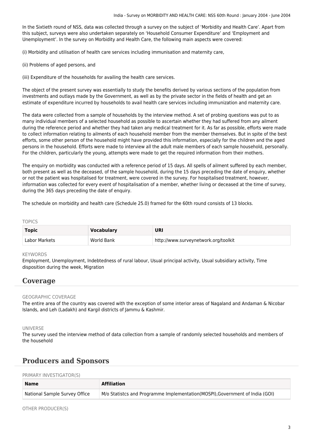In the Sixtieth round of NSS, data was collected through a survey on the subject of 'Morbidity and Health Care'. Apart from this subject, surveys were also undertaken separately on 'Household Consumer Expenditure' and 'Employment and Unemployment'. In the survey on Morbidity and Health Care, the following main aspects were covered:

(i) Morbidity and utilisation of health care services including immunisation and maternity care,

(ii) Problems of aged persons, and

(iii) Expenditure of the households for availing the health care services.

The object of the present survey was essentially to study the benefits derived by various sections of the population from investments and outlays made by the Government, as well as by the private sector in the fields of health and get an estimate of expenditure incurred by households to avail health care services including immunization and maternity care.

The data were collected from a sample of households by the interview method. A set of probing questions was put to as many individual members of a selected household as possible to ascertain whether they had suffered from any ailment during the reference period and whether they had taken any medical treatment for it. As far as possible, efforts were made to collect information relating to ailments of each household member from the member themselves. But in spite of the best efforts, some other person of the household might have provided this information, especially for the children and the aged persons in the household. Efforts were made to interview all the adult male members of each sample household, personally. For the children, particularly the young, attempts were made to get the required information from their mothers.

The enquiry on morbidity was conducted with a reference period of 15 days. All spells of ailment suffered by each member, both present as well as the deceased, of the sample household, during the 15 days preceding the date of enquiry, whether or not the patient was hospitalised for treatment, were covered in the survey. For hospitalised treatment, however, information was collected for every event of hospitalisation of a member, whether living or deceased at the time of survey, during the 365 days preceding the date of enquiry.

The schedule on morbidity and health care (Schedule 25.0) framed for the 60th round consists of 13 blocks.

#### TOPICS

| <b>Topic</b>  | <b>Vocabulary</b> | URI                                  |
|---------------|-------------------|--------------------------------------|
| Labor Markets | World Bank        | http://www.surveynetwork.org/toolkit |

#### **KEYWORDS**

Employment, Unemployment, Indebtedness of rural labour, Usual principal activity, Usual subsidiary activity, Time disposition during the week, Migration

### **Coverage**

#### GEOGRAPHIC COVERAGE

The entire area of the country was covered with the exception of some interior areas of Nagaland and Andaman & Nicobar Islands, and Leh (Ladakh) and Kargil districts of Jammu & Kashmir.

#### UNIVERSE

The survey used the interview method of data collection from a sample of randomly selected households and members of the household

### **Producers and Sponsors**

#### PRIMARY INVESTIGATOR(S)

| <b>Name</b>                   | <b>Affiliation</b>                                                           |
|-------------------------------|------------------------------------------------------------------------------|
| National Sample Survey Office | M/o Statistcs and Programme Implementation(MOSPI), Government of India (GOI) |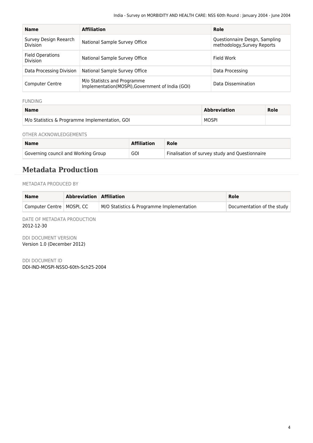| <b>Name</b>                                | <b>Affiliation</b>                                                              | Role                                                         |
|--------------------------------------------|---------------------------------------------------------------------------------|--------------------------------------------------------------|
| Survey Design Reearch<br><b>Division</b>   | National Sample Survey Office                                                   | Questionnaire Desgn, Sampling<br>methodology, Survey Reports |
| <b>Field Operations</b><br><b>Division</b> | National Sample Survey Office                                                   | Field Work                                                   |
| Data Processing Division                   | National Sample Survey Office                                                   | Data Processing                                              |
| <b>Computer Centre</b>                     | M/o Statistcs and Programme<br>Implementation(MOSPI), Government of India (GOI) | Data Dissemination                                           |

#### FUNDING

| <b>Name</b>                                    | <b>Abbreviation</b> | Role |
|------------------------------------------------|---------------------|------|
| M/o Statistics & Programme Implementation, GOI | MOSPI               |      |

#### OTHER ACKNOWLEDGEMENTS

| <b>Name</b>                         | <b>Affiliation</b> | Role                                           |
|-------------------------------------|--------------------|------------------------------------------------|
| Governing council and Working Group | GOI                | Finalisation of survey study and Questionnaire |

### **Metadata Production**

METADATA PRODUCED BY

| <b>Name</b>                 | <b>Abbreviation Affiliation</b> |                                           | Role                       |
|-----------------------------|---------------------------------|-------------------------------------------|----------------------------|
| Computer Centre   MOSPI, CC |                                 | M/O Statistics & Programme Implementation | Documentation of the study |

DATE OF METADATA PRODUCTION 2012-12-30

DDI DOCUMENT VERSION Version 1.0 (December 2012)

DDI DOCUMENT ID DDI-IND-MOSPI-NSSO-60th-Sch25-2004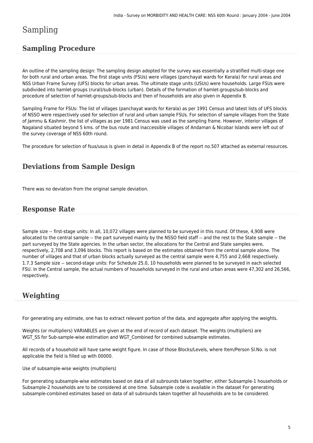## Sampling

### **Sampling Procedure**

An outline of the sampling design: The sampling design adopted for the survey was essentially a stratified multi-stage one for both rural and urban areas. The first stage units (FSUs) were villages (panchayat wards for Kerala) for rural areas and NSS Urban Frame Survey (UFS) blocks for urban areas. The ultimate stage units (USUs) were households. Large FSUs were subdivided into hamlet-groups (rural)/sub-blocks (urban). Details of the formation of hamlet-groups/sub-blocks and procedure of selection of hamlet-groups/sub-blocks and then of households are also given in Appendix B.

Sampling Frame for FSUs: The list of villages (panchayat wards for Kerala) as per 1991 Census and latest lists of UFS blocks of NSSO were respectively used for selection of rural and urban sample FSUs. For selection of sample villages from the State of Jammu & Kashmir, the list of villages as per 1981 Census was used as the sampling frame. However, interior villages of Nagaland situated beyond 5 kms. of the bus route and inaccessible villages of Andaman & Nicobar Islands were left out of the survey coverage of NSS 60th round.

The procedure for selection of fsus/usus is given in detail in Appendix B of the report no.507 attached as external resources.

### **Deviations from Sample Design**

There was no deviation from the original sample deviation.

### **Response Rate**

Sample size -- first-stage units: In all, 10,072 villages were planned to be surveyed in this round. Of these, 4,908 were allocated to the central sample -- the part surveyed mainly by the NSSO field staff -- and the rest to the State sample -- the part surveyed by the State agencies. In the urban sector, the allocations for the Central and State samples were, respectively, 2,708 and 3,096 blocks. This report is based on the estimates obtained from the central sample alone. The number of villages and that of urban blocks actually surveyed as the central sample were 4,755 and 2,668 respectively. 1.7.3 Sample size -- second-stage units: For Schedule 25.0, 10 households were planned to be surveyed in each selected FSU. In the Central sample, the actual numbers of households surveyed in the rural and urban areas were 47,302 and 26,566, respectively.

### **Weighting**

For generating any estimate, one has to extract relevant portion of the data, and aggregate after applying the weights.

Weights (or multipliers) VARIABLES are given at the end of record of each dataset. The weights (multipliers) are WGT\_SS for Sub-sample-wise estimation and WGT\_Combined for combined subsample estimates.

All records of a household will have same weight figure. In case of those Blocks/Levels, where Item/Person Sl.No. is not applicable the field is filled up with 00000.

Use of subsample-wise weights (multipliers)

For generating subsample-wise estimates based on data of all subrounds taken together, either Subsample-1 households or Subsample-2 households are to be considered at one time. Subsample code is available in the dataset For generating subsample-combined estimates based on data of all subrounds taken together all households are to be considered.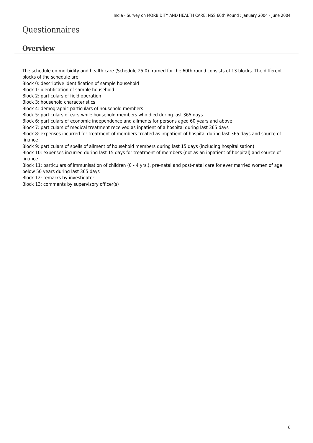## Questionnaires

### **Overview**

The schedule on morbidity and health care (Schedule 25.0) framed for the 60th round consists of 13 blocks. The different blocks of the schedule are:

Block 0: descriptive identification of sample household

Block 1: identification of sample household

Block 2: particulars of field operation

Block 3: household characteristics

Block 4: demographic particulars of household members

Block 5: particulars of earstwhile household members who died during last 365 days

Block 6: particulars of economic independence and ailments for persons aged 60 years and above

Block 7: particulars of medical treatment received as inpatient of a hospital during last 365 days

Block 8: expenses incurred for treatment of members treated as impatient of hospital during last 365 days and source of finance

Block 9: particulars of spells of ailment of household members during last 15 days (including hospitalisation)

Block 10: expenses incurred during last 15 days for treatment of members (not as an inpatient of hospital) and source of finance

Block 11: particulars of immunisation of children (0 - 4 yrs.), pre-natal and post-natal care for ever married women of age below 50 years during last 365 days

Block 12: remarks by investigator

Block 13: comments by supervisory officer(s)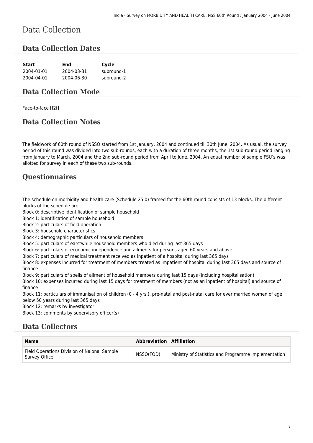## Data Collection

### **Data Collection Dates**

| Start      | End        | Cycle      |
|------------|------------|------------|
| 2004-01-01 | 2004-03-31 | subround-1 |
| 2004-04-01 | 2004-06-30 | subround-2 |

### **Data Collection Mode**

Face-to-face [f2f]

### **Data Collection Notes**

The fieldwork of 60th round of NSSO started from 1st January, 2004 and continued till 30th June, 2004. As usual, the survey period of this round was divided into two sub-rounds, each with a duration of three months, the 1st sub-round period ranging from January to March, 2004 and the 2nd sub-round period from April to June, 2004. An equal number of sample FSU's was allotted for survey in each of these two sub-rounds.

### **Questionnaires**

The schedule on morbidity and health care (Schedule 25.0) framed for the 60th round consists of 13 blocks. The different blocks of the schedule are:

Block 0: descriptive identification of sample household

Block 1: identification of sample household

Block 2: particulars of field operation

Block 3: household characteristics

Block 4: demographic particulars of household members

Block 5: particulars of earstwhile household members who died during last 365 days

Block 6: particulars of economic independence and ailments for persons aged 60 years and above

Block 7: particulars of medical treatment received as inpatient of a hospital during last 365 days

Block 8: expenses incurred for treatment of members treated as impatient of hospital during last 365 days and source of finance

Block 9: particulars of spells of ailment of household members during last 15 days (including hospitalisation)

Block 10: expenses incurred during last 15 days for treatment of members (not as an inpatient of hospital) and source of finance

Block 11: particulars of immunisation of children (0 - 4 yrs.), pre-natal and post-natal care for ever married women of age below 50 years during last 365 days

Block 12: remarks by investigator

Block 13: comments by supervisory officer(s)

### **Data Collectors**

| <b>Name</b>                                                         | Abbreviation Affiliation |                                                     |
|---------------------------------------------------------------------|--------------------------|-----------------------------------------------------|
| Field Operations Division of Naional Sample<br>Survey Office Survey | NSSO(FOD)                | Ministry of Statistics and Programme Implementation |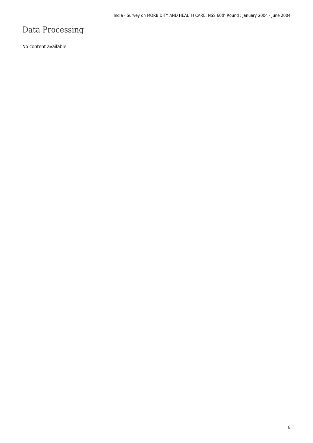## Data Processing

No content available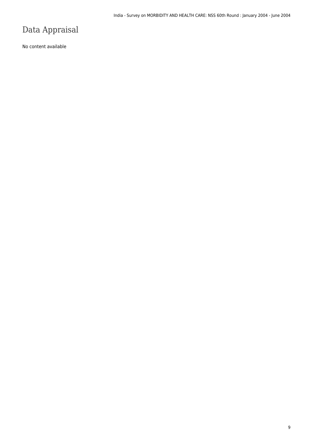## Data Appraisal

No content available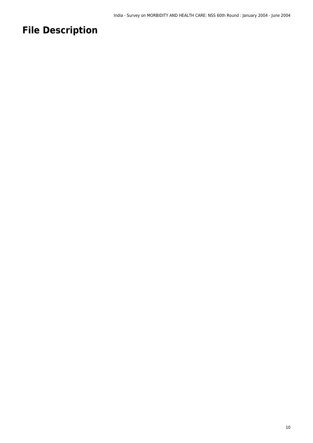## **File Description**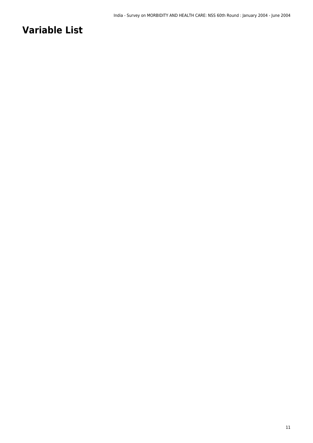## **Variable List**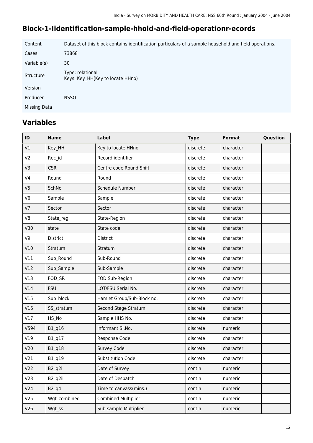### **Block-1-Iidentification-sample-hhold-and-field-operationr-ecords**

Content Dataset of this block contains identification particulars of a sample household and field operations. Cases 73868 Variable(s) 30 Structure Type: relational Keys: Key\_HH(Key to locate HHno) Version Producer NSSO Missing Data

| ID              | <b>Name</b>         | <b>Label</b>               | <b>Type</b> | <b>Format</b> | Question |
|-----------------|---------------------|----------------------------|-------------|---------------|----------|
| V1              | Key_HH              | Key to locate HHno         | discrete    | character     |          |
| V <sub>2</sub>  | Rec_id              | Record identifier          | discrete    | character     |          |
| V3              | <b>CSR</b>          | Centre code, Round, Shift  | discrete    | character     |          |
| V <sub>4</sub>  | Round               | Round                      | discrete    | character     |          |
| V <sub>5</sub>  | SchNo               | Schedule Number            | discrete    | character     |          |
| V <sub>6</sub>  | Sample              | Sample                     | discrete    | character     |          |
| V7              | Sector              | Sector                     | discrete    | character     |          |
| V8              | State_reg           | State-Region               | discrete    | character     |          |
| V30             | state               | State code                 | discrete    | character     |          |
| V9              | District            | District                   | discrete    | character     |          |
| V10             | Stratum             | Stratum                    | discrete    | character     |          |
| V11             | Sub_Round           | Sub-Round                  | discrete    | character     |          |
| V12             | Sub_Sample          | Sub-Sample                 | discrete    | character     |          |
| V13             | FOD SR              | FOD Sub-Region             | discrete    | character     |          |
| V14             | <b>FSU</b>          | LOT/FSU Serial No.         | discrete    | character     |          |
| V15             | Sub_block           | Hamlet Group/Sub-Block no. | discrete    | character     |          |
| V16             | SS_stratum          | Second Stage Stratum       | discrete    | character     |          |
| V17             | HS_No               | Sample HHS No.             | discrete    | character     |          |
| V594            | $B1_q16$            | Informant SI.No.           | discrete    | numeric       |          |
| V19             | B1q17               | Response Code              | discrete    | character     |          |
| V20             | B1q18               | Survey Code                | discrete    | character     |          |
| V21             | $B1_q19$            | Substitution Code          | discrete    | character     |          |
| V <sub>22</sub> | $B2_q2i$            | Date of Survey             | contin      | numeric       |          |
| V <sub>23</sub> | B <sub>2_q2ii</sub> | Date of Despatch           | contin      | numeric       |          |
| V <sub>24</sub> | $B2_q4$             | Time to canvass(mins.)     | contin      | numeric       |          |
| V25             | Wgt combined        | <b>Combined Multiplier</b> | contin      | numeric       |          |
| V26             | Wgt_ss              | Sub-sample Multiplier      | contin      | numeric       |          |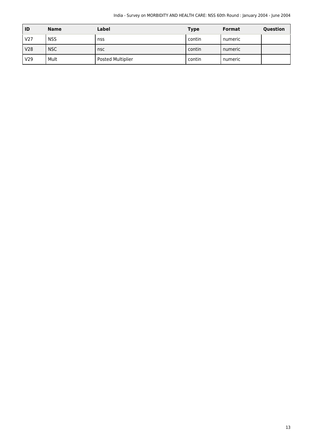India - Survey on MORBIDITY AND HEALTH CARE: NSS 60th Round : January 2004 - June 2004

| ID              | <b>Name</b> | Label             | <b>Type</b> | <b>Format</b> | Question |
|-----------------|-------------|-------------------|-------------|---------------|----------|
| V <sub>27</sub> | <b>NSS</b>  | nss               | contin      | numeric       |          |
| V <sub>28</sub> | <b>NSC</b>  | nsc               | contin      | numeric       |          |
| V <sub>29</sub> | Mult        | Posted Multiplier | contin      | numeric       |          |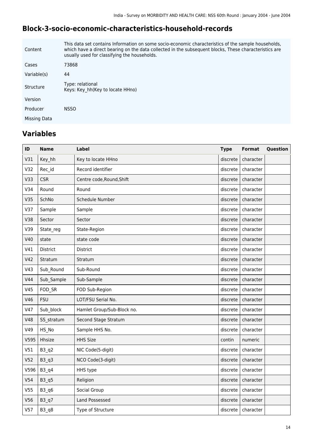### **Block-3-socio-economic-characteristics-household-records**

| Content      | This data set contains Information on some socio-economic characteristics of the sample households,<br>which have a direct bearing on the data collected in the subsequent blocks, These characteristics are<br>usually used for classifying the households. |
|--------------|--------------------------------------------------------------------------------------------------------------------------------------------------------------------------------------------------------------------------------------------------------------|
| Cases        | 73868                                                                                                                                                                                                                                                        |
| Variable(s)  | 44                                                                                                                                                                                                                                                           |
| Structure    | Type: relational<br>Keys: Key hh(Key to locate HHno)                                                                                                                                                                                                         |
| Version      |                                                                                                                                                                                                                                                              |
| Producer     | <b>NSSO</b>                                                                                                                                                                                                                                                  |
| Missing Data |                                                                                                                                                                                                                                                              |

| ID              | <b>Name</b> | Label                      | <b>Type</b> | <b>Format</b> | Question |
|-----------------|-------------|----------------------------|-------------|---------------|----------|
| V31             | Key_hh      | Key to locate HHno         | discrete    | character     |          |
| V32             | Rec_id      | Record identifier          | discrete    | character     |          |
| V33             | <b>CSR</b>  | Centre code, Round, Shift  | discrete    | character     |          |
| V34             | Round       | Round                      | discrete    | character     |          |
| V35             | SchNo       | Schedule Number            | discrete    | character     |          |
| V37             | Sample      | Sample                     | discrete    | character     |          |
| V38             | Sector      | Sector                     | discrete    | character     |          |
| V39             | State reg   | State-Region               | discrete    | character     |          |
| V40             | state       | state code                 | discrete    | character     |          |
| V41             | District    | District                   | discrete    | character     |          |
| V42             | Stratum     | Stratum                    | discrete    | character     |          |
| V43             | Sub_Round   | Sub-Round                  | discrete    | character     |          |
| V44             | Sub Sample  | Sub-Sample                 | discrete    | character     |          |
| V <sub>45</sub> | FOD_SR      | FOD Sub-Region             | discrete    | character     |          |
| V46             | <b>FSU</b>  | LOT/FSU Serial No.         | discrete    | character     |          |
| V47             | Sub_block   | Hamlet Group/Sub-Block no. | discrete    | character     |          |
| <b>V48</b>      | SS_stratum  | Second Stage Stratum       | discrete    | character     |          |
| V49             | HS No       | Sample HHS No.             | discrete    | character     |          |
| V595            | Hhsize      | <b>HHS Size</b>            | contin      | numeric       |          |
| V51             | $B3_q2$     | NIC Code(5-digit)          | discrete    | character     |          |
| V <sub>52</sub> | $B3_q3$     | NCO Code(3-digit)          | discrete    | character     |          |
| V596            | $B3_q4$     | HHS type                   | discrete    | character     |          |
| V54             | $B3_q5$     | Religion                   | discrete    | character     |          |
| V <sub>55</sub> | B3_q6       | Social Group               | discrete    | character     |          |
| V56             | $B3_q7$     | Land Possessed             | discrete    | character     |          |
| V57             | B3 q8       | Type of Structure          | discrete    | character     |          |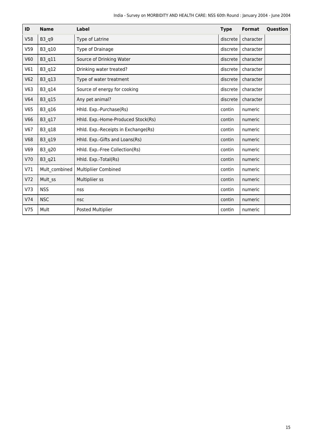| ID              | <b>Name</b>   | Label                               | <b>Type</b> | Format    | Question |
|-----------------|---------------|-------------------------------------|-------------|-----------|----------|
| V58             | B3 q9         | Type of Latrine                     | discrete    | character |          |
| V59             | B3_q10        | Type of Drainage                    | discrete    | character |          |
| V60             | B3_q11        | Source of Drinking Water            | discrete    | character |          |
| V61             | B3_q12        | Drinking water treated?             | discrete    | character |          |
| V62             | B3 q13        | Type of water treatment             | discrete    | character |          |
| V63             | B3 q14        | Source of energy for cooking        | discrete    | character |          |
| V64             | B3_q15        | Any pet animal?                     | discrete    | character |          |
| V65             | B3_q16        | Hhld. Exp.-Purchase(Rs)             | contin      | numeric   |          |
| V66             | B3 q17        | Hhld. Exp.-Home-Produced Stock(Rs)  | contin      | numeric   |          |
| V67             | B3_q18        | Hhld. Exp.-Receipts in Exchange(Rs) | contin      | numeric   |          |
| <b>V68</b>      | B3_q19        | Hhld. Exp.-Gifts and Loans(Rs)      | contin      | numeric   |          |
| V69             | B3 q20        | Hhld. Exp.-Free Collection(Rs)      | contin      | numeric   |          |
| V70             | B3_q21        | Hhld. Exp.-Total(Rs)                | contin      | numeric   |          |
| V71             | Mult combined | <b>Multipliier Combined</b>         | contin      | numeric   |          |
| V <sub>72</sub> | Mult ss       | Multipliier ss                      | contin      | numeric   |          |
| V <sub>73</sub> | <b>NSS</b>    | nss                                 | contin      | numeric   |          |
| V74             | <b>NSC</b>    | nsc                                 | contin      | numeric   |          |
| V75             | Mult          | Posted Multiplier                   | contin      | numeric   |          |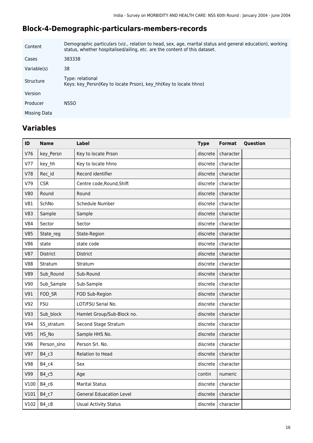## **Block-4-Demographic-particulars-members-records**

| Content      | Demographic particulars (viz., relation to head, sex, age, marital status and general education), working<br>status, whether hospitalised/ailing, etc. are the content of this dataset. |
|--------------|-----------------------------------------------------------------------------------------------------------------------------------------------------------------------------------------|
| Cases        | 383338                                                                                                                                                                                  |
| Variable(s)  | 38                                                                                                                                                                                      |
| Structure    | Type: relational<br>Keys: key Persn(Key to locate Prson), key hh(Key to locate hhno)                                                                                                    |
| Version      |                                                                                                                                                                                         |
| Producer     | <b>NSSO</b>                                                                                                                                                                             |
| Missing Data |                                                                                                                                                                                         |

| ID         | <b>Name</b> | <b>Label</b>                    | <b>Type</b> | <b>Format</b>        | Question |
|------------|-------------|---------------------------------|-------------|----------------------|----------|
| V76        | key Persn   | Key to locate Prson             | discrete    | character            |          |
| <b>V77</b> | key_hh      | Key to locate hhno              | discrete    | character            |          |
| V78        | Rec id      | Record identifier               | discrete    | character            |          |
| V79        | <b>CSR</b>  | Centre code, Round, Shift       | discrete    | character            |          |
| <b>V80</b> | Round       | Round                           | discrete    | character            |          |
| V81        | SchNo       | Schedule Number                 | discrete    | character            |          |
| V83        | Sample      | Sample                          | discrete    | character            |          |
| <b>V84</b> | Sector      | Sector                          | discrete    | character            |          |
| <b>V85</b> | State_reg   | State-Region                    | discrete    | character            |          |
| V86        | state       | state code                      | discrete    | character            |          |
| <b>V87</b> | District    | District                        | discrete    | character            |          |
| <b>V88</b> | Stratum     | Stratum                         | discrete    | character            |          |
| V89        | Sub_Round   | Sub-Round                       | discrete    | character            |          |
| V90        | Sub Sample  | Sub-Sample                      | discrete    | character            |          |
| V91        | FOD SR      | FOD Sub-Region                  | discrete    | character            |          |
| V92        | <b>FSU</b>  | LOT/FSU Serial No.              | discrete    | character            |          |
| V93        | Sub block   | Hamlet Group/Sub-Block no.      | discrete    | character            |          |
| V94        | SS_stratum  | Second Stage Stratum            | discrete    | character            |          |
| V95        | HS No       | Sample HHS No.                  | discrete    | character            |          |
| V96        | Person_slno | Person Srl. No.                 | discrete    | character            |          |
| V97        | B4 c3       | Relation to Head                | discrete    | character            |          |
| V98        | $B4_C4$     | Sex                             | discrete    | character            |          |
| V99        | B4_c5       | Age                             | contin      | numeric              |          |
| V100       | B4 c6       | <b>Marital Status</b>           | discrete    | character            |          |
| V101       | B4 c7       | <b>General Eduacation Level</b> | discrete    | character            |          |
| V102       | B4 c8       | <b>Usual Activity Status</b>    |             | discrete   character |          |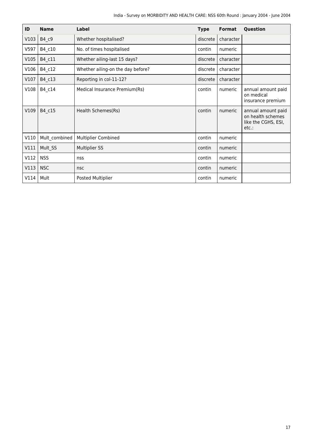| ID   | <b>Name</b>   | Label                             | <b>Type</b> | <b>Format</b> | Question                                                                |
|------|---------------|-----------------------------------|-------------|---------------|-------------------------------------------------------------------------|
| V103 | B4 c9         | Whether hospitalised?             | discrete    | character     |                                                                         |
| V597 | B4 c10        | No. of times hospitalised         | contin      | numeric       |                                                                         |
| V105 | B4 c11        | Whether ailing-last 15 days?      | discrete    | character     |                                                                         |
| V106 | B4 c12        | Whether ailing-on the day before? | discrete    | character     |                                                                         |
| V107 | B4_c13        | Reporting in col-11-12?           | discrete    | character     |                                                                         |
| V108 | B4_c14        | Medical Insurance Premium(Rs)     | contin      | numeric       | annual amount paid<br>on medical<br>insurance premium                   |
| V109 | B4 c15        | Health Schemes(Rs)                | contin      | numeric       | annual amount paid<br>on health schemes<br>like the CGHS, ESI,<br>etc.: |
| V110 | Mult_combined | <b>Multiplier Combined</b>        | contin      | numeric       |                                                                         |
| V111 | Mult_SS       | <b>Multiplier SS</b>              | contin      | numeric       |                                                                         |
| V112 | <b>NSS</b>    | nss                               | contin      | numeric       |                                                                         |
| V113 | <b>NSC</b>    | nsc                               | contin      | numeric       |                                                                         |
| V114 | Mult          | Posted Multiplier                 | contin      | numeric       |                                                                         |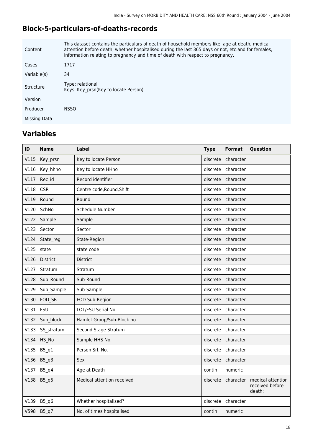## **Block-5-particulars-of-deaths-records**

| Content      | This dataset contains the particulars of death of household members like, age at death, medical<br>attention before death, whether hospitalised during the last 365 days or not, etc.and for females,<br>information relating to pregnancy and time of death with respect to pregnancy. |
|--------------|-----------------------------------------------------------------------------------------------------------------------------------------------------------------------------------------------------------------------------------------------------------------------------------------|
| Cases        | 1717                                                                                                                                                                                                                                                                                    |
| Variable(s)  | 34                                                                                                                                                                                                                                                                                      |
| Structure    | Type: relational<br>Keys: Key prsn(Key to locate Person)                                                                                                                                                                                                                                |
| Version      |                                                                                                                                                                                                                                                                                         |
| Producer     | <b>NSSO</b>                                                                                                                                                                                                                                                                             |
| Missing Data |                                                                                                                                                                                                                                                                                         |

| ID   | <b>Name</b> | Label                      | <b>Type</b> | <b>Format</b> | Question                                       |
|------|-------------|----------------------------|-------------|---------------|------------------------------------------------|
| V115 | Key_prsn    | Key to locate Person       | discrete    | character     |                                                |
| V116 | Key hhno    | Key to locate HHno         | discrete    | character     |                                                |
| V117 | Rec id      | Record identifier          | discrete    | character     |                                                |
| V118 | <b>CSR</b>  | Centre code, Round, Shift  | discrete    | character     |                                                |
| V119 | Round       | Round                      | discrete    | character     |                                                |
| V120 | SchNo       | Schedule Number            | discrete    | character     |                                                |
| V122 | Sample      | Sample                     | discrete    | character     |                                                |
| V123 | Sector      | Sector                     | discrete    | character     |                                                |
| V124 | State_reg   | State-Region               | discrete    | character     |                                                |
| V125 | state       | state code                 | discrete    | character     |                                                |
| V126 | District    | District                   | discrete    | character     |                                                |
| V127 | Stratum     | Stratum                    | discrete    | character     |                                                |
| V128 | Sub_Round   | Sub-Round                  | discrete    | character     |                                                |
| V129 | Sub Sample  | Sub-Sample                 | discrete    | character     |                                                |
| V130 | FOD SR      | FOD Sub-Region             | discrete    | character     |                                                |
| V131 | <b>FSU</b>  | LOT/FSU Serial No.         | discrete    | character     |                                                |
| V132 | Sub_block   | Hamlet Group/Sub-Block no. | discrete    | character     |                                                |
| V133 | SS_stratum  | Second Stage Stratum       | discrete    | character     |                                                |
| V134 | HS_No       | Sample HHS No.             | discrete    | character     |                                                |
| V135 | $B5_q1$     | Person Srl. No.            | discrete    | character     |                                                |
| V136 | $B5_q3$     | Sex                        | discrete    | character     |                                                |
| V137 | $B5_q4$     | Age at Death               | contin      | numeric       |                                                |
| V138 | $B5_q5$     | Medical attention received | discrete    | character     | medical attention<br>received before<br>death: |
| V139 | $B5_q6$     | Whether hospitalised?      | discrete    | character     |                                                |
| V598 | B5 q7       | No. of times hospitalised  | contin      | numeric       |                                                |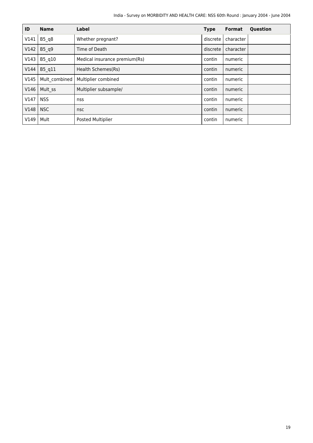| ID   | <b>Name</b>   | Label                         | <b>Type</b> | <b>Format</b> | Question |
|------|---------------|-------------------------------|-------------|---------------|----------|
| V141 | B5 q8         | Whether pregnant?             | discrete    | character     |          |
| V142 | B5 q9         | Time of Death                 | discrete    | character     |          |
| V143 | B5 q10        | Medical insurance premium(Rs) | contin      | numeric       |          |
| V144 | B5 q11        | Health Schemes(Rs)            | contin      | numeric       |          |
| V145 | Mult combined | Multiplier combined           | contin      | numeric       |          |
| V146 | Mult ss       | Multiplier subsample/         | contin      | numeric       |          |
| V147 | <b>NSS</b>    | nss                           | contin      | numeric       |          |
| V148 | <b>NSC</b>    | nsc                           | contin      | numeric       |          |
| V149 | Mult          | <b>Posted Multiplier</b>      | contin      | numeric       |          |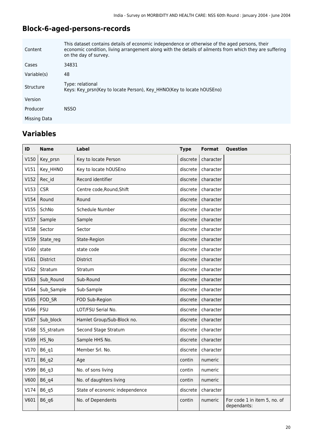## **Block-6-aged-persons-records**

| Content      | This dataset contains details of economic independence or otherwise of the aged persons, their<br>economic condition, living arrangement along with the details of ailments from which they are suffering<br>on the day of survey. |
|--------------|------------------------------------------------------------------------------------------------------------------------------------------------------------------------------------------------------------------------------------|
| Cases        | 34831                                                                                                                                                                                                                              |
| Variable(s)  | 48                                                                                                                                                                                                                                 |
| Structure    | Type: relational<br>Keys: Key prsn(Key to locate Person), Key HHNO(Key to locate hOUSEno)                                                                                                                                          |
| Version      |                                                                                                                                                                                                                                    |
| Producer     | <b>NSSO</b>                                                                                                                                                                                                                        |
| Missing Data |                                                                                                                                                                                                                                    |

| ID   | <b>Name</b>     | Label                          | <b>Type</b> | <b>Format</b> | Question                                    |
|------|-----------------|--------------------------------|-------------|---------------|---------------------------------------------|
| V150 | Key_prsn        | Key to locate Person           | discrete    | character     |                                             |
| V151 | Key HHNO        | Key to locate hOUSEno          | discrete    | character     |                                             |
| V152 | Rec_id          | Record identifier              | discrete    | character     |                                             |
| V153 | <b>CSR</b>      | Centre code, Round, Shift      | discrete    | character     |                                             |
| V154 | Round           | Round                          | discrete    | character     |                                             |
| V155 | SchNo           | Schedule Number                | discrete    | character     |                                             |
| V157 | Sample          | Sample                         | discrete    | character     |                                             |
| V158 | Sector          | Sector                         | discrete    | character     |                                             |
| V159 | State reg       | State-Region                   | discrete    | character     |                                             |
| V160 | state           | state code                     | discrete    | character     |                                             |
| V161 | <b>District</b> | <b>District</b>                | discrete    | character     |                                             |
| V162 | Stratum         | Stratum                        | discrete    | character     |                                             |
| V163 | Sub Round       | Sub-Round                      | discrete    | character     |                                             |
| V164 | Sub_Sample      | Sub-Sample                     | discrete    | character     |                                             |
| V165 | FOD SR          | FOD Sub-Region                 | discrete    | character     |                                             |
| V166 | <b>FSU</b>      | LOT/FSU Serial No.             | discrete    | character     |                                             |
| V167 | Sub_block       | Hamlet Group/Sub-Block no.     | discrete    | character     |                                             |
| V168 | SS_stratum      | Second Stage Stratum           | discrete    | character     |                                             |
| V169 | HS_No           | Sample HHS No.                 | discrete    | character     |                                             |
| V170 | $B6_q1$         | Member Srl. No.                | discrete    | character     |                                             |
| V171 | $B6_q2$         | Age                            | contin      | numeric       |                                             |
| V599 | B6 q3           | No. of sons living             | contin      | numeric       |                                             |
| V600 | $B6_q4$         | No. of daughters living        | contin      | numeric       |                                             |
| V174 | $B6_q5$         | State of economic independence | discrete    | character     |                                             |
| V601 | B6_q6           | No. of Dependents              | contin      | numeric       | For code 1 in item 5, no. of<br>dependants: |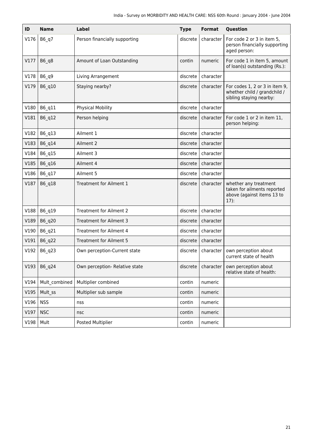| ID   | <b>Name</b>   | <b>Label</b>                   | <b>Type</b> | <b>Format</b> | <b>Question</b>                                                                               |
|------|---------------|--------------------------------|-------------|---------------|-----------------------------------------------------------------------------------------------|
| V176 | B6_q7         | Person financially supporting  | discrete    | character     | For code 2 or 3 in item 5,<br>person financially supporting<br>aged person:                   |
| V177 | B6_q8         | Amount of Loan Outstanding     | contin      | numeric       | For code 1 in item 5, amount<br>of loan(s) outstanding (Rs.):                                 |
| V178 | B6_q9         | Living Arrangement             | discrete    | character     |                                                                                               |
| V179 | B6 q10        | Staying nearby?                | discrete    | character     | For codes 1, 2 or 3 in item 9,<br>whether child / grandchild /<br>sibling staying nearby:     |
| V180 | B6_q11        | <b>Physical Mobility</b>       | discrete    | character     |                                                                                               |
| V181 | B6 q12        | Person helping                 | discrete    | character     | For code 1 or 2 in item 11,<br>person helping:                                                |
| V182 | B6 q13        | Ailment 1                      | discrete    | character     |                                                                                               |
| V183 | B6_q14        | Ailment 2                      | discrete    | character     |                                                                                               |
| V184 | B6_q15        | Ailment 3                      | discrete    | character     |                                                                                               |
| V185 | B6_q16        | Ailment 4                      | discrete    | character     |                                                                                               |
| V186 | B6_q17        | Ailment 5                      | discrete    | character     |                                                                                               |
| V187 | B6_q18        | Treatment for Ailment 1        | discrete    | character     | whether any treatment<br>taken for ailments reported<br>above (against items 13 to<br>$17)$ : |
| V188 | B6_q19        | Treatment for Ailment 2        | discrete    | character     |                                                                                               |
| V189 | B6_q20        | Treatment for Ailment 3        | discrete    | character     |                                                                                               |
| V190 | B6_q21        | <b>Treatment for Ailment 4</b> | discrete    | character     |                                                                                               |
| V191 | B6_q22        | <b>Treatment for Ailment 5</b> | discrete    | character     |                                                                                               |
| V192 | B6_q23        | Own perception-Current state   | discrete    | character     | own perception about<br>current state of health                                               |
| V193 | B6 q24        | Own perception- Relative state | discrete    | character     | own perception about<br>relative state of health:                                             |
| V194 | Mult combined | Multiplier combined            | contin      | numeric       |                                                                                               |
| V195 | Mult ss       | Multiplier sub sample          | contin      | numeric       |                                                                                               |
| V196 | <b>NSS</b>    | nss                            | contin      | numeric       |                                                                                               |
| V197 | <b>NSC</b>    | nsc                            | contin      | numeric       |                                                                                               |
| V198 | Mult          | <b>Posted Multiplier</b>       | contin      | numeric       |                                                                                               |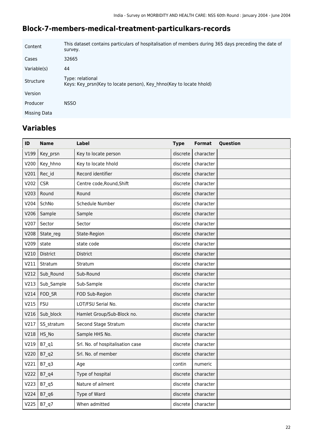## **Block-7-members-medical-treatment-particulkars-records**

| Content      | This dataset contains particulars of hospitalisation of members during 365 days preceding the date of<br>survey. |
|--------------|------------------------------------------------------------------------------------------------------------------|
| Cases        | 32665                                                                                                            |
| Variable(s)  | 44                                                                                                               |
| Structure    | Type: relational<br>Keys: Key prsn(Key to locate person), Key hhno(Key to locate hhold)                          |
| Version      |                                                                                                                  |
| Producer     | <b>NSSO</b>                                                                                                      |
| Missing Data |                                                                                                                  |

| ID   | <b>Name</b> | Label                            | <b>Type</b> | Format    | Question |
|------|-------------|----------------------------------|-------------|-----------|----------|
| V199 | Key_prsn    | Key to locate person             | discrete    | character |          |
| V200 | Key hhno    | Key to locate hhold              | discrete    | character |          |
| V201 | Rec_id      | Record identifier                | discrete    | character |          |
| V202 | <b>CSR</b>  | Centre code, Round, Shift        | discrete    | character |          |
| V203 | Round       | Round                            | discrete    | character |          |
| V204 | SchNo       | Schedule Number                  | discrete    | character |          |
| V206 | Sample      | Sample                           | discrete    | character |          |
| V207 | Sector      | Sector                           | discrete    | character |          |
| V208 | State reg   | State-Region                     | discrete    | character |          |
| V209 | state       | state code                       | discrete    | character |          |
| V210 | District    | District                         | discrete    | character |          |
| V211 | Stratum     | Stratum                          | discrete    | character |          |
| V212 | Sub_Round   | Sub-Round                        | discrete    | character |          |
| V213 | Sub Sample  | Sub-Sample                       | discrete    | character |          |
| V214 | FOD SR      | FOD Sub-Region                   | discrete    | character |          |
| V215 | <b>FSU</b>  | LOT/FSU Serial No.               | discrete    | character |          |
| V216 | Sub block   | Hamlet Group/Sub-Block no.       | discrete    | character |          |
| V217 | SS_stratum  | Second Stage Stratum             | discrete    | character |          |
| V218 | HS No       | Sample HHS No.                   | discrete    | character |          |
| V219 | $B7_q1$     | Srl. No. of hospitalisation case | discrete    | character |          |
| V220 | $B7_q2$     | Srl. No. of member               | discrete    | character |          |
| V221 | $B7_q3$     | Age                              | contin      | numeric   |          |
| V222 | $B7_q4$     | Type of hospital                 | discrete    | character |          |
| V223 | $B7_q5$     | Nature of ailment                | discrete    | character |          |
| V224 | $B7_q6$     | Type of Ward                     | discrete    | character |          |
| V225 | $B7_q7$     | When admitted                    | discrete    | character |          |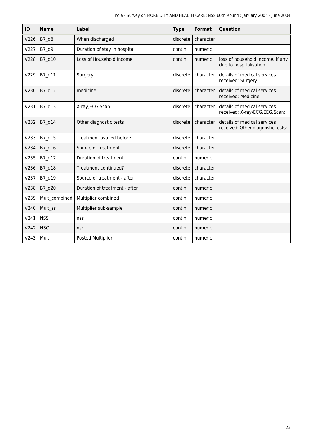| ID   | <b>Name</b>   | <b>Label</b>                  | <b>Type</b> | <b>Format</b> | Question                                                         |
|------|---------------|-------------------------------|-------------|---------------|------------------------------------------------------------------|
| V226 | $B7_q8$       | When discharged               | discrete    | character     |                                                                  |
| V227 | $B7_q9$       | Duration of stay in hospital  | contin      | numeric       |                                                                  |
| V228 | B7 q10        | Loss of Household Income      | contin      | numeric       | loss of household income, if any<br>due to hospitalisation:      |
| V229 | B7 q11        | Surgery                       | discrete    | character     | details of medical services<br>received: Surgery                 |
| V230 | B7 q12        | medicine                      | discrete    | character     | details of medical services<br>received: Medicine                |
| V231 | B7 q13        | X-ray, ECG, Scan              | discrete    | character     | details of medical services<br>received: X-ray/ECG/EEG/Scan:     |
| V232 | B7 q14        | Other diagnostic tests        | discrete    | character     | details of medical services<br>received: Other diagnostic tests: |
| V233 | B7_q15        | Treatment availed before      | discrete    | character     |                                                                  |
| V234 | B7_q16        | Source of treatment           | discrete    | character     |                                                                  |
| V235 | B7 q17        | Duration of treatment         | contin      | numeric       |                                                                  |
| V236 | B7_q18        | Treatment continued?          | discrete    | character     |                                                                  |
| V237 | B7 q19        | Source of treatment - after   | discrete    | character     |                                                                  |
| V238 | B7 q20        | Duration of treatment - after | contin      | numeric       |                                                                  |
| V239 | Mult_combined | Multiplier combined           | contin      | numeric       |                                                                  |
| V240 | Mult ss       | Multiplier sub-sample         | contin      | numeric       |                                                                  |
| V241 | <b>NSS</b>    | nss                           | contin      | numeric       |                                                                  |
| V242 | <b>NSC</b>    | nsc                           | contin      | numeric       |                                                                  |
| V243 | Mult          | Posted Multiplier             | contin      | numeric       |                                                                  |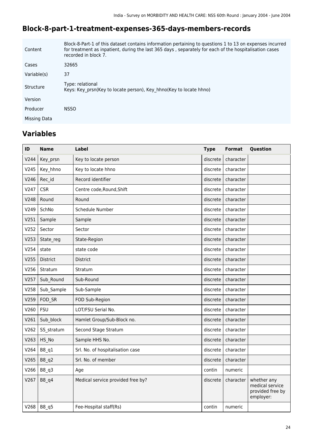### **Block-8-part-1-treatment-expenses-365-days-members-records**

| Content      | Block-8-Part-1 of this dataset contains information pertaining to questions 1 to 13 on expenses incurred<br>for treatment as inpatient, during the last 365 days, separately for each of the hospitalisation cases<br>recorded in block 7. |
|--------------|--------------------------------------------------------------------------------------------------------------------------------------------------------------------------------------------------------------------------------------------|
| Cases        | 32665                                                                                                                                                                                                                                      |
| Variable(s)  | 37                                                                                                                                                                                                                                         |
| Structure    | Type: relational<br>Keys: Key prsn(Key to locate person), Key hhno(Key to locate hhno)                                                                                                                                                     |
| Version      |                                                                                                                                                                                                                                            |
| Producer     | NSSO                                                                                                                                                                                                                                       |
| Missing Data |                                                                                                                                                                                                                                            |

| ID   | <b>Name</b>  | Label                             | <b>Type</b> | <b>Format</b> | Question                                                        |
|------|--------------|-----------------------------------|-------------|---------------|-----------------------------------------------------------------|
| V244 | Key_prsn     | Key to locate person              | discrete    | character     |                                                                 |
| V245 | Key_hhno     | Key to locate hhno                | discrete    | character     |                                                                 |
| V246 | Rec id       | Record identifier                 | discrete    | character     |                                                                 |
| V247 | <b>CSR</b>   | Centre code, Round, Shift         | discrete    | character     |                                                                 |
| V248 | Round        | Round                             | discrete    | character     |                                                                 |
| V249 | SchNo        | Schedule Number                   | discrete    | character     |                                                                 |
| V251 | Sample       | Sample                            | discrete    | character     |                                                                 |
| V252 | Sector       | Sector                            | discrete    | character     |                                                                 |
| V253 | State reg    | State-Region                      | discrete    | character     |                                                                 |
| V254 | state        | state code                        | discrete    | character     |                                                                 |
| V255 | District     | District                          | discrete    | character     |                                                                 |
| V256 | Stratum      | Stratum                           | discrete    | character     |                                                                 |
| V257 | Sub_Round    | Sub-Round                         | discrete    | character     |                                                                 |
| V258 | Sub_Sample   | Sub-Sample                        | discrete    | character     |                                                                 |
| V259 | FOD_SR       | FOD Sub-Region                    | discrete    | character     |                                                                 |
| V260 | <b>FSU</b>   | LOT/FSU Serial No.                | discrete    | character     |                                                                 |
| V261 | Sub block    | Hamlet Group/Sub-Block no.        | discrete    | character     |                                                                 |
| V262 | SS_stratum   | Second Stage Stratum              | discrete    | character     |                                                                 |
| V263 | HS No        | Sample HHS No.                    | discrete    | character     |                                                                 |
| V264 | $B8_q1$      | Srl. No. of hospitalisation case  | discrete    | character     |                                                                 |
| V265 | $B8_q2$      | Srl. No. of member                | discrete    | character     |                                                                 |
| V266 | $B8_q3$      | Age                               | contin      | numeric       |                                                                 |
| V267 | B8_q4        | Medical service provided free by? | discrete    | character     | whether any<br>medical service<br>provided free by<br>employer: |
|      | $V268$ B8 q5 | Fee-Hospital staff(Rs)            | contin      | numeric       |                                                                 |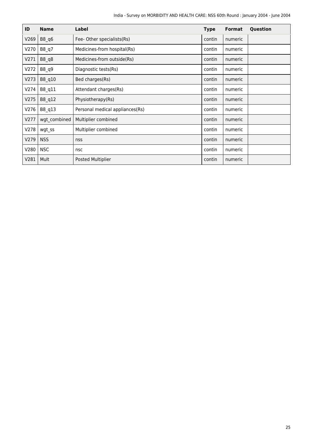| ID   | <b>Name</b>  | Label                           | <b>Type</b> | <b>Format</b> | Question |
|------|--------------|---------------------------------|-------------|---------------|----------|
| V269 | $B8_q6$      | Fee-Other specialists(Rs)       | contin      | numeric       |          |
| V270 | B8 q7        | Medicines-from hospital(Rs)     | contin      | numeric       |          |
| V271 | B8 q8        | Medicines-from outside(Rs)      | contin      | numeric       |          |
| V272 | B8_q9        | Diagnostic tests(Rs)            | contin      | numeric       |          |
| V273 | B8 q10       | Bed charges(Rs)                 | contin      | numeric       |          |
| V274 | B8 q11       | Attendant charges(Rs)           | contin      | numeric       |          |
| V275 | B8 q12       | Physiotherapy(Rs)               | contin      | numeric       |          |
| V276 | B8 q13       | Personal medical appliances(Rs) | contin      | numeric       |          |
| V277 | wgt combined | Multiplier combined             | contin      | numeric       |          |
| V278 | wgt_ss       | Multiplier combined             | contin      | numeric       |          |
| V279 | <b>NSS</b>   | nss                             | contin      | numeric       |          |
| V280 | <b>NSC</b>   | nsc                             | contin      | numeric       |          |
| V281 | Mult         | Posted Multiplier               | contin      | numeric       |          |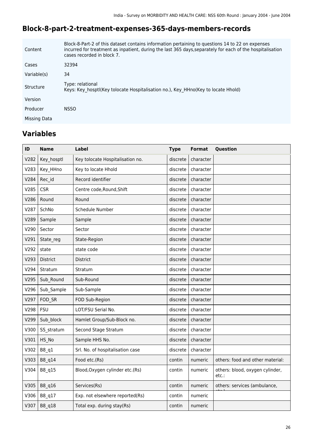## **Block-8-part-2-treatment-expenses-365-days-members-records**

| Content      | Block-8-Part-2 of this dataset contains information pertaining to questions 14 to 22 on expenses<br>incurred for treatment as inpatient, during the last 365 days, separately for each of the hospitalisation<br>cases recorded in block 7. |
|--------------|---------------------------------------------------------------------------------------------------------------------------------------------------------------------------------------------------------------------------------------------|
| Cases        | 32394                                                                                                                                                                                                                                       |
| Variable(s)  | 34                                                                                                                                                                                                                                          |
| Structure    | Type: relational<br>Keys: Key hosptl(Key tolocate Hospitalisation no.), Key HHno(Key to locate Hhold)                                                                                                                                       |
| Version      |                                                                                                                                                                                                                                             |
| Producer     | <b>NSSO</b>                                                                                                                                                                                                                                 |
| Missing Data |                                                                                                                                                                                                                                             |

| ID   | <b>Name</b> | <b>Label</b>                     | <b>Type</b> | <b>Format</b> | Question                                 |
|------|-------------|----------------------------------|-------------|---------------|------------------------------------------|
| V282 | Key hosptl  | Key tolocate Hospitalisation no. | discrete    | character     |                                          |
| V283 | Key HHno    | Key to locate Hhold              | discrete    | character     |                                          |
| V284 | Rec id      | Record identifier                | discrete    | character     |                                          |
| V285 | <b>CSR</b>  | Centre code, Round, Shift        | discrete    | character     |                                          |
| V286 | Round       | Round                            | discrete    | character     |                                          |
| V287 | SchNo       | Schedule Number                  | discrete    | character     |                                          |
| V289 | Sample      | Sample                           | discrete    | character     |                                          |
| V290 | Sector      | Sector                           | discrete    | character     |                                          |
| V291 | State reg   | State-Region                     | discrete    | character     |                                          |
| V292 | state       | state code                       | discrete    | character     |                                          |
| V293 | District    | District                         | discrete    | character     |                                          |
| V294 | Stratum     | Stratum                          | discrete    | character     |                                          |
| V295 | Sub Round   | Sub-Round                        | discrete    | character     |                                          |
| V296 | Sub Sample  | Sub-Sample                       | discrete    | character     |                                          |
| V297 | FOD SR      | FOD Sub-Region                   | discrete    | character     |                                          |
| V298 | <b>FSU</b>  | LOT/FSU Serial No.               | discrete    | character     |                                          |
| V299 | Sub block   | Hamlet Group/Sub-Block no.       | discrete    | character     |                                          |
| V300 | SS_stratum  | Second Stage Stratum             | discrete    | character     |                                          |
| V301 | HS No       | Sample HHS No.                   | discrete    | character     |                                          |
| V302 | $B8_q1$     | Srl. No. of hospitalisation case | discrete    | character     |                                          |
| V303 | B8_q14      | Food etc.(Rs)                    | contin      | numeric       | others: food and other material:         |
| V304 | B8 q15      | Blood, Oxygen cylinder etc. (Rs) | contin      | numeric       | others: blood, oxygen cylinder,<br>etc.: |
| V305 | B8_q16      | Services(Rs)                     | contin      | numeric       | others: services (ambulance,             |
| V306 | B8_q17      | Exp. not elsewhere reported(Rs)  | contin      | numeric       |                                          |
| V307 | B8_q18      | Total exp. during stay(Rs)       | contin      | numeric       |                                          |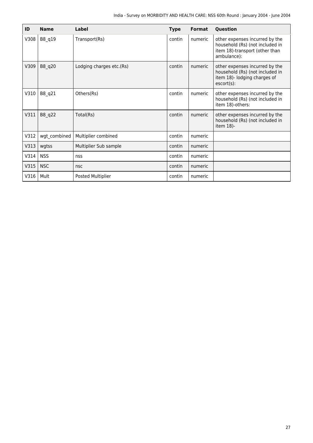| ID   | <b>Name</b>  | Label                    | <b>Type</b> | <b>Format</b> | Question                                                                                                                  |
|------|--------------|--------------------------|-------------|---------------|---------------------------------------------------------------------------------------------------------------------------|
| V308 | B8 q19       | Transport(Rs)            | contin      | numeric       | other expenses incurred by the<br>household (Rs) (not included in<br>item 18)-transport (other than<br>ambulance):        |
| V309 | B8 q20       | Lodging charges etc.(Rs) | contin      | numeric       | other expenses incurred by the<br>household (Rs) (not included in<br>item 18)- lodging charges of<br>$\text{escort}(s)$ : |
| V310 | B8 q21       | Others(Rs)               | contin      | numeric       | other expenses incurred by the<br>household (Rs) (not included in<br>item 18)-others:                                     |
| V311 | B8 q22       | Total(Rs)                | contin      | numeric       | other expenses incurred by the<br>household (Rs) (not included in<br>item 18)-                                            |
| V312 | wgt combined | Multiplier combined      | contin      | numeric       |                                                                                                                           |
| V313 | wgtss        | Multiplier Sub sample    | contin      | numeric       |                                                                                                                           |
| V314 | <b>NSS</b>   | nss                      | contin      | numeric       |                                                                                                                           |
| V315 | <b>NSC</b>   | nsc                      | contin      | numeric       |                                                                                                                           |
| V316 | Mult         | Posted Multiplier        | contin      | numeric       |                                                                                                                           |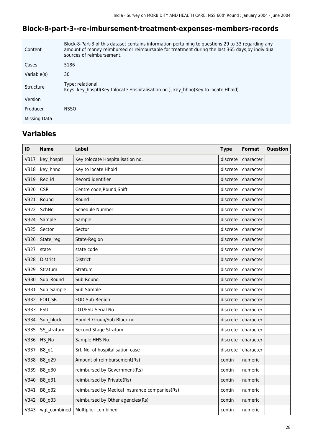### **Block-8-part-3--re-imbursement-treatment-expenses-members-records**

| Content      | Block-8-Part-3 of this dataset contains information pertaining to questions 29 to 33 regarding any<br>amount of money reimbursed or reimbursable for treatment during the last 365 days, by individual<br>sources of reimbursement. |
|--------------|-------------------------------------------------------------------------------------------------------------------------------------------------------------------------------------------------------------------------------------|
| Cases        | 5186                                                                                                                                                                                                                                |
| Variable(s)  | 30                                                                                                                                                                                                                                  |
| Structure    | Type: relational<br>Keys: key hosptl(Key tolocate Hospitalisation no.), key hhno(Key to locate Hhold)                                                                                                                               |
| Version      |                                                                                                                                                                                                                                     |
| Producer     | <b>NSSO</b>                                                                                                                                                                                                                         |
| Missing Data |                                                                                                                                                                                                                                     |

| ID   | <b>Name</b>  | Label                                         | <b>Type</b> | Format    | Question |
|------|--------------|-----------------------------------------------|-------------|-----------|----------|
| V317 | key hosptl   | Key tolocate Hospitalisation no.              | discrete    | character |          |
| V318 | key_hhno     | Key to locate Hhold                           | discrete    | character |          |
| V319 | Rec id       | Record identifier                             | discrete    | character |          |
| V320 | <b>CSR</b>   | Centre code, Round, Shift                     | discrete    | character |          |
| V321 | Round        | Round                                         | discrete    | character |          |
| V322 | SchNo        | Schedule Number                               | discrete    | character |          |
| V324 | Sample       | Sample                                        | discrete    | character |          |
| V325 | Sector       | Sector                                        | discrete    | character |          |
| V326 | State reg    | State-Region                                  | discrete    | character |          |
| V327 | state        | state code                                    | discrete    | character |          |
| V328 | District     | District                                      | discrete    | character |          |
| V329 | Stratum      | Stratum                                       | discrete    | character |          |
| V330 | Sub_Round    | Sub-Round                                     | discrete    | character |          |
| V331 | Sub_Sample   | Sub-Sample                                    | discrete    | character |          |
| V332 | FOD SR       | FOD Sub-Region                                | discrete    | character |          |
| V333 | <b>FSU</b>   | LOT/FSU Serial No.                            | discrete    | character |          |
| V334 | Sub block    | Hamlet Group/Sub-Block no.                    | discrete    | character |          |
| V335 | SS_stratum   | Second Stage Stratum                          | discrete    | character |          |
| V336 | HS No        | Sample HHS No.                                | discrete    | character |          |
| V337 | $B8_q1$      | Srl. No. of hospitalisation case              | discrete    | character |          |
| V338 | B8_q29       | Amount of reimbursement(Rs)                   | contin      | numeric   |          |
| V339 | B8_q30       | reimbursed by Government(Rs)                  | contin      | numeric   |          |
| V340 | B8 q31       | reimbursed by Private(Rs)                     | contin      | numeric   |          |
| V341 | B8_q32       | reimbursed by Medical Insurance companies(Rs) | contin      | numeric   |          |
| V342 | B8 q33       | reimbursed by Other agencies(Rs)              | contin      | numeric   |          |
| V343 | wgt combined | Multiplier combined                           | contin      | numeric   |          |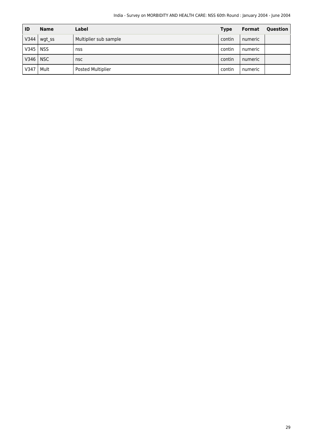| ID   | <b>Name</b> | Label                    | <b>Type</b> | <b>Format</b> | Question |
|------|-------------|--------------------------|-------------|---------------|----------|
| V344 | wgt ss      | Multiplier sub sample    | contin      | numeric       |          |
| V345 | <b>NSS</b>  | nss                      | contin      | numeric       |          |
| V346 | <b>NSC</b>  | nsc                      | contin      | numeric       |          |
| V347 | Mult        | <b>Posted Multiplier</b> | contin      | numeric       |          |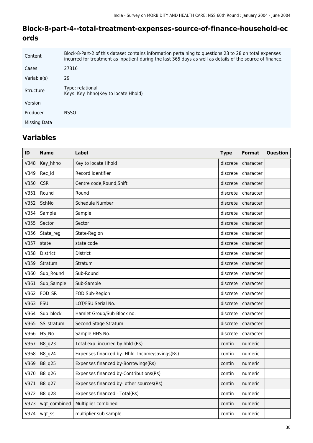### **Block-8-part-4--total-treatment-expenses-source-of-finance-household-ec ords**

| Content      | Block-8-Part-2 of this dataset contains information pertaining to questions 23 to 28 on total expenses<br>incurred for treatment as inpatient during the last 365 days as well as details of the source of finance. |
|--------------|---------------------------------------------------------------------------------------------------------------------------------------------------------------------------------------------------------------------|
| Cases        | 27316                                                                                                                                                                                                               |
| Variable(s)  | 29                                                                                                                                                                                                                  |
| Structure    | Type: relational<br>Keys: Key hhno (Key to locate Hhold)                                                                                                                                                            |
| Version      |                                                                                                                                                                                                                     |
| Producer     | <b>NSSO</b>                                                                                                                                                                                                         |
| Missing Data |                                                                                                                                                                                                                     |

| ID   | <b>Name</b>  | <b>Label</b>                                   | <b>Type</b> | Format    | Question |
|------|--------------|------------------------------------------------|-------------|-----------|----------|
| V348 | Key hhno     | Key to locate Hhold                            | discrete    | character |          |
| V349 | Rec id       | Record identifier                              | discrete    | character |          |
| V350 | <b>CSR</b>   | Centre code, Round, Shift                      | discrete    | character |          |
| V351 | Round        | Round                                          | discrete    | character |          |
| V352 | SchNo        | Schedule Number                                | discrete    | character |          |
| V354 | Sample       | Sample                                         | discrete    | character |          |
| V355 | Sector       | Sector                                         | discrete    | character |          |
| V356 | State_reg    | State-Region                                   | discrete    | character |          |
| V357 | state        | state code                                     | discrete    | character |          |
| V358 | District     | <b>District</b>                                | discrete    | character |          |
| V359 | Stratum      | Stratum                                        | discrete    | character |          |
| V360 | Sub Round    | Sub-Round                                      | discrete    | character |          |
| V361 | Sub Sample   | Sub-Sample                                     | discrete    | character |          |
| V362 | FOD_SR       | FOD Sub-Region                                 | discrete    | character |          |
| V363 | <b>FSU</b>   | LOT/FSU Serial No.                             | discrete    | character |          |
| V364 | Sub block    | Hamlet Group/Sub-Block no.                     | discrete    | character |          |
| V365 | SS stratum   | Second Stage Stratum                           | discrete    | character |          |
| V366 | HS No        | Sample HHS No.                                 | discrete    | character |          |
| V367 | B8_q23       | Total exp. incurred by hhld.(Rs)               | contin      | numeric   |          |
| V368 | B8 q24       | Expenses financed by- Hhld. Income/savings(Rs) | contin      | numeric   |          |
| V369 | B8_q25       | Expenses financed by-Borrowings(Rs)            | contin      | numeric   |          |
| V370 | B8_q26       | Expenses financed by-Contributions(Rs)         | contin      | numeric   |          |
| V371 | B8_q27       | Expenses financed by- other sources(Rs)        | contin      | numeric   |          |
| V372 | B8_q28       | Expenses financed - Total(Rs)                  | contin      | numeric   |          |
| V373 | wgt_combined | Multiplier combined                            | contin      | numeric   |          |
| V374 | wgt_ss       | multiplier sub sample                          | contin      | numeric   |          |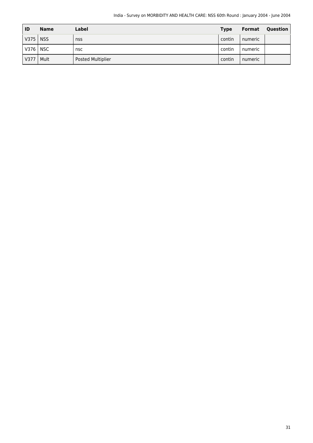| ID         | <b>Name</b> | Label             | <b>Type</b> | Format  | Question |
|------------|-------------|-------------------|-------------|---------|----------|
| V375   NSS |             | nss               | contin      | numeric |          |
| V376   NSC |             | nsc               | contin      | numeric |          |
| V377       | Mult        | Posted Multiplier | contin      | numeric |          |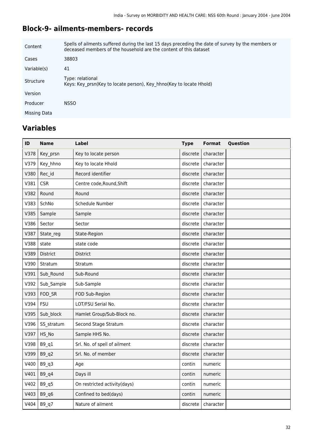### **Block-9- ailments-members- records**

| Spells of ailments suffered during the last 15 days preceding the date of survey by the members or |
|----------------------------------------------------------------------------------------------------|
|                                                                                                    |
|                                                                                                    |
|                                                                                                    |
|                                                                                                    |
|                                                                                                    |
|                                                                                                    |
|                                                                                                    |

| ID   | <b>Name</b>     | Label                        | <b>Type</b> | Format    | Question |
|------|-----------------|------------------------------|-------------|-----------|----------|
| V378 | Key_prsn        | Key to locate person         | discrete    | character |          |
| V379 | Key hhno        | Key to locate Hhold          | discrete    | character |          |
| V380 | Rec_id          | Record identifier            | discrete    | character |          |
| V381 | <b>CSR</b>      | Centre code, Round, Shift    | discrete    | character |          |
| V382 | Round           | Round                        | discrete    | character |          |
| V383 | SchNo           | Schedule Number              | discrete    | character |          |
| V385 | Sample          | Sample                       | discrete    | character |          |
| V386 | Sector          | Sector                       | discrete    | character |          |
| V387 | State_reg       | State-Region                 | discrete    | character |          |
| V388 | state           | state code                   | discrete    | character |          |
| V389 | <b>District</b> | <b>District</b>              | discrete    | character |          |
| V390 | Stratum         | Stratum                      | discrete    | character |          |
| V391 | Sub Round       | Sub-Round                    | discrete    | character |          |
| V392 | Sub Sample      | Sub-Sample                   | discrete    | character |          |
| V393 | FOD SR          | FOD Sub-Region               | discrete    | character |          |
| V394 | <b>FSU</b>      | LOT/FSU Serial No.           | discrete    | character |          |
| V395 | Sub block       | Hamlet Group/Sub-Block no.   | discrete    | character |          |
| V396 | SS stratum      | Second Stage Stratum         | discrete    | character |          |
| V397 | HS_No           | Sample HHS No.               | discrete    | character |          |
| V398 | $B9_q1$         | Srl. No. of spell of ailment | discrete    | character |          |
| V399 | $B9_q2$         | Srl. No. of member           | discrete    | character |          |
| V400 | $B9_q3$         | Age                          | contin      | numeric   |          |
| V401 | $B9_q4$         | Days ill                     | contin      | numeric   |          |
| V402 | $B9_q5$         | On restricted activity(days) | contin      | numeric   |          |
| V403 | $B9_q6$         | Confined to bed(days)        | contin      | numeric   |          |
| V404 | $B9_q7$         | Nature of ailment            | discrete    | character |          |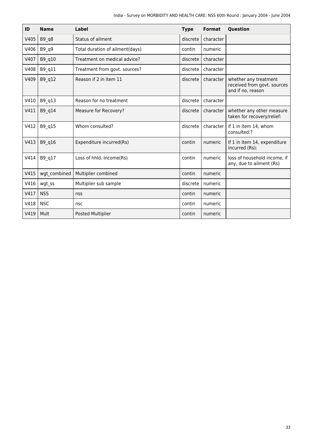| ID   | <b>Name</b>  | Label                           | <b>Type</b> | <b>Format</b> | Question                                                                  |
|------|--------------|---------------------------------|-------------|---------------|---------------------------------------------------------------------------|
| V405 | $B9_q8$      | Status of ailment               | discrete    | character     |                                                                           |
| V406 | B9 q9        | Total duration of ailment(days) | contin      | numeric       |                                                                           |
| V407 | B9_q10       | Treatment on medical advice?    | discrete    | character     |                                                                           |
| V408 | B9_q11       | Treatment from govt. sources?   | discrete    | character     |                                                                           |
| V409 | B9_q12       | Reason if 2 in item 11          | discrete    | character     | whether any treatment<br>received from govt. sources<br>and if no, reason |
| V410 | B9_q13       | Reason for no treatment         | discrete    | character     |                                                                           |
| V411 | B9 q14       | Measure for Recovery?           | discrete    | character     | whether any other measure<br>taken for recovery/relief:                   |
| V412 | B9 q15       | Whom consulted?                 | discrete    | character     | if 1 in item 14, whom<br>consulted:?                                      |
| V413 | B9 q16       | Expenditure incurred(Rs)        | contin      | numeric       | If 1 in item 14, expenditure<br>incurred (Rs):                            |
| V414 | B9 q17       | Loss of hhld. Income(Rs)        | contin      | numeric       | loss of household income, if<br>any, due to ailment (Rs)                  |
| V415 | wgt combined | Multiplier combined             | contin      | numeric       |                                                                           |
| V416 | wgt ss       | Multiplier sub sample           | discrete    | numeric       |                                                                           |
| V417 | <b>NSS</b>   | nss                             | contin      | numeric       |                                                                           |
| V418 | <b>NSC</b>   | nsc                             | contin      | numeric       |                                                                           |
| V419 | Mult         | Posted Multiplier               | contin      | numeric       |                                                                           |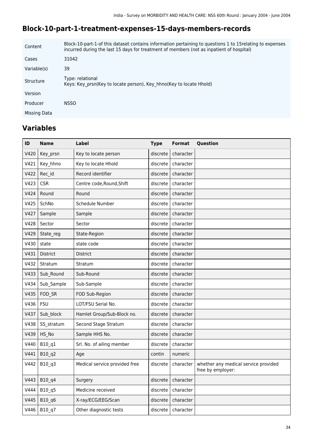### **Block-10-part-1-treatment-expenses-15-days-members-records**

| Block-10-part-1-of this dataset contains information pertaining to questions 1 to 15 relating to expenses |
|-----------------------------------------------------------------------------------------------------------|
|                                                                                                           |
|                                                                                                           |
|                                                                                                           |
|                                                                                                           |
|                                                                                                           |
|                                                                                                           |
|                                                                                                           |

| ID   | <b>Name</b> | Label                         | <b>Type</b> | Format    | Question                                                  |
|------|-------------|-------------------------------|-------------|-----------|-----------------------------------------------------------|
| V420 | Key prsn    | Key to locate person          | discrete    | character |                                                           |
| V421 | Key hhno    | Key to locate Hhold           | discrete    | character |                                                           |
| V422 | Rec id      | Record identifier             | discrete    | character |                                                           |
| V423 | <b>CSR</b>  | Centre code, Round, Shift     | discrete    | character |                                                           |
| V424 | Round       | Round                         | discrete    | character |                                                           |
| V425 | SchNo       | Schedule Number               | discrete    | character |                                                           |
| V427 | Sample      | Sample                        | discrete    | character |                                                           |
| V428 | Sector      | Sector                        | discrete    | character |                                                           |
| V429 | State_reg   | State-Region                  | discrete    | character |                                                           |
| V430 | state       | state code                    | discrete    | character |                                                           |
| V431 | District    | <b>District</b>               | discrete    | character |                                                           |
| V432 | Stratum     | Stratum                       | discrete    | character |                                                           |
| V433 | Sub Round   | Sub-Round                     | discrete    | character |                                                           |
| V434 | Sub Sample  | Sub-Sample                    | discrete    | character |                                                           |
| V435 | FOD SR      | FOD Sub-Region                | discrete    | character |                                                           |
| V436 | <b>FSU</b>  | LOT/FSU Serial No.            | discrete    | character |                                                           |
| V437 | Sub_block   | Hamlet Group/Sub-Block no.    | discrete    | character |                                                           |
| V438 | SS_stratum  | Second Stage Stratum          | discrete    | character |                                                           |
| V439 | HS No       | Sample HHS No.                | discrete    | character |                                                           |
| V440 | B10_q1      | Srl. No. of ailing member     | discrete    | character |                                                           |
| V441 | B10_q2      | Age                           | contin      | numeric   |                                                           |
| V442 | B10 q3      | Medical service provided free | discrete    | character | whether any medical service provided<br>free by employer: |
| V443 | B10_q4      | Surgery                       | discrete    | character |                                                           |
| V444 | B10_q5      | Medicine received             | discrete    | character |                                                           |
| V445 | B10_q6      | X-ray/ECG/EEG/Scan            | discrete    | character |                                                           |
| V446 | B10 q7      | Other diagnostic tests        | discrete    | character |                                                           |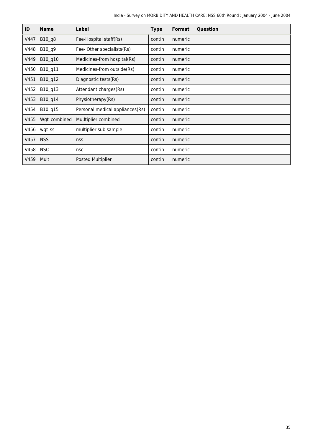| ID   | <b>Name</b>  | Label                           | <b>Type</b> | Format  | Question |
|------|--------------|---------------------------------|-------------|---------|----------|
| V447 | B10 q8       | Fee-Hospital staff(Rs)          | contin      | numeric |          |
| V448 | B10 q9       | Fee-Other specialists(Rs)       | contin      | numeric |          |
| V449 | B10 q10      | Medicines-from hospital(Rs)     | contin      | numeric |          |
| V450 | B10 q11      | Medicines-from outside(Rs)      | contin      | numeric |          |
| V451 | B10 q12      | Diagnostic tests(Rs)            | contin      | numeric |          |
| V452 | B10 q13      | Attendant charges(Rs)           | contin      | numeric |          |
| V453 | B10 q14      | Physiotherapy(Rs)               | contin      | numeric |          |
| V454 | B10 q15      | Personal medical appliances(Rs) | contin      | numeric |          |
| V455 | Wgt combined | Mu; Itiplier combined           | contin      | numeric |          |
| V456 | wgt_ss       | multiplier sub sample           | contin      | numeric |          |
| V457 | <b>NSS</b>   | nss                             | contin      | numeric |          |
| V458 | <b>NSC</b>   | nsc                             | contin      | numeric |          |
| V459 | Mult         | Posted Multiplier               | contin      | numeric |          |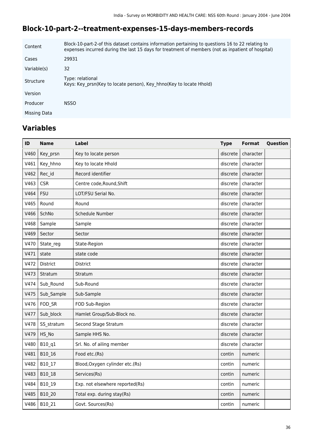### **Block-10-part-2--treatment-expenses-15-days-members-records**

| Content      | Block-10-part-2-of this dataset contains information pertaining to questions 16 to 22 relating to<br>expenses incurred during the last 15 days for treatment of members (not as inpatient of hospital) |
|--------------|--------------------------------------------------------------------------------------------------------------------------------------------------------------------------------------------------------|
| Cases        | 29931                                                                                                                                                                                                  |
| Variable(s)  | 32                                                                                                                                                                                                     |
| Structure    | Type: relational<br>Keys: Key prsn(Key to locate person), Key hhno(Key to locate Hhold)                                                                                                                |
| Version      |                                                                                                                                                                                                        |
| Producer     | <b>NSSO</b>                                                                                                                                                                                            |
| Missing Data |                                                                                                                                                                                                        |

| ID   | <b>Name</b> | Label                            | <b>Type</b> | <b>Format</b> | Question |
|------|-------------|----------------------------------|-------------|---------------|----------|
| V460 | Key prsn    | Key to locate person             | discrete    | character     |          |
| V461 | Key hhno    | Key to locate Hhold              | discrete    | character     |          |
| V462 | Rec id      | Record identifier                | discrete    | character     |          |
| V463 | <b>CSR</b>  | Centre code, Round, Shift        | discrete    | character     |          |
| V464 | <b>FSU</b>  | LOT/FSU Serial No.               | discrete    | character     |          |
| V465 | Round       | Round                            | discrete    | character     |          |
| V466 | SchNo       | Schedule Number                  | discrete    | character     |          |
| V468 | Sample      | Sample                           | discrete    | character     |          |
| V469 | Sector      | Sector                           | discrete    | character     |          |
| V470 | State reg   | State-Region                     | discrete    | character     |          |
| V471 | state       | state code                       | discrete    | character     |          |
| V472 | District    | District                         | discrete    | character     |          |
| V473 | Stratum     | Stratum                          | discrete    | character     |          |
| V474 | Sub Round   | Sub-Round                        | discrete    | character     |          |
| V475 | Sub Sample  | Sub-Sample                       | discrete    | character     |          |
| V476 | FOD SR      | FOD Sub-Region                   | discrete    | character     |          |
| V477 | Sub block   | Hamlet Group/Sub-Block no.       | discrete    | character     |          |
| V478 | SS stratum  | Second Stage Stratum             | discrete    | character     |          |
| V479 | HS No       | Sample HHS No.                   | discrete    | character     |          |
| V480 | B10_q1      | Srl. No. of ailing member        | discrete    | character     |          |
| V481 | B10 16      | Food etc.(Rs)                    | contin      | numeric       |          |
| V482 | B10_17      | Blood, Oxygen cylinder etc. (Rs) | contin      | numeric       |          |
| V483 | B10 18      | Services(Rs)                     | contin      | numeric       |          |
| V484 | B10 19      | Exp. not elsewhere reported(Rs)  | contin      | numeric       |          |
| V485 | B10_20      | Total exp. during stay(Rs)       | contin      | numeric       |          |
| V486 | B10_21      | Govt. Sources(Rs)                | contin      | numeric       |          |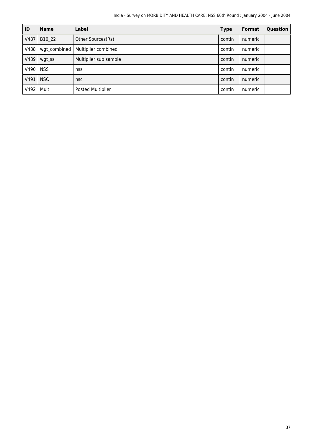| ID         | <b>Name</b>  | Label                 | <b>Type</b> | <b>Format</b> | Question |
|------------|--------------|-----------------------|-------------|---------------|----------|
| V487       | B10 22       | Other Sources(Rs)     | contin      | numeric       |          |
| V488       | wgt combined | Multiplier combined   | contin      | numeric       |          |
| V489       | wgt ss       | Multiplier sub sample | contin      | numeric       |          |
| V490   NSS |              | nss                   | contin      | numeric       |          |
| V491       | <b>NSC</b>   | <b>nsc</b>            | contin      | numeric       |          |
| V492       | Mult         | Posted Multiplier     | contin      | numeric       |          |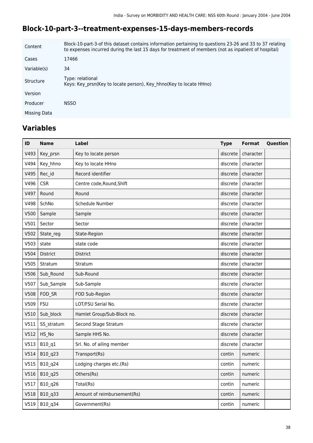## **Block-10-part-3--treatment-expenses-15-days-members-records**

| Block-10-part-3-of this dataset contains information pertaining to questions 23-26 and 33 to 37 relating<br>to expenses incurred during the last 15 days for treatment of members (not as inpatient of hospital) |
|------------------------------------------------------------------------------------------------------------------------------------------------------------------------------------------------------------------|
| 17466                                                                                                                                                                                                            |
| 34                                                                                                                                                                                                               |
| Type: relational<br>Keys: Key prsn(Key to locate person), Key hhno(Key to locate HHno)                                                                                                                           |
|                                                                                                                                                                                                                  |
| <b>NSSO</b>                                                                                                                                                                                                      |
|                                                                                                                                                                                                                  |
|                                                                                                                                                                                                                  |

## **Variables**

| ID   | <b>Name</b> | Label                       | <b>Type</b> | <b>Format</b> | Question |
|------|-------------|-----------------------------|-------------|---------------|----------|
| V493 | Key prsn    | Key to locate person        | discrete    | character     |          |
| V494 | Key hhno    | Key to locate HHno          | discrete    | character     |          |
| V495 | Rec id      | Record identifier           | discrete    | character     |          |
| V496 | <b>CSR</b>  | Centre code, Round, Shift   | discrete    | character     |          |
| V497 | Round       | Round                       | discrete    | character     |          |
| V498 | SchNo       | Schedule Number             | discrete    | character     |          |
| V500 | Sample      | Sample                      | discrete    | character     |          |
| V501 | Sector      | Sector                      | discrete    | character     |          |
| V502 | State reg   | State-Region                | discrete    | character     |          |
| V503 | state       | state code                  | discrete    | character     |          |
| V504 | District    | <b>District</b>             | discrete    | character     |          |
| V505 | Stratum     | Stratum                     | discrete    | character     |          |
| V506 | Sub_Round   | Sub-Round                   | discrete    | character     |          |
| V507 | Sub_Sample  | Sub-Sample                  | discrete    | character     |          |
| V508 | FOD SR      | FOD Sub-Region              | discrete    | character     |          |
| V509 | <b>FSU</b>  | LOT/FSU Serial No.          | discrete    | character     |          |
| V510 | Sub block   | Hamlet Group/Sub-Block no.  | discrete    | character     |          |
| V511 | SS stratum  | Second Stage Stratum        | discrete    | character     |          |
| V512 | HS No       | Sample HHS No.              | discrete    | character     |          |
| V513 | B10_q1      | Srl. No. of ailing member   | discrete    | character     |          |
| V514 | B10 q23     | Transport(Rs)               | contin      | numeric       |          |
| V515 | B10_q24     | Lodging charges etc.(Rs)    | contin      | numeric       |          |
| V516 | B10 q25     | Others(Rs)                  | contin      | numeric       |          |
| V517 | B10 q26     | Total(Rs)                   | contin      | numeric       |          |
| V518 | B10_q33     | Amount of reimbursement(Rs) | contin      | numeric       |          |
| V519 | B10_q34     | Government(Rs)              | contin      | numeric       |          |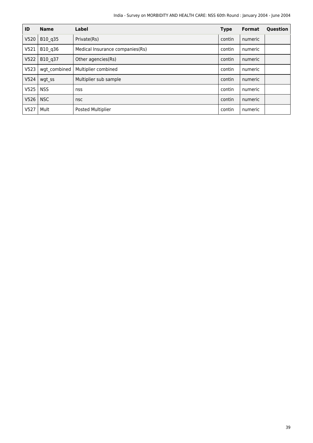| ID               | <b>Name</b>  | <b>Label</b>                    | <b>Type</b> | <b>Format</b> | Question |
|------------------|--------------|---------------------------------|-------------|---------------|----------|
| V520             | B10 q35      | Private(Rs)                     | contin      | numeric       |          |
| V521             | B10 q36      | Medical Insurance companies(Rs) | contin      | numeric       |          |
| V522             | B10 q37      | Other agencies(Rs)              | contin      | numeric       |          |
| V523             | wgt combined | Multiplier combined             | contin      | numeric       |          |
| V524             | wgt ss       | Multiplier sub sample           | contin      | numeric       |          |
| V <sub>525</sub> | <b>NSS</b>   | nss                             | contin      | numeric       |          |
| V <sub>526</sub> | <b>NSC</b>   | nsc                             | contin      | numeric       |          |
| V527             | Mult         | Posted Multiplier               | contin      | numeric       |          |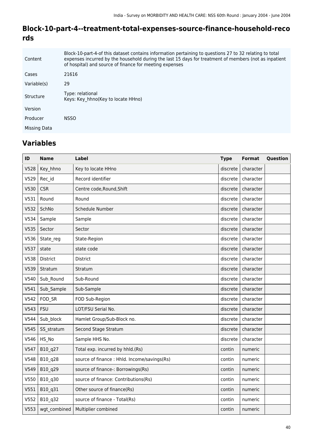## **Block-10-part-4--treatment-total-expenses-source-finance-household-reco rds**

| Content      | Block-10-part-4-of this dataset contains information pertaining to questions 27 to 32 relating to total<br>expenses incurred by the household during the last 15 days for treatment of members (not as inpatient<br>of hospital) and source of finance for meeting expenses |
|--------------|-----------------------------------------------------------------------------------------------------------------------------------------------------------------------------------------------------------------------------------------------------------------------------|
| Cases        | 21616                                                                                                                                                                                                                                                                       |
| Variable(s)  | 29                                                                                                                                                                                                                                                                          |
| Structure    | Type: relational<br>Keys: Key hhno (Key to locate HHno)                                                                                                                                                                                                                     |
| Version      |                                                                                                                                                                                                                                                                             |
| Producer     | <b>NSSO</b>                                                                                                                                                                                                                                                                 |
| Missing Data |                                                                                                                                                                                                                                                                             |

## **Variables**

| ID   | <b>Name</b><br>Label |                                              | <b>Type</b> | <b>Format</b> | Question |
|------|----------------------|----------------------------------------------|-------------|---------------|----------|
| V528 | Key hhno             | Key to locate HHno                           | discrete    | character     |          |
| V529 | Rec_id               | Record identifier                            | discrete    | character     |          |
| V530 | <b>CSR</b>           | Centre code, Round, Shift                    | discrete    | character     |          |
| V531 | Round                | Round                                        | discrete    | character     |          |
| V532 | SchNo                | Schedule Number                              | discrete    | character     |          |
| V534 | Sample               | Sample                                       | discrete    | character     |          |
| V535 | Sector               | Sector                                       | discrete    | character     |          |
| V536 | State_reg            | State-Region                                 | discrete    | character     |          |
| V537 | state                | state code                                   | discrete    | character     |          |
| V538 | District             | <b>District</b>                              | discrete    | character     |          |
| V539 | Stratum              | Stratum                                      | discrete    | character     |          |
| V540 | Sub Round            | Sub-Round                                    | discrete    | character     |          |
| V541 | Sub Sample           | Sub-Sample                                   | discrete    | character     |          |
| V542 | FOD SR               | FOD Sub-Region                               | discrete    | character     |          |
| V543 | <b>FSU</b>           | LOT/FSU Serial No.                           | discrete    | character     |          |
| V544 | Sub_block            | Hamlet Group/Sub-Block no.                   | discrete    | character     |          |
| V545 | SS_stratum           | Second Stage Stratum                         | discrete    | character     |          |
| V546 | HS No                | Sample HHS No.                               | discrete    | character     |          |
| V547 | B10_q27              | Total exp. incurred by hhld.(Rs)             | contin      | numeric       |          |
| V548 | B10 q28              | source of finance : Hhld. Income/savings(Rs) | contin      | numeric       |          |
| V549 | B10 q29              | source of finance -: Borrowings(Rs)          | contin      | numeric       |          |
| V550 | B10 q30              | source of finance: Contributions(Rs)         | contin      | numeric       |          |
| V551 | B10 q31              | Other source of finance(Rs)                  | contin      | numeric       |          |
| V552 | B10_q32              | source of finance - Total(Rs)                | contin      | numeric       |          |
| V553 | wgt combined         | Multiplier combined                          | contin      | numeric       |          |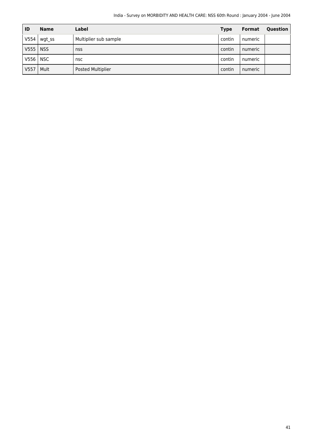India - Survey on MORBIDITY AND HEALTH CARE: NSS 60th Round : January 2004 - June 2004

| ID           | <b>Name</b> | Label                    | <b>Type</b> | <b>Format</b> | Question |
|--------------|-------------|--------------------------|-------------|---------------|----------|
| V554         | wgt ss      | Multiplier sub sample    | contin      | numeric       |          |
| $V555$   NSS |             | <b>nss</b>               | contin      | numeric       |          |
| $V556$   NSC |             | nsc                      | contin      | numeric       |          |
| V557         | Mult        | <b>Posted Multiplier</b> | contin      | numeric       |          |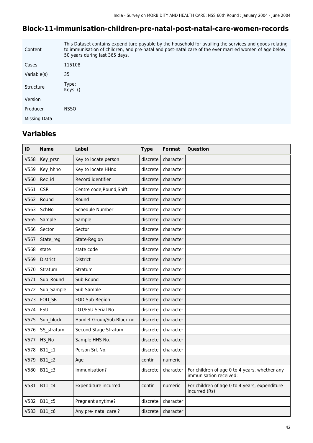# **Block-11-immunisation-children-pre-natal-post-natal-care-women-records**

| Content      | This Dataset contains expenditure payable by the household for availing the services and goods relating<br>to immunisation of children, and pre-natal and post-natal care of the ever married women of age below<br>50 years during last 365 days. |
|--------------|----------------------------------------------------------------------------------------------------------------------------------------------------------------------------------------------------------------------------------------------------|
| Cases        | 115108                                                                                                                                                                                                                                             |
| Variable(s)  | 35                                                                                                                                                                                                                                                 |
| Structure    | Type:<br>Keys: ()                                                                                                                                                                                                                                  |
| Version      |                                                                                                                                                                                                                                                    |
| Producer     | <b>NSSO</b>                                                                                                                                                                                                                                        |
| Missing Data |                                                                                                                                                                                                                                                    |

## **Variables**

| ID   | <b>Name</b>     | Label                      | <b>Type</b> | Format    | Question                                                                |
|------|-----------------|----------------------------|-------------|-----------|-------------------------------------------------------------------------|
| V558 | Key prsn        | Key to locate person       | discrete    | character |                                                                         |
| V559 | Key hhno        | Key to locate HHno         | discrete    | character |                                                                         |
| V560 | Rec id          | Record identifier          | discrete    | character |                                                                         |
| V561 | <b>CSR</b>      | Centre code, Round, Shift  | discrete    | character |                                                                         |
| V562 | Round           | Round                      | discrete    | character |                                                                         |
| V563 | SchNo           | Schedule Number            | discrete    | character |                                                                         |
| V565 | Sample          | Sample                     | discrete    | character |                                                                         |
| V566 | Sector          | Sector                     | discrete    | character |                                                                         |
| V567 | State_reg       | State-Region               | discrete    | character |                                                                         |
| V568 | state           | state code                 | discrete    | character |                                                                         |
| V569 | <b>District</b> | <b>District</b>            | discrete    | character |                                                                         |
| V570 | Stratum         | Stratum                    | discrete    | character |                                                                         |
| V571 | Sub Round       | Sub-Round                  | discrete    | character |                                                                         |
| V572 | Sub Sample      | Sub-Sample                 | discrete    | character |                                                                         |
| V573 | FOD SR          | FOD Sub-Region             | discrete    | character |                                                                         |
| V574 | <b>FSU</b>      | LOT/FSU Serial No.         | discrete    | character |                                                                         |
| V575 | Sub block       | Hamlet Group/Sub-Block no. | discrete    | character |                                                                         |
| V576 | SS stratum      | Second Stage Stratum       | discrete    | character |                                                                         |
| V577 | HS No           | Sample HHS No.             | discrete    | character |                                                                         |
| V578 | B11 c1          | Person Srl. No.            | discrete    | character |                                                                         |
| V579 | B11 c2          | Age                        | contin      | numeric   |                                                                         |
| V580 | B11 c3          | Immunisation?              | discrete    | character | For children of age 0 to 4 years, whether any<br>immunisation received: |
| V581 | B11 c4          | Expenditure incurred       | contin      | numeric   | For children of age 0 to 4 years, expenditure<br>incurred (Rs):         |
| V582 | B11 c5          | Pregnant anytime?          | discrete    | character |                                                                         |
| V583 | B11 c6          | Any pre- natal care?       | discrete    | character |                                                                         |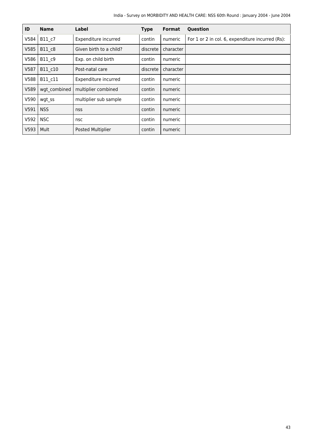| ID   | <b>Name</b>  | Label                   | <b>Type</b> | <b>Format</b> | Question                                         |
|------|--------------|-------------------------|-------------|---------------|--------------------------------------------------|
| V584 | B11 c7       | Expenditure incurred    | contin      | numeric       | For 1 or 2 in col. 6, expenditure incurred (Rs): |
| V585 | B11 c8       | Given birth to a child? | discrete    | character     |                                                  |
| V586 | B11 c9       | Exp. on child birth     | contin      | numeric       |                                                  |
| V587 | B11 c10      | Post-natal care         | discrete    | character     |                                                  |
| V588 | B11 c11      | Expenditure incurred    | contin      | numeric       |                                                  |
| V589 | wgt combined | multiplier combined     | contin      | numeric       |                                                  |
| V590 | wgt ss       | multiplier sub sample   | contin      | numeric       |                                                  |
| V591 | <b>NSS</b>   | nss                     | contin      | numeric       |                                                  |
| V592 | <b>NSC</b>   | nsc                     | contin      | numeric       |                                                  |
| V593 | Mult         | Posted Multiplier       | contin      | numeric       |                                                  |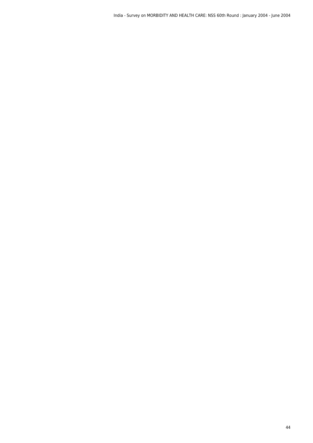India - Survey on MORBIDITY AND HEALTH CARE: NSS 60th Round : January 2004 - June 2004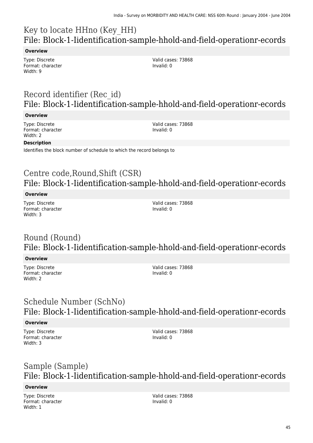# Key to locate HHno (Key\_HH) File: Block-1-Iidentification-sample-hhold-and-field-operationr-ecords

**Overview**

Type: Discrete Format: character Width: 9

Valid cases: 73868 Invalid: 0

# Record identifier (Rec\_id) File: Block-1-Iidentification-sample-hhold-and-field-operationr-ecords

### **Overview**

Type: Discrete Format: character Width: 2

Valid cases: 73868 Invalid: 0

### **Description**

Identifies the block number of schedule to which the record belongs to

# Centre code,Round,Shift (CSR) File: Block-1-Iidentification-sample-hhold-and-field-operationr-ecords

### **Overview**

Type: Discrete Format: character Width: 3

Valid cases: 73868 Invalid: 0

# Round (Round) File: Block-1-Iidentification-sample-hhold-and-field-operationr-ecords

### **Overview**

Type: Discrete Format: character Width: 2

Valid cases: 73868 Invalid: 0

# Schedule Number (SchNo) File: Block-1-Iidentification-sample-hhold-and-field-operationr-ecords

### **Overview**

Type: Discrete Format: character Width: 3

Valid cases: 73868 Invalid: 0

# Sample (Sample) File: Block-1-Iidentification-sample-hhold-and-field-operationr-ecords

### **Overview**

Type: Discrete Format: character Width: 1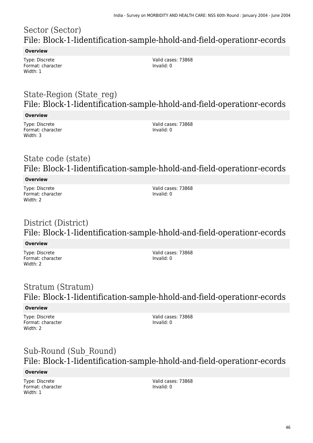# Sector (Sector) File: Block-1-Iidentification-sample-hhold-and-field-operationr-ecords

### **Overview**

Type: Discrete Format: character Width: 1

Valid cases: 73868 Invalid: 0

# State-Region (State\_reg) File: Block-1-Iidentification-sample-hhold-and-field-operationr-ecords

### **Overview**

Type: Discrete Format: character Width: 3

Valid cases: 73868 Invalid: 0

# State code (state) File: Block-1-Iidentification-sample-hhold-and-field-operationr-ecords

### **Overview**

Type: Discrete Format: character Width: 2

Valid cases: 73868 Invalid: 0

## District (District) File: Block-1-Iidentification-sample-hhold-and-field-operationr-ecords

### **Overview**

Type: Discrete Format: character Width: 2

Valid cases: 73868 Invalid: 0

# Stratum (Stratum) File: Block-1-Iidentification-sample-hhold-and-field-operationr-ecords

### **Overview**

Type: Discrete Format: character Width: 2

Valid cases: 73868 Invalid: 0

## Sub-Round (Sub\_Round) File: Block-1-Iidentification-sample-hhold-and-field-operationr-ecords

## **Overview**

Type: Discrete Format: character Width: 1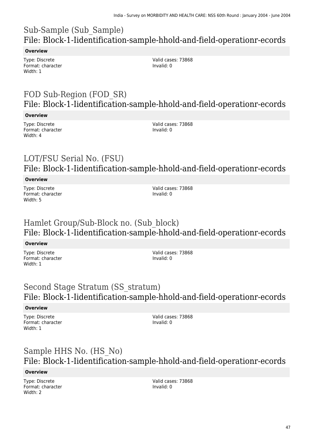# Sub-Sample (Sub\_Sample) File: Block-1-Iidentification-sample-hhold-and-field-operationr-ecords

**Overview**

Type: Discrete Format: character Width: 1

Valid cases: 73868 Invalid: 0

# FOD Sub-Region (FOD\_SR) File: Block-1-Iidentification-sample-hhold-and-field-operationr-ecords

### **Overview**

Type: Discrete Format: character Width: 4

Valid cases: 73868 Invalid: 0

## LOT/FSU Serial No. (FSU) File: Block-1-Iidentification-sample-hhold-and-field-operationr-ecords

### **Overview**

Type: Discrete Format: character Width: 5

Valid cases: 73868 Invalid: 0

## Hamlet Group/Sub-Block no. (Sub\_block) File: Block-1-Iidentification-sample-hhold-and-field-operationr-ecords

### **Overview**

Type: Discrete Format: character Width: 1

Valid cases: 73868 Invalid: 0

## Second Stage Stratum (SS\_stratum) File: Block-1-Iidentification-sample-hhold-and-field-operationr-ecords

### **Overview**

Type: Discrete Format: character Width: 1

Valid cases: 73868 Invalid: 0

## Sample HHS No. (HS\_No) File: Block-1-Iidentification-sample-hhold-and-field-operationr-ecords

## **Overview**

Type: Discrete Format: character Width: 2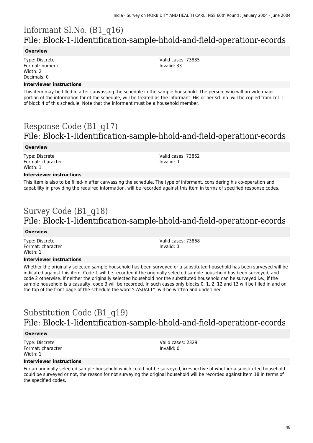# Informant Sl.No. (B1\_q16) File: Block-1-Iidentification-sample-hhold-and-field-operationr-ecords

### **Overview**

Type: Discrete Format: numeric Width: 2 Decimals: 0

### **Interviewer instructions**

This item may be filled in after canvassing the schedule in the sample household. The person, who will provide major portion of the information for of the schedule, will be treated as the informant. His or her srl. no. will be copied from col. 1 of block 4 of this schedule. Note that the informant must be a household member.

# Response Code (B1\_q17) File: Block-1-Iidentification-sample-hhold-and-field-operationr-ecords

### **Overview**

Type: Discrete Format: character Width: 1

Valid cases: 73862 Invalid: 0

Valid cases: 73868

Invalid: 0

Valid cases: 73835

Invalid: 33

### **Interviewer instructions**

This item is also to be filled-in after canvassing the schedule. The type of informant, considering his co-operation and capability in providing the required information, will be recorded against this item in terms of specified response codes.

# Survey Code (B1\_q18) File: Block-1-Iidentification-sample-hhold-and-field-operationr-ecords

### **Overview**

Type: Discrete Format: character Width: 1

### **Interviewer instructions**

Whether the originally selected sample household has been surveyed or a substituted household has been surveyed will be indicated against this item. Code 1 will be recorded if the originally selected sample household has been surveyed, and code 2 otherwise. If neither the originally selected household nor the substituted household can be surveyed i.e., if the sample household is a casualty, code 3 will be recorded. In such cases only blocks 0, 1, 2, 12 and 13 will be filled in and on the top of the front page of the schedule the word 'CASUALTY' will be written and underlined.

# Substitution Code (B1\_q19) File: Block-1-Iidentification-sample-hhold-and-field-operationr-ecords

### **Overview**

Type: Discrete Format: character Width: 1

Valid cases: 2329 Invalid: 0

### **Interviewer instructions**

For an originally selected sample household which could not be surveyed, irrespective of whether a substituted household could be surveyed or not, the reason for not surveying the original household will be recorded against item 18 in terms of the specified codes.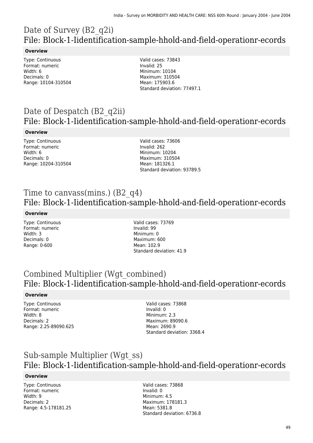# Date of Survey (B2\_q2i) File: Block-1-Iidentification-sample-hhold-and-field-operationr-ecords

### **Overview**

Type: Continuous Format: numeric Width: 6 Decimals: 0 Range: 10104-310504 Valid cases: 73843 Invalid: 25 Minimum: 10104 Maximum: 310504 Mean: 175903.6 Standard deviation: 77497.1

# Date of Despatch (B2\_q2ii) File: Block-1-Iidentification-sample-hhold-and-field-operationr-ecords

### **Overview**

Type: Continuous Format: numeric Width: 6 Decimals: 0 Range: 10204-310504 Valid cases: 73606 Invalid: 262 Minimum: 10204 Maximum: 310504 Mean: 181326.1 Standard deviation: 93789.5

## Time to canvass(mins.) (B2\_q4) File: Block-1-Iidentification-sample-hhold-and-field-operationr-ecords

### **Overview**

Type: Continuous Format: numeric Width: 3 Decimals: 0 Range: 0-600

Valid cases: 73769 Invalid: 99 Minimum: 0 Maximum: 600 Mean: 102.9 Standard deviation: 41.9

# Combined Multiplier (Wgt\_combined) File: Block-1-Iidentification-sample-hhold-and-field-operationr-ecords

## **Overview**

Type: Continuous Format: numeric Width: 8 Decimals: 2 Range: 2.25-89090.625 Valid cases: 73868 Invalid: 0 Minimum: 2.3 Maximum: 89090.6 Mean: 2690.9 Standard deviation: 3368.4

## Sub-sample Multiplier (Wgt\_ss) File: Block-1-Iidentification-sample-hhold-and-field-operationr-ecords

### **Overview**

Type: Continuous Format: numeric Width: 9 Decimals: 2 Range: 4.5-178181.25 Valid cases: 73868 Invalid: 0 Minimum: 4.5 Maximum: 178181.3 Mean: 5381.8 Standard deviation: 6736.8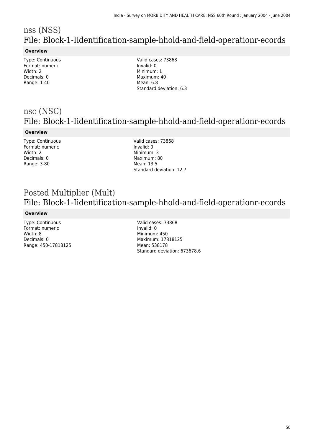# nss (NSS) File: Block-1-Iidentification-sample-hhold-and-field-operationr-ecords

### **Overview**

Type: Continuous Format: numeric Width: 2 Decimals: 0 Range: 1-40

Valid cases: 73868 Invalid: 0 Minimum: 1 Maximum: 40 Mean: 6.8 Standard deviation: 6.3

# nsc (NSC) File: Block-1-Iidentification-sample-hhold-and-field-operationr-ecords

### **Overview**

Type: Continuous Format: numeric Width: 2 Decimals: 0 Range: 3-80

Valid cases: 73868 Invalid: 0 Minimum: 3 Maximum: 80 Mean: 13.5 Standard deviation: 12.7

## Posted Multiplier (Mult) File: Block-1-Iidentification-sample-hhold-and-field-operationr-ecords

### **Overview**

Type: Continuous Format: numeric Width: 8 Decimals: 0 Range: 450-17818125 Valid cases: 73868 Invalid: 0 Minimum: 450 Maximum: 17818125 Mean: 538178 Standard deviation: 673678.6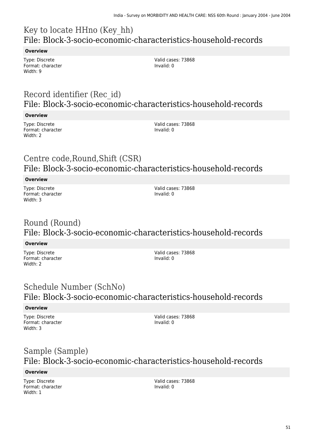# Key to locate HHno (Key\_hh) File: Block-3-socio-economic-characteristics-household-records

### **Overview**

Type: Discrete Format: character Width: 9

Valid cases: 73868 Invalid: 0

# Record identifier (Rec\_id) File: Block-3-socio-economic-characteristics-household-records

### **Overview**

Type: Discrete Format: character Width: 2

Valid cases: 73868 Invalid: 0

# Centre code,Round,Shift (CSR) File: Block-3-socio-economic-characteristics-household-records

### **Overview**

Type: Discrete Format: character Width: 3

Valid cases: 73868 Invalid: 0

## Round (Round) File: Block-3-socio-economic-characteristics-household-records

### **Overview**

Type: Discrete Format: character Width: 2

Valid cases: 73868 Invalid: 0

# Schedule Number (SchNo) File: Block-3-socio-economic-characteristics-household-records

### **Overview**

Type: Discrete Format: character Width: 3

Valid cases: 73868 Invalid: 0

# Sample (Sample) File: Block-3-socio-economic-characteristics-household-records

### **Overview**

Type: Discrete Format: character Width: 1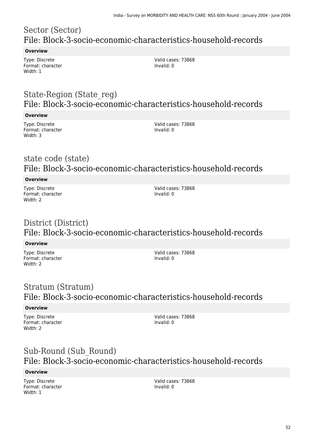# Sector (Sector) File: Block-3-socio-economic-characteristics-household-records

### **Overview**

Type: Discrete Format: character Width: 1

Valid cases: 73868 Invalid: 0

# State-Region (State\_reg) File: Block-3-socio-economic-characteristics-household-records

### **Overview**

Type: Discrete Format: character Width: 3

Valid cases: 73868 Invalid: 0

# state code (state) File: Block-3-socio-economic-characteristics-household-records

### **Overview**

Type: Discrete Format: character Width: 2

Valid cases: 73868 Invalid: 0

## District (District) File: Block-3-socio-economic-characteristics-household-records

### **Overview**

Type: Discrete Format: character Width: 2

Valid cases: 73868 Invalid: 0

# Stratum (Stratum) File: Block-3-socio-economic-characteristics-household-records

### **Overview**

Type: Discrete Format: character Width: 2

Valid cases: 73868 Invalid: 0

## Sub-Round (Sub\_Round) File: Block-3-socio-economic-characteristics-household-records

## **Overview**

Type: Discrete Format: character Width: 1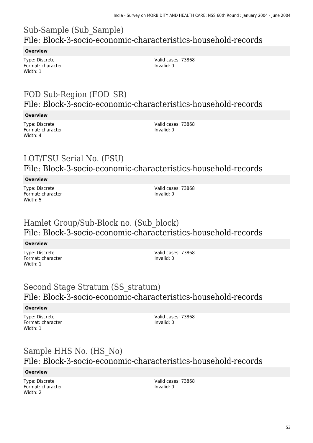# Sub-Sample (Sub\_Sample) File: Block-3-socio-economic-characteristics-household-records

### **Overview**

Type: Discrete Format: character Width: 1

Valid cases: 73868 Invalid: 0

# FOD Sub-Region (FOD\_SR) File: Block-3-socio-economic-characteristics-household-records

### **Overview**

Type: Discrete Format: character Width: 4

Valid cases: 73868 Invalid: 0

## LOT/FSU Serial No. (FSU) File: Block-3-socio-economic-characteristics-household-records

### **Overview**

Type: Discrete Format: character Width: 5

Valid cases: 73868 Invalid: 0

## Hamlet Group/Sub-Block no. (Sub\_block) File: Block-3-socio-economic-characteristics-household-records

### **Overview**

Type: Discrete Format: character Width: 1

Valid cases: 73868 Invalid: 0

## Second Stage Stratum (SS\_stratum) File: Block-3-socio-economic-characteristics-household-records

### **Overview**

Type: Discrete Format: character Width: 1

Valid cases: 73868 Invalid: 0

## Sample HHS No. (HS\_No) File: Block-3-socio-economic-characteristics-household-records

### **Overview**

Type: Discrete Format: character Width: 2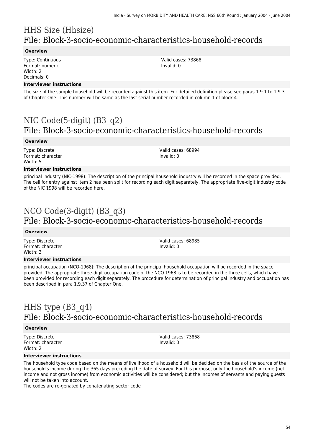# HHS Size (Hhsize) File: Block-3-socio-economic-characteristics-household-records

### **Overview**

Type: Continuous Format: numeric Width: 2 Decimals: 0

### **Interviewer instructions**

Valid cases: 73868 Invalid: 0

The size of the sample household will be recorded against this item. For detailed definition please see paras 1.9.1 to 1.9.3 of Chapter One. This number will be same as the last serial number recorded in column 1 of block 4.

# NIC Code(5-digit) (B3\_q2) File: Block-3-socio-economic-characteristics-household-records

### **Overview**

Type: Discrete Format: character Width: 5

Valid cases: 68994 Invalid: 0

Valid cases: 68985

Invalid: 0

### **Interviewer instructions**

principal industry (NIC-1998): The description of the principal household industry will be recorded in the space provided. The cell for entry against item 2 has been split for recording each digit separately. The appropriate five-digit industry code of the NIC 1998 will be recorded here.

# NCO Code(3-digit) (B3\_q3) File: Block-3-socio-economic-characteristics-household-records

### **Overview**

Type: Discrete Format: character Width: 3

### **Interviewer instructions**

principal occupation (NCO-1968): The description of the principal household occupation will be recorded in the space provided. The appropriate three-digit occupation code of the NCO 1968 is to be recorded in the three cells, which have been provided for recording each digit separately. The procedure for determination of principal industry and occupation has been described in para 1.9.37 of Chapter One.

# HHS type (B3\_q4) File: Block-3-socio-economic-characteristics-household-records

### **Overview**

Type: Discrete Format: character Width: 2

Valid cases: 73868 Invalid: 0

### **Interviewer instructions**

The household type code based on the means of livelihood of a household will be decided on the basis of the source of the household's income during the 365 days preceding the date of survey. For this purpose, only the household's income (net income and not gross income) from economic activities will be considered; but the incomes of servants and paying guests will not be taken into account.

The codes are re-genated by conatenating sector code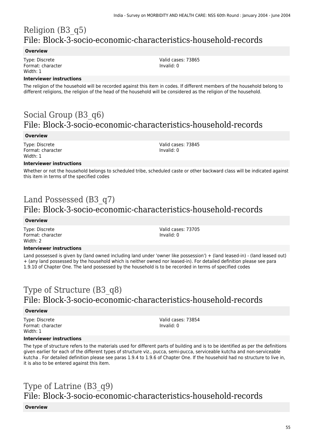# Religion (B3\_q5) File: Block-3-socio-economic-characteristics-household-records

## **Overview**

Type: Discrete Format: character Width: 1

## **Interviewer instructions**

The religion of the household will be recorded against this item in codes. If different members of the household belong to different religions, the religion of the head of the household will be considered as the religion of the household.

# Social Group (B3\_q6) File: Block-3-socio-economic-characteristics-household-records

### **Overview**

Type: Discrete Format: character Width: 1

Valid cases: 73845 Invalid: 0

### **Interviewer instructions**

Whether or not the household belongs to scheduled tribe, scheduled caste or other backward class will be indicated against this item in terms of the specified codes

# Land Possessed (B3\_q7) File: Block-3-socio-economic-characteristics-household-records

**Overview**

Type: Discrete Format: character Width: 2

Valid cases: 73705 Invalid: 0

### **Interviewer instructions**

Land possessed is given by (land owned including land under 'owner like possession') + (land leased-in) - (land leased out) + (any land possessed by the household which is neither owned nor leased-in). For detailed definition please see para 1.9.10 of Chapter One. The land possessed by the household is to be recorded in terms of specified codes

# Type of Structure (B3\_q8) File: Block-3-socio-economic-characteristics-household-records

### **Overview**

Type: Discrete Format: character Width: 1

Valid cases: 73854 Invalid: 0

### **Interviewer instructions**

The type of structure refers to the materials used for different parts of building and is to be identified as per the definitions given earlier for each of the different types of structure viz., pucca, semi-pucca, serviceable kutcha and non-serviceable kutcha . For detailed definition please see paras 1.9.4 to 1.9.6 of Chapter One. If the household had no structure to live in, it is also to be entered against this item.

# Type of Latrine (B3\_q9) File: Block-3-socio-economic-characteristics-household-records **Overview**

55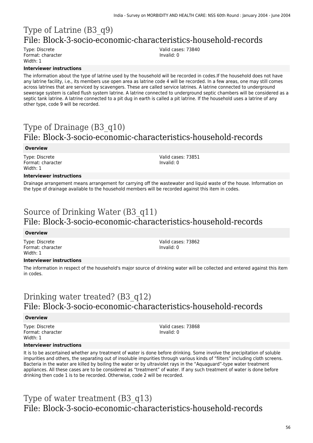# Type of Latrine (B3\_q9) File: Block-3-socio-economic-characteristics-household-records

Type: Discrete Format: character Width: 1

### Valid cases: 73840 Invalid: 0

### **Interviewer instructions**

The information about the type of latrine used by the household will be recorded in codes.If the household does not have any latrine facility, i.e., its members use open area as latrine code 4 will be recorded. In a few areas, one may still comes across latrines that are serviced by scavengers. These are called service latrines. A latrine connected to underground sewerage system is called flush system latrine. A latrine connected to underground septic chambers will be considered as a septic tank latrine. A latrine connected to a pit dug in earth is called a pit latrine. If the household uses a latrine of any other type, code 9 will be recorded.

# Type of Drainage (B3\_q10) File: Block-3-socio-economic-characteristics-household-records

### **Overview**

Type: Discrete Format: character Width: 1

Valid cases: 73851 Invalid: 0

Valid cases: 73862

Invalid: 0

### **Interviewer instructions**

Drainage arrangement means arrangement for carrying off the wastewater and liquid waste of the house. Information on the type of drainage available to the household members will be recorded against this item in codes.

# Source of Drinking Water (B3\_q11) File: Block-3-socio-economic-characteristics-household-records

### **Overview**

Type: Discrete Format: character Width: 1

### **Interviewer instructions**

The information in respect of the household's major source of drinking water will be collected and entered against this item in codes.

# Drinking water treated? (B3\_q12) File: Block-3-socio-economic-characteristics-household-records

### **Overview**

Type: Discrete Format: character Width: 1

Valid cases: 73868 Invalid: 0

### **Interviewer instructions**

It is to be ascertained whether any treatment of water is done before drinking. Some involve the precipitation of soluble impurities and others, the separating out of insoluble impurities through various kinds of "filters" including cloth screens. Bacteria in the water are killed by boiling the water or by ultraviolet rays in the "Aquaguard"-type water treatment appliances. All these cases are to be considered as "treatment" of water. If any such treatment of water is done before drinking then code 1 is to be recorded. Otherwise, code 2 will be recorded.

# Type of water treatment (B3\_q13) File: Block-3-socio-economic-characteristics-household-records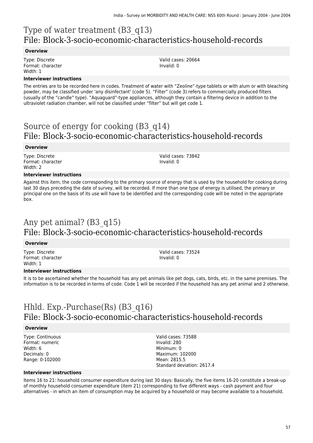# Type of water treatment (B3\_q13) File: Block-3-socio-economic-characteristics-household-records

### **Overview**

Type: Discrete Format: character Width: 1

### **Interviewer instructions**

The entries are to be recorded here in codes. Treatment of water with "Zeoline"-type tablets or with alum or with bleaching powder, may be classified under 'any disinfectant' (code 5). "Filter" (code 3) refers to commercially produced filters (usually of the "candle" type). "Aquaguard"-type appliances, although they contain a filtering device in addition to the ultraviolet radiation chamber, will not be classified under "filter" but will get code 1.

## Source of energy for cooking (B3\_q14) File: Block-3-socio-economic-characteristics-household-records

### **Overview**

Type: Discrete Format: character Width: 2

Valid cases: 73842 Invalid: 0

Valid cases: 20664

Invalid: 0

### **Interviewer instructions**

Against this item, the code corresponding to the primary source of energy that is used by the household for cooking during last 30 days preceding the date of survey, will be recorded. If more than one type of energy is utilised, the primary or principal one on the basis of its use will have to be identified and the corresponding code will be noted in the appropriate box.

## Any pet animal? (B3\_q15) File: Block-3-socio-economic-characteristics-household-records

### **Overview**

Type: Discrete Format: character Width: 1

Valid cases: 73524 Invalid: 0

### **Interviewer instructions**

It is to be ascertained whether the household has any pet animals like pet dogs, cats, birds, etc. in the same premises. The information is to be recorded in terms of code. Code 1 will be recorded if the household has any pet animal and 2 otherwise.

# Hhld. Exp.-Purchase(Rs) (B3\_q16) File: Block-3-socio-economic-characteristics-household-records

### **Overview**

Type: Continuous Format: numeric Width: 6 Decimals: 0 Range: 0-102000

Valid cases: 73588 Invalid: 280 Minimum: 0 Maximum: 102000 Mean: 2815.5 Standard deviation: 2617.4

#### **Interviewer instructions**

Items 16 to 21: household consumer expenditure during last 30 days: Basically, the five items 16-20 constitute a break-up of monthly household consumer expenditure (item 21) corresponding to five different ways - cash payment and four alternatives - in which an item of consumption may be acquired by a household or may become available to a household.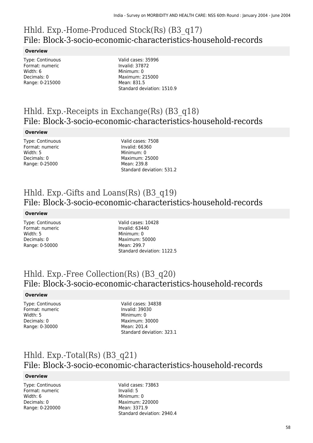# Hhld. Exp.-Home-Produced Stock(Rs) (B3\_q17) File: Block-3-socio-economic-characteristics-household-records

### **Overview**

Type: Continuous Format: numeric Width: 6 Decimals: 0 Range: 0-215000

Valid cases: 35996 Invalid: 37872 Minimum: 0 Maximum: 215000 Mean: 831.5 Standard deviation: 1510.9

# Hhld. Exp.-Receipts in Exchange(Rs) (B3\_q18) File: Block-3-socio-economic-characteristics-household-records

### **Overview**

Type: Continuous Format: numeric Width: 5 Decimals: 0 Range: 0-25000

Valid cases: 7508 Invalid: 66360 Minimum: 0 Maximum: 25000 Mean: 239.8 Standard deviation: 531.2

# Hhld. Exp.-Gifts and Loans(Rs) (B3\_q19) File: Block-3-socio-economic-characteristics-household-records

### **Overview**

Type: Continuous Format: numeric Width: 5 Decimals: 0 Range: 0-50000

Valid cases: 10428 Invalid: 63440 Minimum: 0 Maximum: 50000 Mean: 299.7 Standard deviation: 1122.5

# Hhld. Exp.-Free Collection(Rs) (B3\_q20) File: Block-3-socio-economic-characteristics-household-records

### **Overview**

Type: Continuous Format: numeric Width: 5 Decimals: 0 Range: 0-30000

Valid cases: 34838 Invalid: 39030 Minimum: 0 Maximum: 30000 Mean: 201.4 Standard deviation: 323.1

## Hhld. Exp.-Total(Rs) (B3\_q21) File: Block-3-socio-economic-characteristics-household-records

### **Overview**

Type: Continuous Format: numeric Width: 6 Decimals: 0 Range: 0-220000

Valid cases: 73863 Invalid: 5 Minimum: 0 Maximum: 220000 Mean: 3371.9 Standard deviation: 2940.4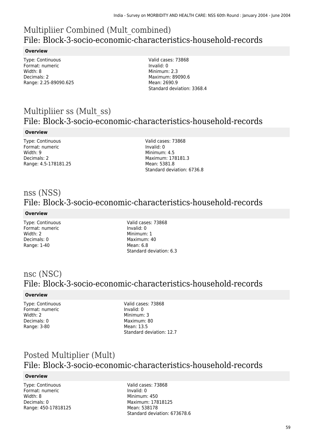# Multipliier Combined (Mult\_combined) File: Block-3-socio-economic-characteristics-household-records

### **Overview**

Type: Continuous Format: numeric Width: 8 Decimals: 2 Range: 2.25-89090.625 Valid cases: 73868 Invalid: 0 Minimum: 2.3 Maximum: 89090.6 Mean: 2690.9 Standard deviation: 3368.4

## Multipliier ss (Mult ss) File: Block-3-socio-economic-characteristics-household-records

### **Overview**

Type: Continuous Format: numeric Width: 9 Decimals: 2 Range: 4.5-178181.25 Valid cases: 73868 Invalid: 0 Minimum: 4.5 Maximum: 178181.3 Mean: 5381.8 Standard deviation: 6736.8

# nss (NSS) File: Block-3-socio-economic-characteristics-household-records

### **Overview**

Type: Continuous Format: numeric Width: 2 Decimals: 0 Range: 1-40

Valid cases: 73868 Invalid: 0 Minimum: 1 Maximum: 40 Mean: 6.8 Standard deviation: 6.3

# nsc (NSC) File: Block-3-socio-economic-characteristics-household-records

## **Overview**

Type: Continuous Format: numeric Width: 2 Decimals: 0 Range: 3-80

Valid cases: 73868 Invalid: 0 Minimum: 3 Maximum: 80 Mean: 13.5 Standard deviation: 12.7

## Posted Multiplier (Mult) File: Block-3-socio-economic-characteristics-household-records

## **Overview**

Type: Continuous Format: numeric Width: 8 Decimals: 0 Range: 450-17818125 Valid cases: 73868 Invalid: 0 Minimum: 450 Maximum: 17818125 Mean: 538178 Standard deviation: 673678.6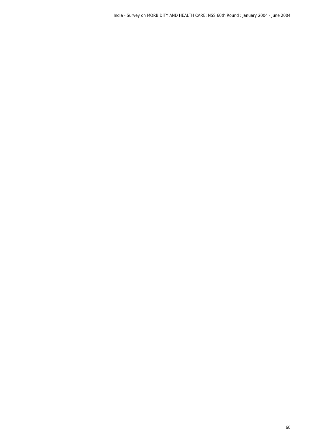India - Survey on MORBIDITY AND HEALTH CARE: NSS 60th Round : January 2004 - June 2004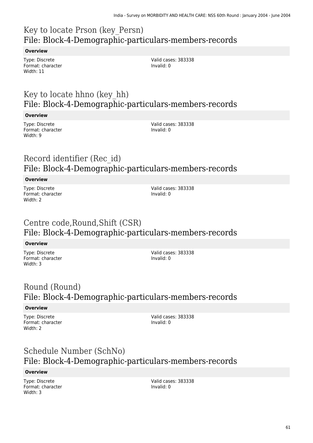# Key to locate Prson (key\_Persn) File: Block-4-Demographic-particulars-members-records

### **Overview**

Type: Discrete Format: character Width: 11

Valid cases: 383338 Invalid: 0

# Key to locate hhno (key\_hh) File: Block-4-Demographic-particulars-members-records

### **Overview**

Type: Discrete Format: character Width: 9

Valid cases: 383338 Invalid: 0

# Record identifier (Rec\_id) File: Block-4-Demographic-particulars-members-records

### **Overview**

Type: Discrete Format: character Width: 2

Valid cases: 383338 Invalid: 0

## Centre code,Round,Shift (CSR) File: Block-4-Demographic-particulars-members-records

### **Overview**

Type: Discrete Format: character Width: 3

Valid cases: 383338 Invalid: 0

## Round (Round) File: Block-4-Demographic-particulars-members-records

### **Overview**

Type: Discrete Format: character Width: 2

Valid cases: 383338 Invalid: 0

## Schedule Number (SchNo) File: Block-4-Demographic-particulars-members-records

### **Overview**

Type: Discrete Format: character Width: 3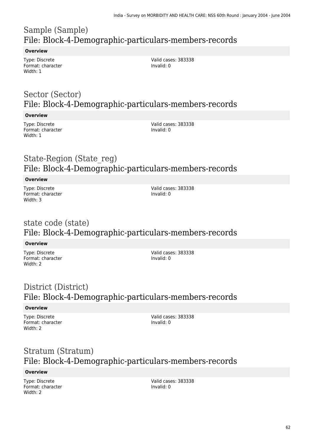# Sample (Sample) File: Block-4-Demographic-particulars-members-records

### **Overview**

Type: Discrete Format: character Width: 1

Valid cases: 383338 Invalid: 0

# Sector (Sector) File: Block-4-Demographic-particulars-members-records

### **Overview**

Type: Discrete Format: character Width: 1

Valid cases: 383338 Invalid: 0

# State-Region (State\_reg) File: Block-4-Demographic-particulars-members-records

### **Overview**

Type: Discrete Format: character Width: 3

Valid cases: 383338 Invalid: 0

## state code (state) File: Block-4-Demographic-particulars-members-records

### **Overview**

Type: Discrete Format: character Width: 2

Valid cases: 383338 Invalid: 0

# District (District) File: Block-4-Demographic-particulars-members-records

### **Overview**

Type: Discrete Format: character Width: 2

Valid cases: 383338 Invalid: 0

## Stratum (Stratum) File: Block-4-Demographic-particulars-members-records

## **Overview**

Type: Discrete Format: character Width: 2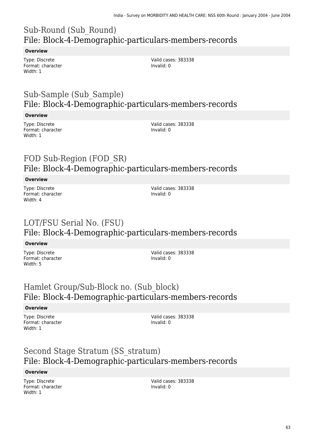# Sub-Round (Sub\_Round) File: Block-4-Demographic-particulars-members-records

### **Overview**

Type: Discrete Format: character Width: 1

Valid cases: 383338 Invalid: 0

# Sub-Sample (Sub\_Sample) File: Block-4-Demographic-particulars-members-records

### **Overview**

Type: Discrete Format: character Width: 1

Valid cases: 383338 Invalid: 0

# FOD Sub-Region (FOD\_SR) File: Block-4-Demographic-particulars-members-records

### **Overview**

Type: Discrete Format: character Width: 4

Valid cases: 383338 Invalid: 0

## LOT/FSU Serial No. (FSU) File: Block-4-Demographic-particulars-members-records

### **Overview**

Type: Discrete Format: character Width: 5

Valid cases: 383338 Invalid: 0

# Hamlet Group/Sub-Block no. (Sub\_block) File: Block-4-Demographic-particulars-members-records

### **Overview**

Type: Discrete Format: character Width: 1

Valid cases: 383338 Invalid: 0

## Second Stage Stratum (SS\_stratum) File: Block-4-Demographic-particulars-members-records

### **Overview**

Type: Discrete Format: character Width: 1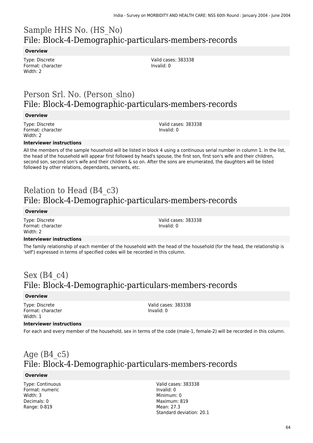# Sample HHS No. (HS\_No) File: Block-4-Demographic-particulars-members-records

### **Overview**

Type: Discrete Format: character Width: 2

Valid cases: 383338 Invalid: 0

# Person Srl. No. (Person\_slno) File: Block-4-Demographic-particulars-members-records

### **Overview**

Type: Discrete Format: character Width: 2

Valid cases: 383338 Invalid: 0

### **Interviewer instructions**

All the members of the sample household will be listed in block 4 using a continuous serial number in column 1. In the list, the head of the household will appear first followed by head's spouse, the first son, first son's wife and their children, second son, second son's wife and their children & so on. After the sons are enumerated, the daughters will be listed followed by other relations, dependants, servants, etc.

# Relation to Head (B4\_c3) File: Block-4-Demographic-particulars-members-records

### **Overview**

Type: Discrete Format: character Width: 2

Valid cases: 383338 Invalid: 0

### **Interviewer instructions**

The family relationship of each member of the household with the head of the household (for the head, the relationship is 'self') expressed in terms of specified codes will be recorded in this column.

# Sex  $(B4\text{ c}4)$ File: Block-4-Demographic-particulars-members-records

### **Overview**

Type: Discrete Format: character Width: 1

Valid cases: 383338 Invalid: 0

### **Interviewer instructions**

For each and every member of the household, sex in terms of the code (male-1, female-2) will be recorded in this column.

# Age  $(B4\ c5)$ File: Block-4-Demographic-particulars-members-records

### **Overview**

Type: Continuous Format: numeric Width: 3 Decimals: 0 Range: 0-819

Valid cases: 383338 Invalid: 0 Minimum: 0 Maximum: 819 Mean: 27.3 Standard deviation: 20.1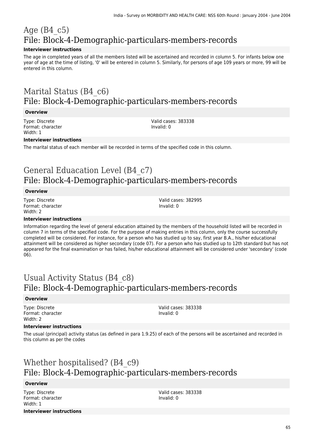# Age (B4\_c5) File: Block-4-Demographic-particulars-members-records

### **Interviewer instructions**

The age in completed years of all the members listed will be ascertained and recorded in column 5. For infants below one year of age at the time of listing, '0' will be entered in column 5. Similarly, for persons of age 109 years or more, 99 will be entered in this column.

# Marital Status (B4\_c6) File: Block-4-Demographic-particulars-members-records

### **Overview**

Type: Discrete Format: character Width: 1

Valid cases: 383338 Invalid: 0

### **Interviewer instructions**

The marital status of each member will be recorded in terms of the specified code in this column.

# General Eduacation Level (B4\_c7) File: Block-4-Demographic-particulars-members-records

### **Overview**

Type: Discrete Format: character Width: 2

Valid cases: 382995 Invalid: 0

### **Interviewer instructions**

Information regarding the level of general education attained by the members of the household listed will be recorded in column 7 in terms of the specified code. For the purpose of making entries in this column, only the course successfully completed will be considered. For instance, for a person who has studied up to say, first year B.A., his/her educational attainment will be considered as higher secondary (code 07). For a person who has studied up to 12th standard but has not appeared for the final examination or has failed, his/her educational attainment will be considered under 'secondary' (code 06).

## Usual Activity Status (B4\_c8) File: Block-4-Demographic-particulars-members-records

## **Overview**

Type: Discrete Format: character Width: 2

Valid cases: 383338 Invalid: 0

### **Interviewer instructions**

The usual (principal) activity status (as defined in para 1.9.25) of each of the persons will be ascertained and recorded in this column as per the codes

# Whether hospitalised? (B4\_c9) File: Block-4-Demographic-particulars-members-records

### **Overview**

Type: Discrete Format: character Width: 1

**Interviewer instructions**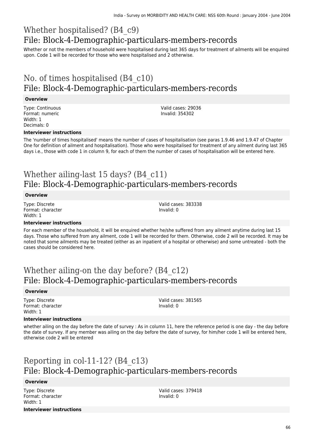# Whether hospitalised? (B4\_c9) File: Block-4-Demographic-particulars-members-records

Whether or not the members of household were hospitalised during last 365 days for treatment of ailments will be enquired upon. Code 1 will be recorded for those who were hospitalised and 2 otherwise.

# No. of times hospitalised (B4\_c10) File: Block-4-Demographic-particulars-members-records

### **Overview**

Type: Continuous Format: numeric Width: 1 Decimals: 0

### Valid cases: 29036 Invalid: 354302

Valid cases: 383338

Invalid: 0

### **Interviewer instructions**

The 'number of times hospitalised' means the number of cases of hospitalisation (see paras 1.9.46 and 1.9.47 of Chapter One for definition of ailment and hospitalisation). Those who were hospitalised for treatment of any ailment during last 365 days i.e., those with code 1 in column 9, for each of them the number of cases of hospitalisation will be entered here.

# Whether ailing-last 15 days? (B4\_c11) File: Block-4-Demographic-particulars-members-records

### **Overview**

Type: Discrete Format: character Width: 1

### **Interviewer instructions**

For each member of the household, it will be enquired whether he/she suffered from any ailment anytime during last 15 days. Those who suffered from any ailment, code 1 will be recorded for them. Otherwise, code 2 will be recorded. It may be noted that some ailments may be treated (either as an inpatient of a hospital or otherwise) and some untreated - both the cases should be considered here.

## Whether ailing-on the day before? (B4\_c12) File: Block-4-Demographic-particulars-members-records

### **Overview**

Type: Discrete Format: character Width: 1

Valid cases: 381565 Invalid: 0

### **Interviewer instructions**

whether ailing on the day before the date of survey : As in column 11, here the reference period is one day - the day before the date of survey. If any member was ailing on the day before the date of survey, for him/her code 1 will be entered here, otherwise code 2 will be entered

# Reporting in col-11-12? (B4\_c13) File: Block-4-Demographic-particulars-members-records

### **Overview**

Type: Discrete Format: character Width: 1

Valid cases: 379418 Invalid: 0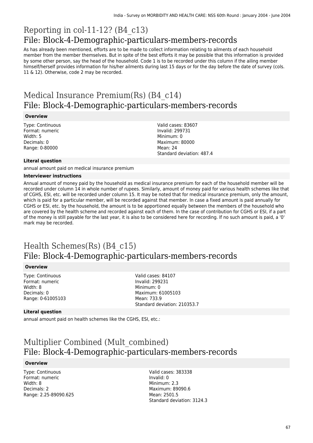# Reporting in col-11-12? (B4\_c13) File: Block-4-Demographic-particulars-members-records

As has already been mentioned, efforts are to be made to collect information relating to ailments of each household member from the member themselves. But in spite of the best efforts it may be possible that this information is provided by some other person, say the head of the household. Code 1 is to be recorded under this column if the ailing member himself/herself provides information for his/her ailments during last 15 days or for the day before the date of survey (cols. 11 & 12). Otherwise, code 2 may be recorded.

# Medical Insurance Premium(Rs) (B4\_c14) File: Block-4-Demographic-particulars-members-records

### **Overview**

Type: Continuous Format: numeric Width: 5 Decimals: 0 Range: 0-80000

Valid cases: 83607 Invalid: 299731 Minimum: 0 Maximum: 80000 Mean: 24 Standard deviation: 487.4

### **Literal question**

annual amount paid on medical insurance premium

### **Interviewer instructions**

Annual amount of money paid by the household as medical insurance premium for each of the household member will be recorded under column 14 in whole number of rupees. Similarly, amount of money paid for various health schemes like that of CGHS, ESI, etc. will be recorded under column 15. It may be noted that for medical insurance premium, only the amount, which is paid for a particular member, will be recorded against that member. In case a fixed amount is paid annually for CGHS or ESI, etc. by the household, the amount is to be apportioned equally between the members of the household who are covered by the health scheme and recorded against each of them. In the case of contribution for CGHS or ESI, if a part of the money is still payable for the last year, it is also to be considered here for recording. If no such amount is paid, a '0' mark may be recorded.

# Health Schemes(Rs) (B4\_c15) File: Block-4-Demographic-particulars-members-records

### **Overview**

Type: Continuous Format: numeric Width: 8 Decimals: 0 Range: 0-61005103 Valid cases: 84107 Invalid: 299231 Minimum: 0 Maximum: 61005103 Mean: 733.9 Standard deviation: 210353.7

### **Literal question**

annual amount paid on health schemes like the CGHS, ESI, etc.:

# Multiplier Combined (Mult\_combined) File: Block-4-Demographic-particulars-members-records

### **Overview**

Type: Continuous Format: numeric Width: 8 Decimals: 2 Range: 2.25-89090.625 Valid cases: 383338 Invalid: 0 Minimum: 2.3 Maximum: 89090.6 Mean: 2501.5 Standard deviation: 3124.3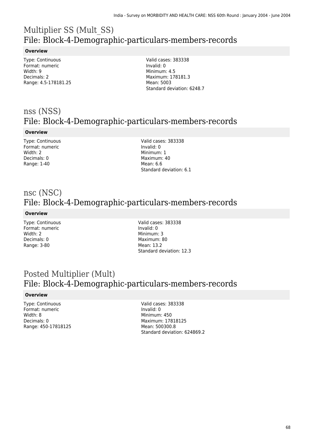# Multiplier SS (Mult\_SS) File: Block-4-Demographic-particulars-members-records

### **Overview**

Type: Continuous Format: numeric Width: 9 Decimals: 2 Range: 4.5-178181.25 Valid cases: 383338 Invalid: 0 Minimum: 4.5 Maximum: 178181.3 Mean: 5003 Standard deviation: 6248.7

# nss (NSS) File: Block-4-Demographic-particulars-members-records

### **Overview**

Type: Continuous Format: numeric Width: 2 Decimals: 0 Range: 1-40

Valid cases: 383338 Invalid: 0 Minimum: 1 Maximum: 40 Mean: 6.6 Standard deviation: 6.1

## nsc (NSC) File: Block-4-Demographic-particulars-members-records

## **Overview**

Type: Continuous Format: numeric Width: 2 Decimals: 0 Range: 3-80

Valid cases: 383338 Invalid: 0 Minimum: 3 Maximum: 80 Mean: 13.2 Standard deviation: 12.3

## Posted Multiplier (Mult) File: Block-4-Demographic-particulars-members-records

## **Overview**

Type: Continuous Format: numeric Width: 8 Decimals: 0 Range: 450-17818125 Valid cases: 383338 Invalid: 0 Minimum: 450 Maximum: 17818125 Mean: 500300.8 Standard deviation: 624869.2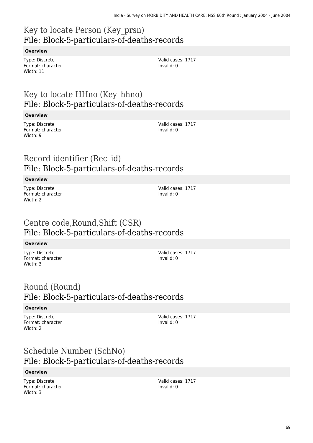## Key to locate Person (Key\_prsn) File: Block-5-particulars-of-deaths-records

### **Overview**

Type: Discrete Format: character Width: 11

Valid cases: 1717 Invalid: 0

# Key to locate HHno (Key\_hhno) File: Block-5-particulars-of-deaths-records

### **Overview**

Type: Discrete Format: character Width: 9

Valid cases: 1717 Invalid: 0

# Record identifier (Rec\_id) File: Block-5-particulars-of-deaths-records

### **Overview**

Type: Discrete Format: character Width: 2

Valid cases: 1717 Invalid: 0

## Centre code,Round,Shift (CSR) File: Block-5-particulars-of-deaths-records

### **Overview**

Type: Discrete Format: character Width: 3

Valid cases: 1717 Invalid: 0

## Round (Round) File: Block-5-particulars-of-deaths-records

### **Overview**

Type: Discrete Format: character Width: 2

Valid cases: 1717 Invalid: 0

## Schedule Number (SchNo) File: Block-5-particulars-of-deaths-records

### **Overview**

Type: Discrete Format: character Width: 3

Valid cases: 1717 Invalid: 0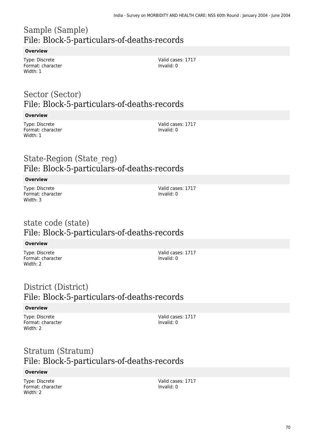# Sample (Sample) File: Block-5-particulars-of-deaths-records

### **Overview**

Type: Discrete Format: character Width: 1

Valid cases: 1717 Invalid: 0

# Sector (Sector) File: Block-5-particulars-of-deaths-records

### **Overview**

Type: Discrete Format: character Width: 1

Valid cases: 1717 Invalid: 0

## State-Region (State\_reg) File: Block-5-particulars-of-deaths-records

### **Overview**

Type: Discrete Format: character Width: 3

Valid cases: 1717 Invalid: 0

## state code (state) File: Block-5-particulars-of-deaths-records

### **Overview**

Type: Discrete Format: character Width: 2

Valid cases: 1717 Invalid: 0

# District (District) File: Block-5-particulars-of-deaths-records

### **Overview**

Type: Discrete Format: character Width: 2

Valid cases: 1717 Invalid: 0

## Stratum (Stratum) File: Block-5-particulars-of-deaths-records

### **Overview**

Type: Discrete Format: character Width: 2

Valid cases: 1717 Invalid: 0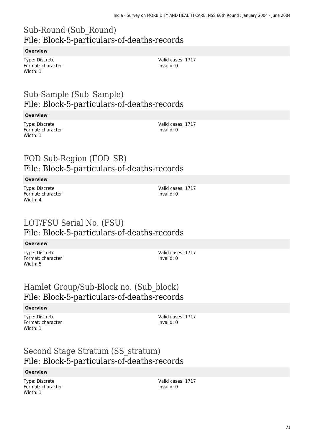# Sub-Round (Sub\_Round) File: Block-5-particulars-of-deaths-records

## **Overview**

Type: Discrete Format: character Width: 1

Valid cases: 1717 Invalid: 0

# Sub-Sample (Sub\_Sample) File: Block-5-particulars-of-deaths-records

### **Overview**

Type: Discrete Format: character Width: 1

Valid cases: 1717 Invalid: 0

# FOD Sub-Region (FOD\_SR) File: Block-5-particulars-of-deaths-records

### **Overview**

Type: Discrete Format: character Width: 4

Valid cases: 1717 Invalid: 0

# LOT/FSU Serial No. (FSU) File: Block-5-particulars-of-deaths-records

### **Overview**

Type: Discrete Format: character Width: 5

Valid cases: 1717 Invalid: 0

## Hamlet Group/Sub-Block no. (Sub\_block) File: Block-5-particulars-of-deaths-records

### **Overview**

Type: Discrete Format: character Width: 1

Valid cases: 1717 Invalid: 0

## Second Stage Stratum (SS\_stratum) File: Block-5-particulars-of-deaths-records

### **Overview**

Type: Discrete Format: character Width: 1

Valid cases: 1717 Invalid: 0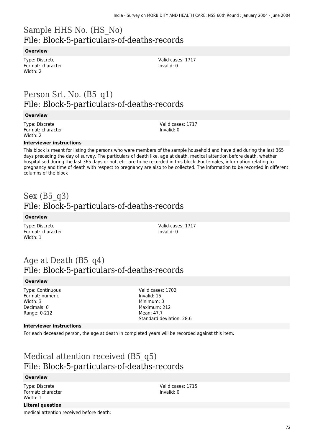# Sample HHS No. (HS\_No) File: Block-5-particulars-of-deaths-records

### **Overview**

Type: Discrete Format: character Width: 2

Valid cases: 1717 Invalid: 0

# Person Srl. No. (B5\_q1) File: Block-5-particulars-of-deaths-records

### **Overview**

Type: Discrete Format: character Width: 2

Valid cases: 1717 Invalid: 0

### **Interviewer instructions**

This block is meant for listing the persons who were members of the sample household and have died during the last 365 days preceding the day of survey. The particulars of death like, age at death, medical attention before death, whether hospitalised during the last 365 days or not, etc. are to be recorded in this block. For females, information relating to pregnancy and time of death with respect to pregnancy are also to be collected. The information to be recorded in different columns of the block

# Sex (B5\_q3) File: Block-5-particulars-of-deaths-records

### **Overview**

Type: Discrete Format: character Width: 1

Valid cases: 1717 Invalid: 0

## Age at Death (B5\_q4) File: Block-5-particulars-of-deaths-records

### **Overview**

Type: Continuous Format: numeric Width: 3 Decimals: 0 Range: 0-212

Valid cases: 1702 Invalid: 15 Minimum: 0 Maximum: 212 Mean: 47.7 Standard deviation: 28.6

### **Interviewer instructions**

For each deceased person, the age at death in completed years will be recorded against this item.

## Medical attention received (B5\_q5) File: Block-5-particulars-of-deaths-records

### **Overview**

Type: Discrete Format: character Width: 1

### **Literal question**

medical attention received before death:

Valid cases: 1715 Invalid: 0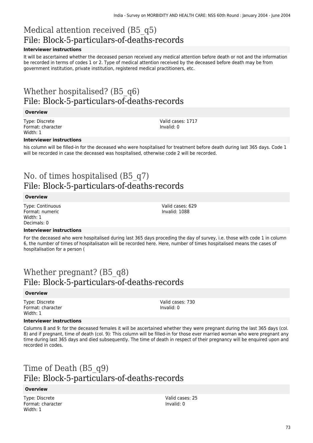# Medical attention received (B5 q5) File: Block-5-particulars-of-deaths-records

### **Interviewer instructions**

It will be ascertained whether the deceased person received any medical attention before death or not and the information be recorded in terms of codes 1 or 2. Type of medical attention received by the deceased before death may be from government institution, private institution, registered medical practitioners, etc.

# Whether hospitalised? (B5\_q6) File: Block-5-particulars-of-deaths-records

#### **Overview**

Type: Discrete Format: character Width: 1

#### **Interviewer instructions**

his column will be filled-in for the deceased who were hospitalised for treatment before death during last 365 days. Code 1 will be recorded in case the deceased was hospitalised, otherwise code 2 will be recorded.

# No. of times hospitalised (B5\_q7) File: Block-5-particulars-of-deaths-records

#### **Overview**

Type: Continuous Format: numeric Width: 1 Decimals: 0

Valid cases: 629 Invalid: 1088

Valid cases: 1717 Invalid: 0

#### **Interviewer instructions**

For the deceased who were hospitalised during last 365 days proceding the day of survey, i.e. those with code 1 in column 6, the number of times of hospitalisaton will be recorded here. Here, number of times hospitalised means the cases of hospitalisation for a person (

## Whether pregnant? (B5\_q8) File: Block-5-particulars-of-deaths-records

#### **Overview**

Type: Discrete Format: character Width: 1

Valid cases: 730 Invalid: 0

#### **Interviewer instructions**

Columns 8 and 9: for the deceased females it will be ascertained whether they were pregnant during the last 365 days (col. 8) and if pregnant, time of death (col. 9): This column will be filled-in for those ever married woman who were pregnant any time during last 365 days and died subsequently. The time of death in respect of their pregnancy will be enquired upon and recorded in codes.

# Time of Death (B5\_q9) File: Block-5-particulars-of-deaths-records

#### **Overview**

Type: Discrete Format: character Width: 1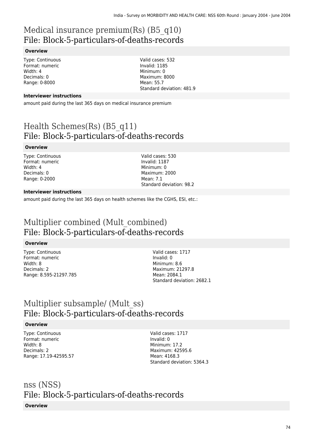# Medical insurance premium(Rs) (B5\_q10) File: Block-5-particulars-of-deaths-records

#### **Overview**

Type: Continuous Format: numeric Width: 4 Decimals: 0 Range: 0-8000

Valid cases: 532 Invalid: 1185 Minimum: 0 Maximum: 8000 Mean: 55.7 Standard deviation: 481.9

#### **Interviewer instructions**

amount paid during the last 365 days on medical insurance premium

## Health Schemes(Rs) (B5\_q11) File: Block-5-particulars-of-deaths-records

#### **Overview**

Type: Continuous Format: numeric Width: 4 Decimals: 0 Range: 0-2000

Valid cases: 530 Invalid: 1187 Minimum: 0 Maximum: 2000 Mean: 7.1 Standard deviation: 98.2

#### **Interviewer instructions**

amount paid during the last 365 days on health schemes like the CGHS, ESI, etc.:

## Multiplier combined (Mult\_combined) File: Block-5-particulars-of-deaths-records

#### **Overview**

Type: Continuous Format: numeric Width: 8 Decimals: 2 Range: 8.595-21297.785

Valid cases: 1717 Invalid: 0 Minimum: 8.6 Maximum: 21297.8 Mean: 2084.1 Standard deviation: 2682.1

## Multiplier subsample/ (Mult\_ss) File: Block-5-particulars-of-deaths-records

#### **Overview**

Type: Continuous Format: numeric Width: 8 Decimals: 2 Range: 17.19-42595.57

Valid cases: 1717 Invalid: 0 Minimum: 17.2 Maximum: 42595.6 Mean: 4168.3 Standard deviation: 5364.3

## nss (NSS) File: Block-5-particulars-of-deaths-records

### **Overview**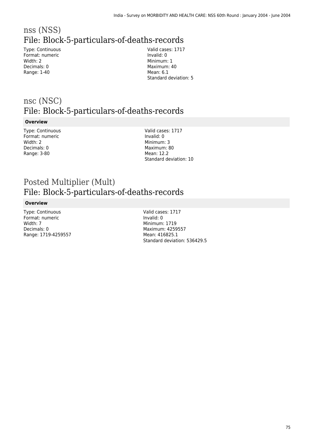# nss (NSS) File: Block-5-particulars-of-deaths-records

Type: Continuous Format: numeric Width: 2 Decimals: 0 Range: 1-40

Valid cases: 1717 Invalid: 0 Minimum: 1 Maximum: 40 Mean: 6.1 Standard deviation: 5

# nsc (NSC) File: Block-5-particulars-of-deaths-records

### **Overview**

Type: Continuous Format: numeric Width: 2 Decimals: 0 Range: 3-80

Valid cases: 1717 Invalid: 0 Minimum: 3 Maximum: 80 Mean: 12.2 Standard deviation: 10

## Posted Multiplier (Mult) File: Block-5-particulars-of-deaths-records

### **Overview**

Type: Continuous Format: numeric Width: 7 Decimals: 0 Range: 1719-4259557 Valid cases: 1717 Invalid: 0 Minimum: 1719 Maximum: 4259557 Mean: 416825.1 Standard deviation: 536429.5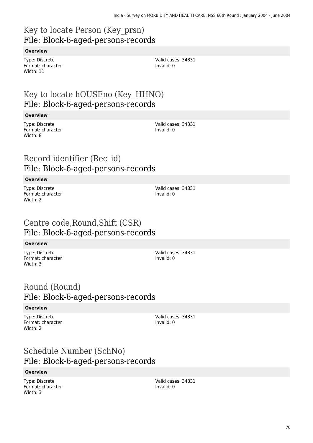# Key to locate Person (Key\_prsn) File: Block-6-aged-persons-records

### **Overview**

Type: Discrete Format: character Width: 11

Valid cases: 34831 Invalid: 0

# Key to locate hOUSEno (Key\_HHNO) File: Block-6-aged-persons-records

#### **Overview**

Type: Discrete Format: character Width: 8

Valid cases: 34831 Invalid: 0

## Record identifier (Rec\_id) File: Block-6-aged-persons-records

#### **Overview**

Type: Discrete Format: character Width: 2

Valid cases: 34831 Invalid: 0

## Centre code,Round,Shift (CSR) File: Block-6-aged-persons-records

### **Overview**

Type: Discrete Format: character Width: 3

Valid cases: 34831 Invalid: 0

## Round (Round) File: Block-6-aged-persons-records

### **Overview**

Type: Discrete Format: character Width: 2

Valid cases: 34831 Invalid: 0

## Schedule Number (SchNo) File: Block-6-aged-persons-records

### **Overview**

Type: Discrete Format: character Width: 3

Valid cases: 34831 Invalid: 0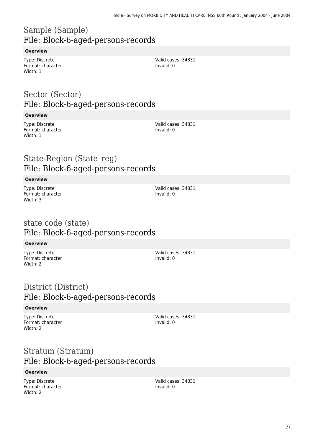# Sample (Sample) File: Block-6-aged-persons-records

### **Overview**

Type: Discrete Format: character Width: 1

Valid cases: 34831 Invalid: 0

# Sector (Sector) File: Block-6-aged-persons-records

#### **Overview**

Type: Discrete Format: character Width: 1

Valid cases: 34831 Invalid: 0

## State-Region (State\_reg) File: Block-6-aged-persons-records

#### **Overview**

Type: Discrete Format: character Width: 3

Valid cases: 34831 Invalid: 0

## state code (state) File: Block-6-aged-persons-records

### **Overview**

Type: Discrete Format: character Width: 2

Valid cases: 34831 Invalid: 0

## District (District) File: Block-6-aged-persons-records

#### **Overview**

Type: Discrete Format: character Width: 2

Valid cases: 34831 Invalid: 0

## Stratum (Stratum) File: Block-6-aged-persons-records

### **Overview**

Type: Discrete Format: character Width: 2

Valid cases: 34831 Invalid: 0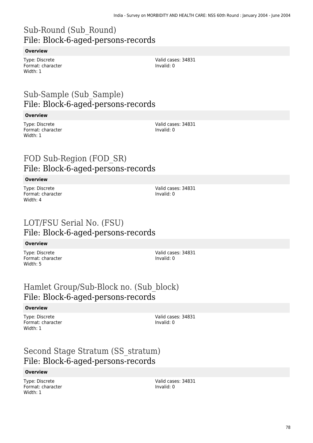# Sub-Round (Sub\_Round) File: Block-6-aged-persons-records

### **Overview**

Type: Discrete Format: character Width: 1

Valid cases: 34831 Invalid: 0

# Sub-Sample (Sub\_Sample) File: Block-6-aged-persons-records

#### **Overview**

Type: Discrete Format: character Width: 1

Valid cases: 34831 Invalid: 0

## FOD Sub-Region (FOD\_SR) File: Block-6-aged-persons-records

### **Overview**

Type: Discrete Format: character Width: 4

Valid cases: 34831 Invalid: 0

## LOT/FSU Serial No. (FSU) File: Block-6-aged-persons-records

### **Overview**

Type: Discrete Format: character Width: 5

Valid cases: 34831 Invalid: 0

## Hamlet Group/Sub-Block no. (Sub\_block) File: Block-6-aged-persons-records

### **Overview**

Type: Discrete Format: character Width: 1

Valid cases: 34831 Invalid: 0

# Second Stage Stratum (SS\_stratum) File: Block-6-aged-persons-records

### **Overview**

Type: Discrete Format: character Width: 1

Valid cases: 34831 Invalid: 0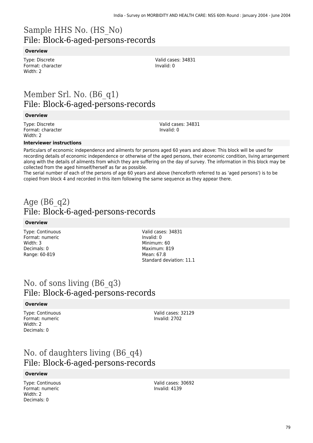# Sample HHS No. (HS\_No) File: Block-6-aged-persons-records

### **Overview**

Type: Discrete Format: character Width: 2

Valid cases: 34831 Invalid: 0

# Member Srl. No. (B6\_q1) File: Block-6-aged-persons-records

#### **Overview**

Type: Discrete Format: character Width: 2

Valid cases: 34831 Invalid: 0

#### **Interviewer instructions**

Particulars of economic independence and ailments for persons aged 60 years and above: This block will be used for recording details of economic independence or otherwise of the aged persons, their economic condition, living arrangement along with the details of ailments from which they are suffering on the day of survey. The information in this block may be collected from the aged himself/herself as far as possible.

The serial number of each of the persons of age 60 years and above (henceforth referred to as 'aged persons') is to be copied from block 4 and recorded in this item following the same sequence as they appear there.

## Age (B6\_q2) File: Block-6-aged-persons-records

#### **Overview**

Type: Continuous Format: numeric Width: 3 Decimals: 0 Range: 60-819

Valid cases: 34831 Invalid: 0 Minimum: 60 Maximum: 819 Mean: 67.8 Standard deviation: 11.1

## No. of sons living (B6\_q3) File: Block-6-aged-persons-records

#### **Overview**

Type: Continuous Format: numeric Width: 2 Decimals: 0

Valid cases: 32129 Invalid: 2702

## No. of daughters living (B6\_q4) File: Block-6-aged-persons-records

### **Overview**

Type: Continuous Format: numeric Width: 2 Decimals: 0

Valid cases: 30692 Invalid: 4139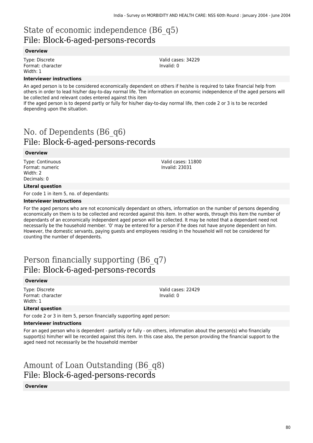# State of economic independence (B6\_q5) File: Block-6-aged-persons-records

#### **Overview**

Type: Discrete Format: character Width: 1

#### **Interviewer instructions**

An aged person is to be considered economically dependent on others if he/she is required to take financial help from others in order to lead his/her day-to-day normal life. The information on economic independence of the aged persons will be collected and relevant codes entered against this item

If the aged person is to depend partly or fully for his/her day-to-day normal life, then code 2 or 3 is to be recorded depending upon the situation.

## No. of Dependents (B6\_q6) File: Block-6-aged-persons-records

#### **Overview**

Type: Continuous Format: numeric Width: 2 Decimals: 0

#### **Literal question**

For code 1 in item 5, no. of dependants:

#### **Interviewer instructions**

For the aged persons who are not economically dependant on others, information on the number of persons depending economically on them is to be collected and recorded against this item. In other words, through this item the number of dependants of an economically independent aged person will be collected. It may be noted that a dependant need not necessarily be the household member. '0' may be entered for a person if he does not have anyone dependent on him. However, the domestic servants, paying guests and employees residing in the household will not be considered for counting the number of dependents.

## Person financially supporting (B6\_q7) File: Block-6-aged-persons-records

#### **Overview**

Type: Discrete Format: character Width: 1

Valid cases: 22429 Invalid: 0

### **Literal question**

For code 2 or 3 in item 5, person financially supporting aged person:

#### **Interviewer instructions**

For an aged person who is dependent - partially or fully - on others, information about the person(s) who financially support(s) him/her will be recorded against this item. In this case also, the person providing the financial support to the aged need not necessarily be the household member

Amount of Loan Outstanding (B6\_q8) File: Block-6-aged-persons-records

#### **Overview**

Valid cases: 34229 Invalid: 0

Valid cases: 11800 Invalid: 23031

80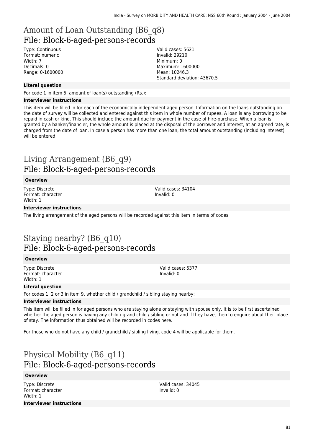## Amount of Loan Outstanding (B6\_q8) File: Block-6-aged-persons-records

Type: Continuous Format: numeric Width: 7 Decimals: 0 Range: 0-1600000 Valid cases: 5621 Invalid: 29210 Minimum: 0 Maximum: 1600000 Mean: 10246.3 Standard deviation: 43670.5

#### **Literal question**

For code 1 in item 5, amount of loan(s) outstanding (Rs.):

#### **Interviewer instructions**

This item will be filled in for each of the economically independent aged person. Information on the loans outstanding on the date of survey will be collected and entered against this item in whole number of rupees. A loan is any borrowing to be repaid in cash or kind. This should include the amount due for payment in the case of hire-purchase. When a loan is granted by a banker/financier, the whole amount is placed at the disposal of the borrower and interest, at an agreed rate, is charged from the date of loan. In case a person has more than one loan, the total amount outstanding (including interest) will be entered.

## Living Arrangement (B6\_q9) File: Block-6-aged-persons-records

#### **Overview**

Type: Discrete Format: character Width: 1

Valid cases: 34104 Invalid: 0

#### **Interviewer instructions**

The living arrangement of the aged persons will be recorded against this item in terms of codes

# Staying nearby? (B6\_q10) File: Block-6-aged-persons-records

#### **Overview**

Type: Discrete Format: character Width: 1

Valid cases: 5377 Invalid: 0

#### **Literal question**

For codes 1, 2 or 3 in item 9, whether child / grandchild / sibling staying nearby:

#### **Interviewer instructions**

This item will be filled in for aged persons who are staying alone or staying with spouse only. It is to be first ascertained whether the aged person is having any child / grand child / sibling or not and if they have, then to enguire about their place of stay. The information thus obtained will be recorded in codes here.

For those who do not have any child / grandchild / sibling living, code 4 will be applicable for them.

# Physical Mobility (B6\_q11) File: Block-6-aged-persons-records

#### **Overview**

Type: Discrete Format: character Width: 1

Valid cases: 34045 Invalid: 0

**Interviewer instructions**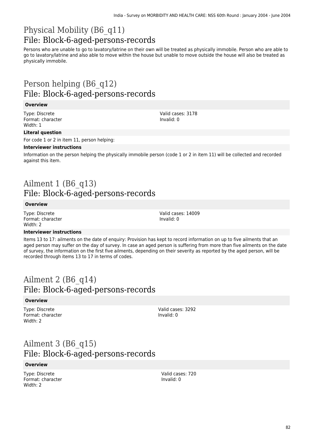# Physical Mobility (B6\_q11) File: Block-6-aged-persons-records

Persons who are unable to go to lavatory/latrine on their own will be treated as physically immobile. Person who are able to go to lavatory/latrine and also able to move within the house but unable to move outside the house will also be treated as physically immobile.

# Person helping (B6\_q12) File: Block-6-aged-persons-records

### **Overview**

Type: Discrete Format: character Width: 1

#### **Literal question**

For code 1 or 2 in item 11, person helping:

#### **Interviewer instructions**

Information on the person helping the physically immobile person (code 1 or 2 in item 11) will be collected and recorded against this item.

## Ailment 1 (B6\_q13) File: Block-6-aged-persons-records

### **Overview**

Type: Discrete Format: character Width: 2

Valid cases: 14009 Invalid: 0

Valid cases: 3178 Invalid: 0

### **Interviewer instructions**

Items 13 to 17: ailments on the date of enquiry: Provision has kept to record information on up to five ailments that an aged person may suffer on the day of survey. In case an aged person is suffering from more than five ailments on the date of survey, the information on the first five ailments, depending on their severity as reported by the aged person, will be recorded through items 13 to 17 in terms of codes.

# Ailment 2 (B6\_q14) File: Block-6-aged-persons-records

### **Overview**

Type: Discrete Format: character Width: 2

Valid cases: 3292 Invalid: 0

# Ailment 3 (B6\_q15) File: Block-6-aged-persons-records

#### **Overview**

Type: Discrete Format: character Width: 2

Valid cases: 720 Invalid: 0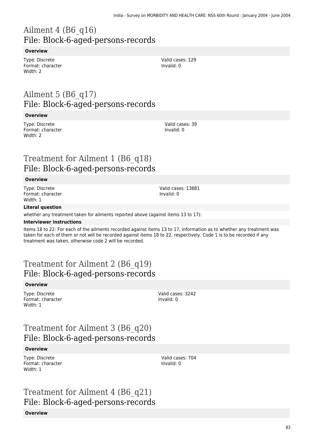# Ailment 4 (B6\_q16) File: Block-6-aged-persons-records

#### **Overview**

Type: Discrete Format: character Width: 2

# Ailment 5 (B6\_q17) File: Block-6-aged-persons-records

#### **Overview**

Type: Discrete Format: character Width: 2

# Treatment for Ailment 1 (B6\_q18) File: Block-6-aged-persons-records

#### **Overview**

Type: Discrete Format: character Width: 1

Valid cases: 13881 Invalid: 0

#### **Literal question**

whether any treatment taken for ailments reported above (against items 13 to 17):

#### **Interviewer instructions**

Items 18 to 22: For each of the ailments recorded against items 13 to 17, information as to whether any treatment was taken for each of them or not will be recorded against items 18 to 22, respectively. Code 1 is to be recorded if any treatment was taken, otherwise code 2 will be recorded.

## Treatment for Ailment 2 (B6\_q19) File: Block-6-aged-persons-records

#### **Overview**

Type: Discrete Format: character Width: 1

Valid cases: 3242 Invalid: 0

## Treatment for Ailment 3 (B6\_q20) File: Block-6-aged-persons-records

#### **Overview**

Type: Discrete Format: character Width: 1

Treatment for Ailment 4 (B6\_q21) File: Block-6-aged-persons-records **Overview**

Valid cases: 704 Invalid: 0

Valid cases: 129 Invalid: 0

> Valid cases: 39 Invalid: 0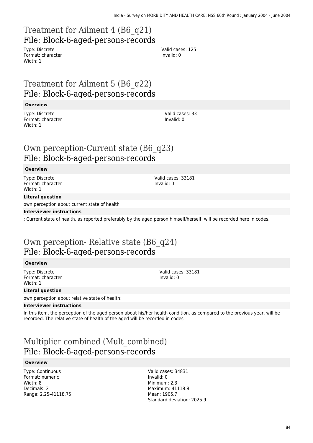# Treatment for Ailment 4 (B6\_q21) File: Block-6-aged-persons-records

Type: Discrete Format: character Width: 1

## Treatment for Ailment 5 (B6\_q22) File: Block-6-aged-persons-records

#### **Overview**

Type: Discrete Format: character Width: 1

Valid cases: 33 Invalid: 0

Valid cases: 33181

Invalid: 0

# Own perception-Current state (B6\_q23) File: Block-6-aged-persons-records

#### **Overview**

Type: Discrete Format: character Width: 1

### **Literal question**

own perception about current state of health

#### **Interviewer instructions**

: Current state of health, as reported preferably by the aged person himself/herself, will be recorded here in codes.

# Own perception- Relative state (B6\_q24) File: Block-6-aged-persons-records

### **Overview**

Type: Discrete Format: character Width: 1

Valid cases: 33181 Invalid: 0

### **Literal question**

own perception about relative state of health:

#### **Interviewer instructions**

In this item, the perception of the aged person about his/her health condition, as compared to the previous year, will be recorded. The relative state of health of the aged will be recorded in codes

# Multiplier combined (Mult\_combined) File: Block-6-aged-persons-records

#### **Overview**

Type: Continuous Format: numeric Width: 8 Decimals: 2 Range: 2.25-41118.75 Valid cases: 34831 Invalid: 0 Minimum: 2.3 Maximum: 41118.8 Mean: 1905.7 Standard deviation: 2025.9

Invalid: 0

Valid cases: 125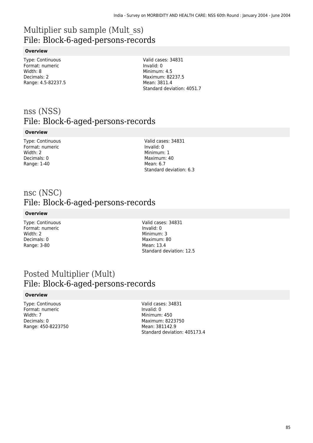# Multiplier sub sample (Mult\_ss) File: Block-6-aged-persons-records

### **Overview**

Type: Continuous Format: numeric Width: 8 Decimals: 2 Range: 4.5-82237.5 Valid cases: 34831 Invalid: 0 Minimum: 4.5 Maximum: 82237.5 Mean: 3811.4 Standard deviation: 4051.7

## nss (NSS) File: Block-6-aged-persons-records

#### **Overview**

Type: Continuous Format: numeric Width: 2 Decimals: 0 Range: 1-40

Valid cases: 34831 Invalid: 0 Minimum: 1 Maximum: 40 Mean: 6.7 Standard deviation: 6.3

## nsc (NSC) File: Block-6-aged-persons-records

### **Overview**

Type: Continuous Format: numeric Width: 2 Decimals: 0 Range: 3-80

Valid cases: 34831 Invalid: 0 Minimum: 3 Maximum: 80 Mean: 13.4 Standard deviation: 12.5

# Posted Multiplier (Mult) File: Block-6-aged-persons-records

### **Overview**

Type: Continuous Format: numeric Width: 7 Decimals: 0 Range: 450-8223750 Valid cases: 34831 Invalid: 0 Minimum: 450 Maximum: 8223750 Mean: 381142.9 Standard deviation: 405173.4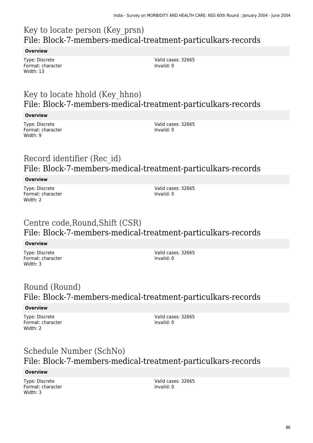# Key to locate person (Key\_prsn) File: Block-7-members-medical-treatment-particulkars-records

### **Overview**

Type: Discrete Format: character Width: 13

Valid cases: 32665 Invalid: 0

# Key to locate hhold (Key\_hhno) File: Block-7-members-medical-treatment-particulkars-records

### **Overview**

Type: Discrete Format: character Width: 9

Valid cases: 32665 Invalid: 0

# Record identifier (Rec\_id) File: Block-7-members-medical-treatment-particulkars-records

### **Overview**

Type: Discrete Format: character Width: 2

Valid cases: 32665 Invalid: 0

## Centre code,Round,Shift (CSR) File: Block-7-members-medical-treatment-particulkars-records

### **Overview**

Type: Discrete Format: character Width: 3

Valid cases: 32665 Invalid: 0

## Round (Round) File: Block-7-members-medical-treatment-particulkars-records

### **Overview**

Type: Discrete Format: character Width: 2

Valid cases: 32665 Invalid: 0

## Schedule Number (SchNo) File: Block-7-members-medical-treatment-particulkars-records

### **Overview**

Type: Discrete Format: character Width: 3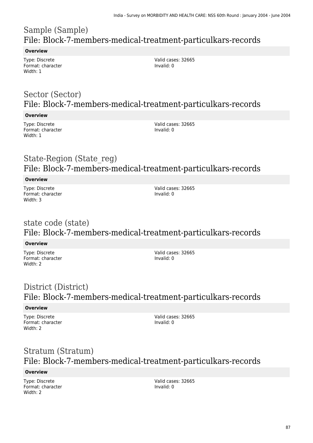# Sample (Sample) File: Block-7-members-medical-treatment-particulkars-records

### **Overview**

Type: Discrete Format: character Width: 1

Valid cases: 32665 Invalid: 0

# Sector (Sector) File: Block-7-members-medical-treatment-particulkars-records

### **Overview**

Type: Discrete Format: character Width: 1

Valid cases: 32665 Invalid: 0

## State-Region (State\_reg) File: Block-7-members-medical-treatment-particulkars-records

### **Overview**

Type: Discrete Format: character Width: 3

Valid cases: 32665 Invalid: 0

## state code (state) File: Block-7-members-medical-treatment-particulkars-records

### **Overview**

Type: Discrete Format: character Width: 2

Valid cases: 32665 Invalid: 0

# District (District) File: Block-7-members-medical-treatment-particulkars-records

### **Overview**

Type: Discrete Format: character Width: 2

Valid cases: 32665 Invalid: 0

## Stratum (Stratum) File: Block-7-members-medical-treatment-particulkars-records

### **Overview**

Type: Discrete Format: character Width: 2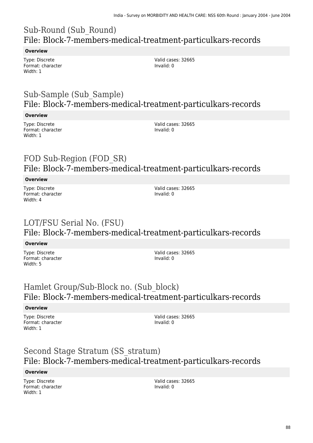# Sub-Round (Sub\_Round) File: Block-7-members-medical-treatment-particulkars-records

#### **Overview**

Type: Discrete Format: character Width: 1

Valid cases: 32665 Invalid: 0

# Sub-Sample (Sub\_Sample) File: Block-7-members-medical-treatment-particulkars-records

### **Overview**

Type: Discrete Format: character Width: 1

Valid cases: 32665 Invalid: 0

# FOD Sub-Region (FOD\_SR) File: Block-7-members-medical-treatment-particulkars-records

### **Overview**

Type: Discrete Format: character Width: 4

Valid cases: 32665 Invalid: 0

## LOT/FSU Serial No. (FSU) File: Block-7-members-medical-treatment-particulkars-records

### **Overview**

Type: Discrete Format: character Width: 5

Valid cases: 32665 Invalid: 0

## Hamlet Group/Sub-Block no. (Sub\_block) File: Block-7-members-medical-treatment-particulkars-records

### **Overview**

Type: Discrete Format: character Width: 1

Valid cases: 32665 Invalid: 0

## Second Stage Stratum (SS\_stratum) File: Block-7-members-medical-treatment-particulkars-records

### **Overview**

Type: Discrete Format: character Width: 1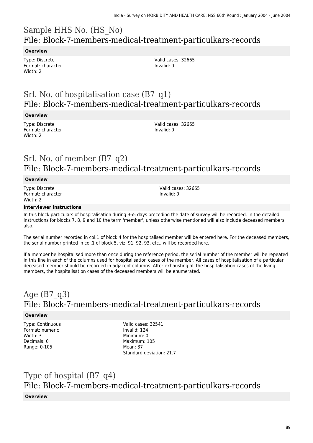# Sample HHS No. (HS\_No) File: Block-7-members-medical-treatment-particulkars-records

#### **Overview**

Type: Discrete Format: character Width: 2

Valid cases: 32665 Invalid: 0

# Srl. No. of hospitalisation case (B7\_q1) File: Block-7-members-medical-treatment-particulkars-records

#### **Overview**

Type: Discrete Format: character Width: 2

Valid cases: 32665 Invalid: 0

# Srl. No. of member (B7\_q2) File: Block-7-members-medical-treatment-particulkars-records

### **Overview**

Type: Discrete Format: character Width: 2

Valid cases: 32665 Invalid: 0

#### **Interviewer instructions**

In this block particulars of hospitalisation during 365 days preceding the date of survey will be recorded. In the detailed instructions for blocks 7, 8, 9 and 10 the term 'member', unless otherwise mentioned will also include deceased members also.

The serial number recorded in col.1 of block 4 for the hospitalised member will be entered here. For the deceased members, the serial number printed in col.1 of block 5, viz. 91, 92, 93, etc., will be recorded here.

If a member be hospitalised more than once during the reference period, the serial number of the member will be repeated in this line in each of the columns used for hospitalisation cases of the member. All cases of hospitalisation of a particular deceased member should be recorded in adjacent columns. After exhausting all the hospitalisation cases of the living members, the hospitalisation cases of the deceased members will be enumerated.

## Age (B7\_q3) File: Block-7-members-medical-treatment-particulkars-records

#### **Overview**

Type: Continuous Format: numeric Width: 3 Decimals: 0 Range: 0-105

Valid cases: 32541 Invalid: 124 Minimum: 0 Maximum: 105 Mean: 37 Standard deviation: 21.7

# Type of hospital (B7\_q4) File: Block-7-members-medical-treatment-particulkars-records

#### **Overview**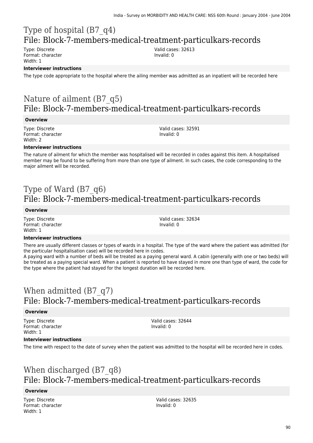# Type of hospital (B7\_q4) File: Block-7-members-medical-treatment-particulkars-records

Type: Discrete Format: character Width: 1

Valid cases: 32613 Invalid: 0

### **Interviewer instructions**

The type code appropriate to the hospital where the ailing member was admitted as an inpatient will be recorded here

## Nature of ailment (B7\_q5) File: Block-7-members-medical-treatment-particulkars-records

#### **Overview**

Type: Discrete Format: character Width: 2

Valid cases: 32591 Invalid: 0

#### **Interviewer instructions**

The nature of ailment for which the member was hospitalised will be recorded in codes against this item. A hospitalised member may be found to be suffering from more than one type of ailment. In such cases, the code corresponding to the major ailment will be recorded.

## Type of Ward (B7\_q6) File: Block-7-members-medical-treatment-particulkars-records

#### **Overview**

Type: Discrete Format: character Width: 1

Valid cases: 32634 Invalid: 0

#### **Interviewer instructions**

There are usually different classes or types of wards in a hospital. The type of the ward where the patient was admitted (for the particular hospitalisation case) will be recorded here in codes.

A paying ward with a number of beds will be treated as a paying general ward. A cabin (generally with one or two beds) will be treated as a paying special ward. When a patient is reported to have stayed in more one than type of ward, the code for the type where the patient had stayed for the longest duration will be recorded here.

# When admitted (B7\_q7) File: Block-7-members-medical-treatment-particulkars-records

#### **Overview**

Type: Discrete Format: character Width: 1

Valid cases: 32644 Invalid: 0

#### **Interviewer instructions**

The time with respect to the date of survey when the patient was admitted to the hospital will be recorded here in codes.

# When discharged (B7\_q8) File: Block-7-members-medical-treatment-particulkars-records

#### **Overview**

Type: Discrete Format: character Width: 1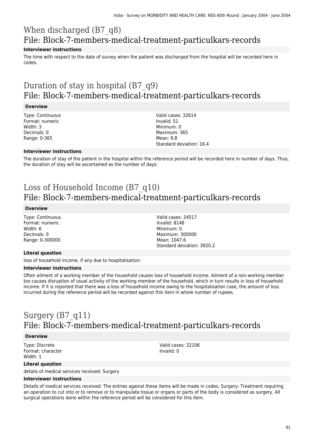### When discharged (B7\_q8) File: Block-7-members-medical-treatment-particulkars-records **Interviewer instructions**

The time with respect to the date of survey when the patient was discharged from the hospital will be recorded here in codes.

# Duration of stay in hospital (B7\_q9) File: Block-7-members-medical-treatment-particulkars-records

#### **Overview**

Type: Continuous Format: numeric Width: 3 Decimals: 0 Range: 0-365

Valid cases: 32614 Invalid: 51 Minimum: 0 Maximum: 365 Mean: 9.8 Standard deviation: 16.4

#### **Interviewer instructions**

The duration of stay of the patient in the hospital within the reference period will be recorded here in number of days. Thus, the duration of stay will be ascertained as the number of days:

# Loss of Household Income (B7\_q10) File: Block-7-members-medical-treatment-particulkars-records

#### **Overview**

Type: Continuous Format: numeric Width: 6 Decimals: 0 Range: 0-300000

### **Literal question**

loss of household income, if any due to hospitalisation:

#### **Interviewer instructions**

Often ailment of a working member of the household causes loss of household income. Ailment of a non-working member too causes disruption of usual activity of the working member of the household, which in turn results in loss of household income. If it is reported that there was a loss of household income owing to the hospitalisation case, the amount of loss incurred during the reference period will be recorded against this item in whole number of rupees.

# Surgery (B7\_q11) File: Block-7-members-medical-treatment-particulkars-records

#### **Overview**

Type: Discrete Format: character Width: 1

Valid cases: 32106 Invalid: 0

### **Literal question**

details of medical services received: Surgery

#### **Interviewer instructions**

Details of medical services received: The entries against these items will be made in codes. Surgery: Treatment requiring an operation to cut into or to remove or to manipulate tissue or organs or parts of the body is considered as surgery. All surgical operations done within the reference period will be considered for this item.

Valid cases: 24517 Invalid: 8148 Minimum: 0 Maximum: 300000 Mean: 1047.6 Standard deviation: 3920.2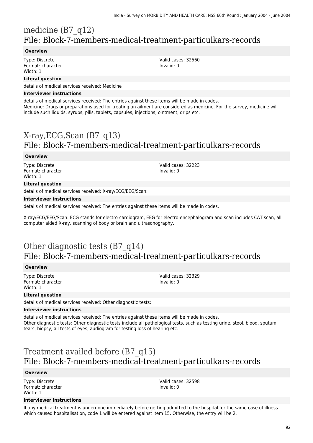# medicine (B7\_q12) File: Block-7-members-medical-treatment-particulkars-records

#### **Overview**

Type: Discrete Format: character Width: 1

#### Valid cases: 32560 Invalid: 0

Valid cases: 32223

Invalid: 0

### **Literal question**

details of medical services received: Medicine

#### **Interviewer instructions**

details of medical services received: The entries against these items will be made in codes. Medicine: Drugs or preparations used for treating an ailment are considered as medicine. For the survey, medicine will include such liquids, syrups, pills, tablets, capsules, injections, ointment, drips etc.

# X-ray,ECG,Scan (B7\_q13) File: Block-7-members-medical-treatment-particulkars-records

#### **Overview**

Type: Discrete Format: character Width: 1

#### **Literal question**

details of medical services received: X-ray/ECG/EEG/Scan:

#### **Interviewer instructions**

details of medical services received: The entries against these items will be made in codes.

X-ray/ECG/EEG/Scan: ECG stands for electro-cardiogram, EEG for electro-encephalogram and scan includes CAT scan, all computer aided X-ray, scanning of body or brain and ultrasonography.

## Other diagnostic tests (B7\_q14) File: Block-7-members-medical-treatment-particulkars-records

#### **Overview**

Type: Discrete Format: character Width: 1

Valid cases: 32329 Invalid: 0

#### **Literal question**

details of medical services received: Other diagnostic tests:

#### **Interviewer instructions**

details of medical services received: The entries against these items will be made in codes. Other diagnostic tests: Other diagnostic tests include all pathological tests, such as testing urine, stool, blood, sputum, tears, biopsy, all tests of eyes, audiogram for testing loss of hearing etc.

# Treatment availed before (B7\_q15) File: Block-7-members-medical-treatment-particulkars-records

#### **Overview**

Type: Discrete Format: character Width: 1

Valid cases: 32598 Invalid: 0

### **Interviewer instructions**

If any medical treatment is undergone immediately before getting admitted to the hospital for the same case of illness which caused hospitalisation, code 1 will be entered against item 15. Otherwise, the entry will be 2.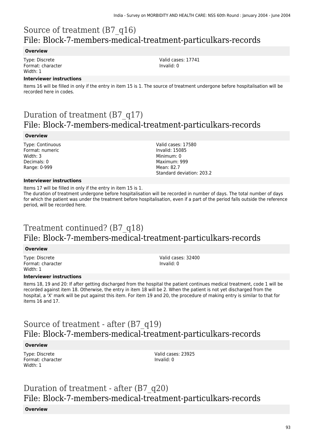# Source of treatment (B7\_q16) File: Block-7-members-medical-treatment-particulkars-records

#### **Overview**

Type: Discrete Format: character Width: 1

#### **Interviewer instructions**

Items 16 will be filled in only if the entry in item 15 is 1. The source of treatment undergone before hospitalisation will be recorded here in codes.

# Duration of treatment (B7\_q17) File: Block-7-members-medical-treatment-particulkars-records

#### **Overview**

Type: Continuous Format: numeric Width: 3 Decimals: 0 Range: 0-999

#### **Interviewer instructions**

Items 17 will be filled in only if the entry in item 15 is 1.

The duration of treatment undergone before hospitalisation will be recorded in number of days. The total number of days for which the patient was under the treatment before hospitalisation, even if a part of the period falls outside the reference period, will be recorded here.

# Treatment continued? (B7\_q18) File: Block-7-members-medical-treatment-particulkars-records

### **Overview**

Type: Discrete Format: character Width: 1

Valid cases: 32400 Invalid: 0

### **Interviewer instructions**

Items 18, 19 and 20: If after getting discharged from the hospital the patient continues medical treatment, code 1 will be recorded against item 18. Otherwise, the entry in item 18 will be 2. When the patient is not yet discharged from the hospital, a 'X' mark will be put against this item. For item 19 and 20, the procedure of making entry is similar to that for items 16 and 17.

## Source of treatment - after (B7\_q19) File: Block-7-members-medical-treatment-particulkars-records

#### **Overview**

Type: Discrete Format: character Width: 1

Valid cases: 23925 Invalid: 0

# Duration of treatment - after (B7\_q20) File: Block-7-members-medical-treatment-particulkars-records

#### **Overview**

Valid cases: 17741 Invalid: 0

Valid cases: 17580 Invalid: 15085 Minimum: 0 Maximum: 999 Mean: 82.7

Standard deviation: 203.2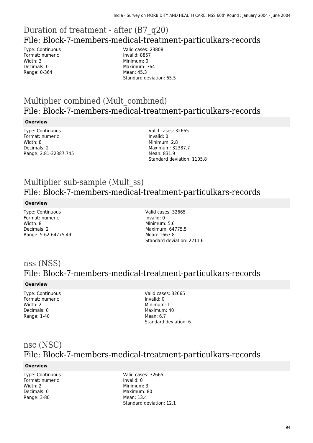# Duration of treatment - after (B7\_q20) File: Block-7-members-medical-treatment-particulkars-records

Type: Continuous Format: numeric Width: 3 Decimals: 0 Range: 0-364

Valid cases: 23808 Invalid: 8857 Minimum: 0 Maximum: 364 Mean: 45.3 Standard deviation: 65.5

# Multiplier combined (Mult\_combined) File: Block-7-members-medical-treatment-particulkars-records

### **Overview**

Type: Continuous Format: numeric Width: 8 Decimals: 2 Range: 2.81-32387.745 Valid cases: 32665 Invalid: 0 Minimum: 2.8 Maximum: 32387.7 Mean: 831.9 Standard deviation: 1105.8

## Multiplier sub-sample (Mult\_ss) File: Block-7-members-medical-treatment-particulkars-records

### **Overview**

Type: Continuous Format: numeric Width: 8 Decimals: 2 Range: 5.62-64775.49 Valid cases: 32665 Invalid: 0 Minimum: 5.6 Maximum: 64775.5 Mean: 1663.8 Standard deviation: 2211.6

# nss (NSS) File: Block-7-members-medical-treatment-particulkars-records

### **Overview**

Type: Continuous Format: numeric Width: 2 Decimals: 0 Range: 1-40

Valid cases: 32665 Invalid: 0 Minimum: 1 Maximum: 40 Mean: 6.7 Standard deviation: 6

# nsc (NSC) File: Block-7-members-medical-treatment-particulkars-records

### **Overview**

Type: Continuous Format: numeric Width: 2 Decimals: 0 Range: 3-80

Valid cases: 32665 Invalid: 0 Minimum: 3 Maximum: 80 Mean: 13.4 Standard deviation: 12.1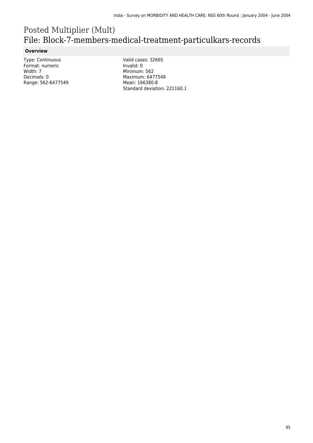# Posted Multiplier (Mult) File: Block-7-members-medical-treatment-particulkars-records

### **Overview**

Type: Continuous Format: numeric Width: 7 Decimals: 0 Range: 562-6477549

Valid cases: 32665 Invalid: 0 Minimum: 562 Maximum: 6477549 Mean: 166380.8 Standard deviation: 221160.1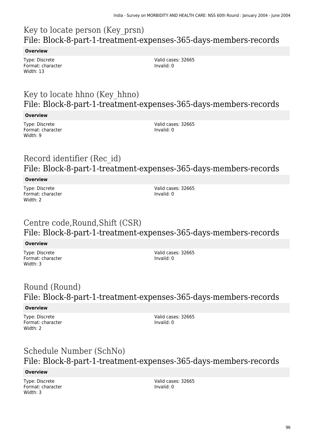# Key to locate person (Key\_prsn) File: Block-8-part-1-treatment-expenses-365-days-members-records

### **Overview**

Type: Discrete Format: character Width: 13

Valid cases: 32665 Invalid: 0

## Key to locate hhno (Key\_hhno) File: Block-8-part-1-treatment-expenses-365-days-members-records

### **Overview**

Type: Discrete Format: character Width: 9

Valid cases: 32665 Invalid: 0

## Record identifier (Rec\_id) File: Block-8-part-1-treatment-expenses-365-days-members-records

### **Overview**

Type: Discrete Format: character Width: 2

Valid cases: 32665 Invalid: 0

## Centre code,Round,Shift (CSR) File: Block-8-part-1-treatment-expenses-365-days-members-records

### **Overview**

Type: Discrete Format: character Width: 3

Valid cases: 32665 Invalid: 0

## Round (Round) File: Block-8-part-1-treatment-expenses-365-days-members-records

### **Overview**

Type: Discrete Format: character Width: 2

Valid cases: 32665 Invalid: 0

## Schedule Number (SchNo) File: Block-8-part-1-treatment-expenses-365-days-members-records

### **Overview**

Type: Discrete Format: character Width: 3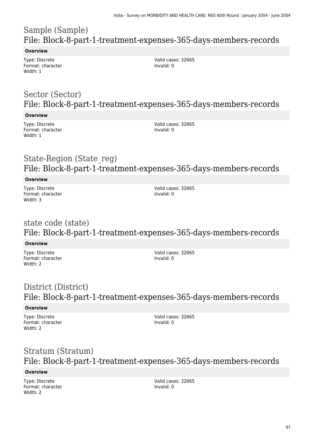# Sample (Sample) File: Block-8-part-1-treatment-expenses-365-days-members-records

### **Overview**

Type: Discrete Format: character Width: 1

Valid cases: 32665 Invalid: 0

# Sector (Sector) File: Block-8-part-1-treatment-expenses-365-days-members-records

### **Overview**

Type: Discrete Format: character Width: 1

Valid cases: 32665 Invalid: 0

## State-Region (State\_reg) File: Block-8-part-1-treatment-expenses-365-days-members-records

### **Overview**

Type: Discrete Format: character Width: 3

Valid cases: 32665 Invalid: 0

## state code (state) File: Block-8-part-1-treatment-expenses-365-days-members-records

### **Overview**

Type: Discrete Format: character Width: 2

Valid cases: 32665 Invalid: 0

# District (District) File: Block-8-part-1-treatment-expenses-365-days-members-records

### **Overview**

Type: Discrete Format: character Width: 2

Valid cases: 32665 Invalid: 0

## Stratum (Stratum) File: Block-8-part-1-treatment-expenses-365-days-members-records

### **Overview**

Type: Discrete Format: character Width: 2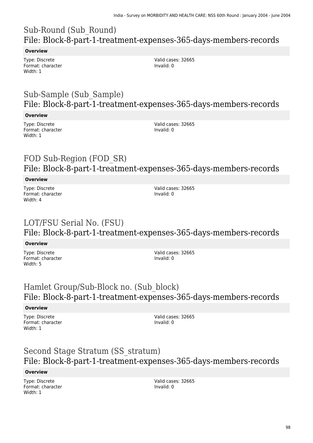# Sub-Round (Sub\_Round) File: Block-8-part-1-treatment-expenses-365-days-members-records

#### **Overview**

Type: Discrete Format: character Width: 1

Valid cases: 32665 Invalid: 0

# Sub-Sample (Sub\_Sample) File: Block-8-part-1-treatment-expenses-365-days-members-records

### **Overview**

Type: Discrete Format: character Width: 1

Valid cases: 32665 Invalid: 0

## FOD Sub-Region (FOD\_SR) File: Block-8-part-1-treatment-expenses-365-days-members-records

### **Overview**

Type: Discrete Format: character Width: 4

Valid cases: 32665 Invalid: 0

## LOT/FSU Serial No. (FSU) File: Block-8-part-1-treatment-expenses-365-days-members-records

### **Overview**

Type: Discrete Format: character Width: 5

Valid cases: 32665 Invalid: 0

# Hamlet Group/Sub-Block no. (Sub\_block) File: Block-8-part-1-treatment-expenses-365-days-members-records

### **Overview**

Type: Discrete Format: character Width: 1

Valid cases: 32665 Invalid: 0

## Second Stage Stratum (SS\_stratum) File: Block-8-part-1-treatment-expenses-365-days-members-records

### **Overview**

Type: Discrete Format: character Width: 1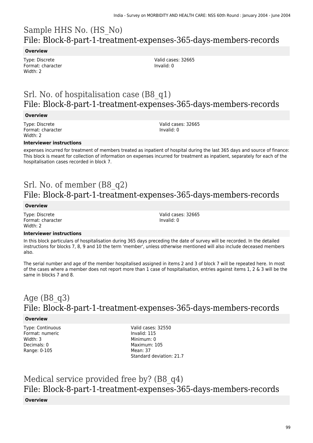# Sample HHS No. (HS\_No) File: Block-8-part-1-treatment-expenses-365-days-members-records

**Overview**

Type: Discrete Format: character Width: 2

Valid cases: 32665 Invalid: 0

# Srl. No. of hospitalisation case (B8 q1) File: Block-8-part-1-treatment-expenses-365-days-members-records

### **Overview**

Type: Discrete Format: character Width: 2

Valid cases: 32665 Invalid: 0

#### **Interviewer instructions**

expenses incurred for treatment of members treated as inpatient of hospital during the last 365 days and source of finance: This block is meant for collection of information on expenses incurred for treatment as inpatient, separately for each of the hospitalisation cases recorded in block 7.

## Srl. No. of member (B8\_q2) File: Block-8-part-1-treatment-expenses-365-days-members-records

#### **Overview**

Type: Discrete Format: character Width: 2

Valid cases: 32665 Invalid: 0

### **Interviewer instructions**

In this block particulars of hospitalisation during 365 days preceding the date of survey will be recorded. In the detailed instructions for blocks 7, 8, 9 and 10 the term 'member', unless otherwise mentioned will also include deceased members also.

The serial number and age of the member hospitalised assigned in items 2 and 3 of block 7 will be repeated here. In most of the cases where a member does not report more than 1 case of hospitalisation, entries against items 1, 2 & 3 will be the same in blocks 7 and 8.

## Age (B8\_q3) File: Block-8-part-1-treatment-expenses-365-days-members-records

#### **Overview**

Type: Continuous Format: numeric Width: 3 Decimals: 0 Range: 0-105

Valid cases: 32550 Invalid: 115 Minimum: 0 Maximum: 105 Mean: 37 Standard deviation: 21.7

# Medical service provided free by? (B8\_q4) File: Block-8-part-1-treatment-expenses-365-days-members-records

#### **Overview**

99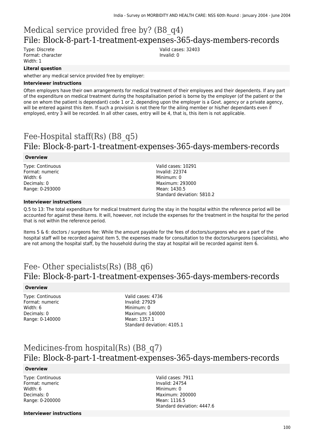# Medical service provided free by? (B8\_q4) File: Block-8-part-1-treatment-expenses-365-days-members-records

Type: Discrete Format: character Width: 1

Valid cases: 32403 Invalid: 0

### **Literal question**

whether any medical service provided free by employer:

#### **Interviewer instructions**

Often employers have their own arrangements for medical treatment of their employees and their dependents. If any part of the expenditure on medical treatment during the hospitalisation period is borne by the employer (of the patient or the one on whom the patient is dependant) code 1 or 2, depending upon the employer is a Govt. agency or a private agency, will be entered against this item. If such a provision is not there for the ailing member or his/her dependants even if employed, entry 3 will be recorded. In all other cases, entry will be 4, that is, this item is not applicable.

## Fee-Hospital staff(Rs) (B8\_q5) File: Block-8-part-1-treatment-expenses-365-days-members-records

#### **Overview**

Type: Continuous Format: numeric Width: 6 Decimals: 0 Range: 0-293000

Valid cases: 10291 Invalid: 22374 Minimum: 0 Maximum: 293000 Mean: 1430.5 Standard deviation: 5810.2

#### **Interviewer instructions**

Q.5 to 13: The total expenditure for medical treatment during the stay in the hospital within the reference period will be accounted for against these items. It will, however, not include the expenses for the treatment in the hospital for the period that is not within the reference period.

Items 5 & 6: doctors / surgeons fee: While the amount payable for the fees of doctors/surgeons who are a part of the hospital staff will be recorded against item 5, the expenses made for consultation to the doctors/surgeons (specialists), who are not among the hospital staff, by the household during the stay at hospital will be recorded against item 6.

## Fee- Other specialists(Rs) (B8\_q6) File: Block-8-part-1-treatment-expenses-365-days-members-records

#### **Overview**

Type: Continuous Format: numeric Width: 6 Decimals: 0 Range: 0-140000

Valid cases: 4736 Invalid: 27929 Minimum: 0 Maximum: 140000 Mean: 1357.1 Standard deviation: 4105.1

# Medicines-from hospital(Rs) (B8\_q7) File: Block-8-part-1-treatment-expenses-365-days-members-records

#### **Overview**

Type: Continuous Format: numeric Width: 6 Decimals: 0 Range: 0-200000

Valid cases: 7911 Invalid: 24754 Minimum: 0 Maximum: 200000 Mean: 1116.5 Standard deviation: 4447.6

#### **Interviewer instructions**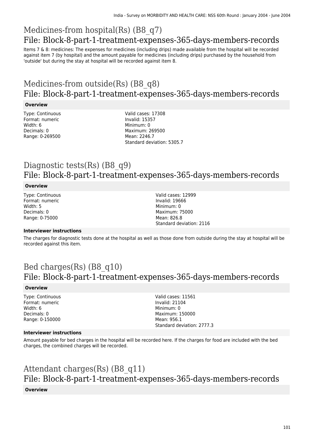# Medicines-from hospital(Rs) (B8\_q7) File: Block-8-part-1-treatment-expenses-365-days-members-records

Items 7 & 8: medicines: The expenses for medicines (including drips) made available from the hospital will be recorded against item 7 (by hospital) and the amount payable for medicines (including drips) purchased by the household from 'outside' but during the stay at hospital will be recorded against item 8.

# Medicines-from outside(Rs) (B8\_q8) File: Block-8-part-1-treatment-expenses-365-days-members-records

### **Overview**

Type: Continuous Format: numeric Width: 6 Decimals: 0 Range: 0-269500

Valid cases: 17308 Invalid: 15357 Minimum: 0 Maximum: 269500 Mean: 2246.7 Standard deviation: 5305.7

# Diagnostic tests(Rs) (B8\_q9) File: Block-8-part-1-treatment-expenses-365-days-members-records

### **Overview**

Type: Continuous Format: numeric Width: 5 Decimals: 0 Range: 0-75000

Valid cases: 12999 Invalid: 19666 Minimum: 0 Maximum: 75000 Mean: 826.8 Standard deviation: 2116

#### **Interviewer instructions**

The charges for diagnostic tests done at the hospital as well as those done from outside during the stay at hospital will be recorded against this item.

## Bed charges(Rs) (B8\_q10) File: Block-8-part-1-treatment-expenses-365-days-members-records

#### **Overview**

Type: Continuous Format: numeric Width: 6 Decimals: 0 Range: 0-150000

Valid cases: 11561 Invalid: 21104 Minimum: 0 Maximum: 150000 Mean: 956.1 Standard deviation: 2777.3

### **Interviewer instructions**

Amount payable for bed charges in the hospital will be recorded here. If the charges for food are included with the bed charges, the combined charges will be recorded.

## Attendant charges(Rs) (B8\_q11) File: Block-8-part-1-treatment-expenses-365-days-members-records **Overview**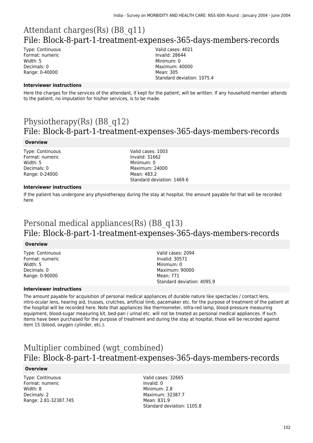# Attendant charges(Rs) (B8\_q11) File: Block-8-part-1-treatment-expenses-365-days-members-records

Type: Continuous Format: numeric Width: 5 Decimals: 0 Range: 0-40000

Valid cases: 4021 Invalid: 28644 Minimum: 0 Maximum: 40000 Mean: 305 Standard deviation: 1075.4

#### **Interviewer instructions**

Here the charges for the services of the attendant, if kept for the patient, will be written. If any household member attends to the patient, no imputation for his/her services, is to be made.

# Physiotherapy(Rs) (B8\_q12) File: Block-8-part-1-treatment-expenses-365-days-members-records

#### **Overview**

| Type: Continuous |
|------------------|
| Format: numeric  |
| Width: 5         |
| Decimals: 0      |
| Range: 0-24000   |
|                  |

Valid cases: 1003 Invalid: 31662 Minimum: 0 Maximum: 24000 Mean: 483.2 Standard deviation: 1469.6

#### **Interviewer instructions**

If the patient has undergone any physiotherapy during the stay at hospital, the amount payable for that will be recorded here

# Personal medical appliances(Rs) (B8\_q13) File: Block-8-part-1-treatment-expenses-365-days-members-records

#### **Overview**

Type: Continuous Format: numeric Width: 5 Decimals: 0 Range: 0-90000

Valid cases: 2094 Invalid: 30571 Minimum: 0 Maximum: 90000 Mean: 771 Standard deviation: 4095.9

#### **Interviewer instructions**

The amount payable for acquisition of personal medical appliances of durable nature like spectacles / contact lens, intro-ocular lens, hearing aid, trusses, crutches, artificial limb, pacemaker etc. for the purpose of treatment of the patient at the hospital will be recorded here. Note that appliances like thermometer, infra-red lamp, blood-pressure measuring equipment, blood-sugar measuring kit, bed-pan / urinal etc. will not be treated as personal medical appliances. If such items have been purchased for the purpose of treatment and during the stay at hospital, those will be recorded against item 15 (blood, oxygen cylinder, etc.).

# Multiplier combined (wgt\_combined) File: Block-8-part-1-treatment-expenses-365-days-members-records

### **Overview**

Type: Continuous Format: numeric Width: 8 Decimals: 2 Range: 2.81-32387.745 Valid cases: 32665 Invalid: 0 Minimum: 2.8 Maximum: 32387.7 Mean: 831.9 Standard deviation: 1105.8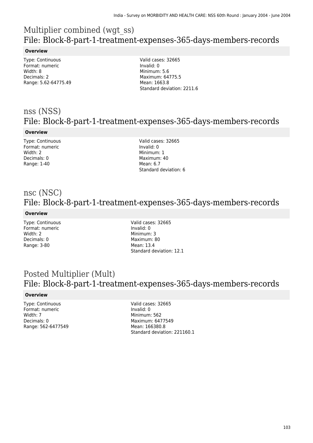# Multiplier combined (wgt\_ss) File: Block-8-part-1-treatment-expenses-365-days-members-records

### **Overview**

Type: Continuous Format: numeric Width: 8 Decimals: 2 Range: 5.62-64775.49 Valid cases: 32665 Invalid: 0 Minimum: 5.6 Maximum: 64775.5 Mean: 1663.8 Standard deviation: 2211.6

## nss (NSS) File: Block-8-part-1-treatment-expenses-365-days-members-records

#### **Overview**

Type: Continuous Format: numeric Width: 2 Decimals: 0 Range: 1-40

Valid cases: 32665 Invalid: 0 Minimum: 1 Maximum: 40 Mean: 6.7 Standard deviation: 6

## nsc (NSC) File: Block-8-part-1-treatment-expenses-365-days-members-records

### **Overview**

Type: Continuous Format: numeric Width: 2 Decimals: 0 Range: 3-80

Valid cases: 32665 Invalid: 0 Minimum: 3 Maximum: 80 Mean: 13.4 Standard deviation: 12.1

## Posted Multiplier (Mult) File: Block-8-part-1-treatment-expenses-365-days-members-records

### **Overview**

Type: Continuous Format: numeric Width: 7 Decimals: 0 Range: 562-6477549 Valid cases: 32665 Invalid: 0 Minimum: 562 Maximum: 6477549 Mean: 166380.8 Standard deviation: 221160.1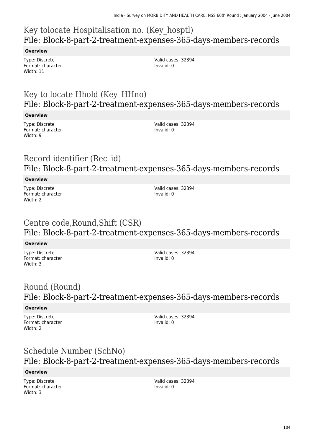# Key tolocate Hospitalisation no. (Key\_hosptl) File: Block-8-part-2-treatment-expenses-365-days-members-records

**Overview**

Type: Discrete Format: character Width: 11

Valid cases: 32394 Invalid: 0

# Key to locate Hhold (Key\_HHno) File: Block-8-part-2-treatment-expenses-365-days-members-records

### **Overview**

Type: Discrete Format: character Width: 9

Valid cases: 32394 Invalid: 0

## Record identifier (Rec\_id) File: Block-8-part-2-treatment-expenses-365-days-members-records

### **Overview**

Type: Discrete Format: character Width: 2

Valid cases: 32394 Invalid: 0

## Centre code,Round,Shift (CSR) File: Block-8-part-2-treatment-expenses-365-days-members-records

### **Overview**

Type: Discrete Format: character Width: 3

Valid cases: 32394 Invalid: 0

## Round (Round) File: Block-8-part-2-treatment-expenses-365-days-members-records

### **Overview**

Type: Discrete Format: character Width: 2

Valid cases: 32394 Invalid: 0

## Schedule Number (SchNo) File: Block-8-part-2-treatment-expenses-365-days-members-records

### **Overview**

Type: Discrete Format: character Width: 3

Valid cases: 32394 Invalid: 0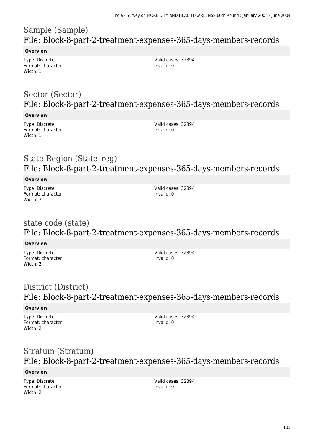# Sample (Sample) File: Block-8-part-2-treatment-expenses-365-days-members-records

### **Overview**

Type: Discrete Format: character Width: 1

Valid cases: 32394 Invalid: 0

# Sector (Sector) File: Block-8-part-2-treatment-expenses-365-days-members-records

### **Overview**

Type: Discrete Format: character Width: 1

Valid cases: 32394 Invalid: 0

## State-Region (State\_reg) File: Block-8-part-2-treatment-expenses-365-days-members-records

### **Overview**

Type: Discrete Format: character Width: 3

Valid cases: 32394 Invalid: 0

## state code (state) File: Block-8-part-2-treatment-expenses-365-days-members-records

### **Overview**

Type: Discrete Format: character Width: 2

Valid cases: 32394 Invalid: 0

# District (District) File: Block-8-part-2-treatment-expenses-365-days-members-records

### **Overview**

Type: Discrete Format: character Width: 2

Valid cases: 32394 Invalid: 0

## Stratum (Stratum) File: Block-8-part-2-treatment-expenses-365-days-members-records

### **Overview**

Type: Discrete Format: character Width: 2

Valid cases: 32394 Invalid: 0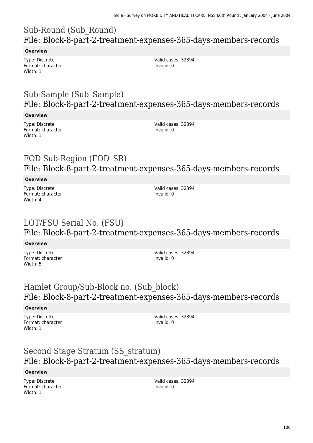# Sub-Round (Sub\_Round) File: Block-8-part-2-treatment-expenses-365-days-members-records

### **Overview**

Type: Discrete Format: character Width: 1

Valid cases: 32394 Invalid: 0

# Sub-Sample (Sub\_Sample) File: Block-8-part-2-treatment-expenses-365-days-members-records

### **Overview**

Type: Discrete Format: character Width: 1

Valid cases: 32394 Invalid: 0

## FOD Sub-Region (FOD\_SR) File: Block-8-part-2-treatment-expenses-365-days-members-records

### **Overview**

Type: Discrete Format: character Width: 4

Valid cases: 32394 Invalid: 0

## LOT/FSU Serial No. (FSU) File: Block-8-part-2-treatment-expenses-365-days-members-records

### **Overview**

Type: Discrete Format: character Width: 5

Valid cases: 32394 Invalid: 0

# Hamlet Group/Sub-Block no. (Sub\_block) File: Block-8-part-2-treatment-expenses-365-days-members-records

### **Overview**

Type: Discrete Format: character Width: 1

Valid cases: 32394 Invalid: 0

## Second Stage Stratum (SS\_stratum) File: Block-8-part-2-treatment-expenses-365-days-members-records

### **Overview**

Type: Discrete Format: character Width: 1

Valid cases: 32394 Invalid: 0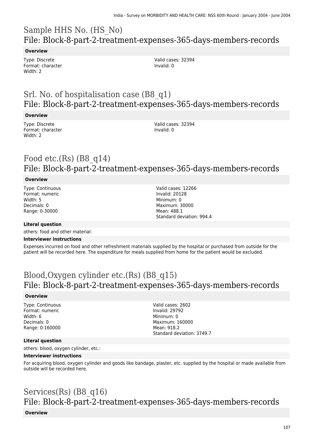# Sample HHS No. (HS\_No) File: Block-8-part-2-treatment-expenses-365-days-members-records

#### **Overview**

Type: Discrete Format: character Width: 2

Valid cases: 32394 Invalid: 0

# Srl. No. of hospitalisation case (B8 q1) File: Block-8-part-2-treatment-expenses-365-days-members-records

#### **Overview**

Type: Discrete Format: character Width: 2

Valid cases: 32394 Invalid: 0

## Food etc.(Rs)  $(B8q14)$ File: Block-8-part-2-treatment-expenses-365-days-members-records

#### **Overview**

Type: Continuous Format: numeric Width: 5 Decimals: 0 Range: 0-30000

Valid cases: 12266 Invalid: 20128 Minimum: 0 Maximum: 30000 Mean: 488.1 Standard deviation: 994.4

#### **Literal question**

others: food and other material:

#### **Interviewer instructions**

Expenses incurred on food and other refreshment materials supplied by the hospital or purchased from outside for the patient will be recorded here. The expenditure for meals supplied from home for the patient would be excluded.

# Blood,Oxygen cylinder etc.(Rs) (B8\_q15) File: Block-8-part-2-treatment-expenses-365-days-members-records

Valid cases: 2602 Invalid: 29792 Minimum: 0 Maximum: 160000 Mean: 918.2

Standard deviation: 3749.7

#### **Overview**

Type: Continuous Format: numeric Width: 6 Decimals: 0 Range: 0-160000

#### **Literal question**

others: blood, oxygen cylinder, etc.:

#### **Interviewer instructions**

For acquiring blood, oxygen cylinder and goods like bandage, plaster, etc. supplied by the hospital or made available from outside will be recorded here.

# Services(Rs) (B8\_q16) File: Block-8-part-2-treatment-expenses-365-days-members-records

#### **Overview**

107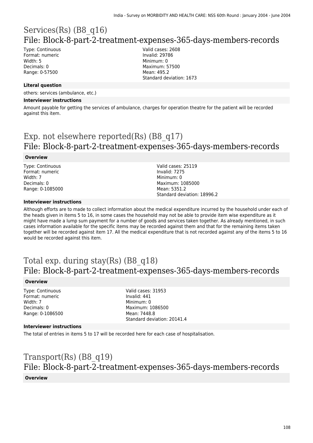# Services(Rs) (B8\_q16) File: Block-8-part-2-treatment-expenses-365-days-members-records

Type: Continuous Format: numeric Width: 5 Decimals: 0 Range: 0-57500

Valid cases: 2608 Invalid: 29786 Minimum: 0 Maximum: 57500 Mean: 495.2 Standard deviation: 1673

### **Literal question**

others: services (ambulance, etc.)

#### **Interviewer instructions**

Amount payable for getting the services of ambulance, charges for operation theatre for the patient will be recorded against this item.

# Exp. not elsewhere reported(Rs) (B8\, q17) File: Block-8-part-2-treatment-expenses-365-days-members-records

#### **Overview**

Type: Continuous Format: numeric Width: 7 Decimals: 0 Range: 0-1085000 Valid cases: 25119 Invalid: 7275 Minimum: 0 Maximum: 1085000 Mean: 5351.2 Standard deviation: 18996.2

#### **Interviewer instructions**

Although efforts are to made to collect information about the medical expenditure incurred by the household under each of the heads given in items 5 to 16, in some cases the household may not be able to provide item wise expenditure as it might have made a lump sum payment for a number of goods and services taken together. As already mentioned, in such cases information available for the specific items may be recorded against them and that for the remaining items taken together will be recorded against item 17. All the medical expenditure that is not recorded against any of the items 5 to 16 would be recorded against this item.

## Total exp. during stay(Rs)  $(B8q18)$ File: Block-8-part-2-treatment-expenses-365-days-members-records

#### **Overview**

Type: Continuous Format: numeric Width: 7 Decimals: 0 Range: 0-1086500 Valid cases: 31953 Invalid: 441 Minimum: 0 Maximum: 1086500 Mean: 7448.8 Standard deviation: 20141.4

#### **Interviewer instructions**

The total of entries in items 5 to 17 will be recorded here for each case of hospitalisation.

## Transport $(Rs)$  (B8 q19) File: Block-8-part-2-treatment-expenses-365-days-members-records **Overview**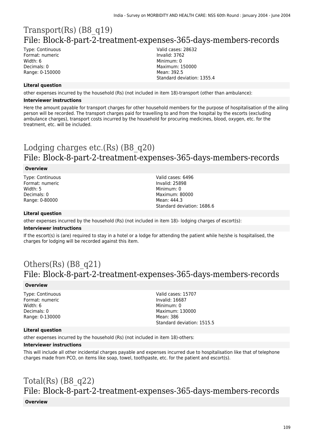# Transport(Rs) (B8\_q19) File: Block-8-part-2-treatment-expenses-365-days-members-records

Type: Continuous Format: numeric Width: 6 Decimals: 0 Range: 0-150000

Valid cases: 28632 Invalid: 3762 Minimum: 0 Maximum: 150000 Mean: 392.5 Standard deviation: 1355.4

### **Literal question**

other expenses incurred by the household (Rs) (not included in item 18)-transport (other than ambulance):

#### **Interviewer instructions**

Here the amount payable for transport charges for other household members for the purpose of hospitalisation of the ailing person will be recorded. The transport charges paid for travelling to and from the hospital by the escorts (excluding ambulance charges), transport costs incurred by the household for procuring medicines, blood, oxygen, etc. for the treatment, etc. will be included.

# Lodging charges etc.(Rs) (B8\_q20) File: Block-8-part-2-treatment-expenses-365-days-members-records

### **Overview**

Type: Continuous Format: numeric Width: 5 Decimals: 0 Range: 0-80000

Valid cases: 6496 Invalid: 25898 Minimum: 0 Maximum: 80000 Mean: 444.3 Standard deviation: 1686.6

#### **Literal question**

other expenses incurred by the household (Rs) (not included in item 18)- lodging charges of escort(s):

#### **Interviewer instructions**

If the escort(s) is (are) required to stay in a hotel or a lodge for attending the patient while he/she is hospitalised, the charges for lodging will be recorded against this item.

# Others $(Rs)$  (B8 q21) File: Block-8-part-2-treatment-expenses-365-days-members-records

#### **Overview**

Type: Continuous Format: numeric Width: 6 Decimals: 0 Range: 0-130000

Valid cases: 15707 Invalid: 16687 Minimum: 0 Maximum: 130000 Mean: 386 Standard deviation: 1515.5

#### **Literal question**

other expenses incurred by the household (Rs) (not included in item 18)-others:

### **Interviewer instructions**

This will include all other incidental charges payable and expenses incurred due to hospitalisation like that of telephone charges made from PCO, on items like soap, towel, toothpaste, etc. for the patient and escort(s).

### Total(Rs)  $(B8 \text{ q}22)$ File: Block-8-part-2-treatment-expenses-365-days-members-records **Overview**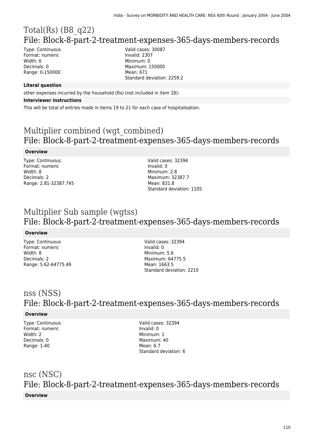# Total $(Rs)$  (B8 q22) File: Block-8-part-2-treatment-expenses-365-days-members-records

Type: Continuous Format: numeric Width: 6 Decimals: 0 Range: 0-150000

Valid cases: 30087 Invalid: 2307 Minimum: 0 Maximum: 150000 Mean: 671 Standard deviation: 2259.2

### **Literal question**

other expenses incurred by the household (Rs) (not included in item 18)-

### **Interviewer instructions**

This will be total of entries made in items 19 to 21 for each case of hospitalisation.

# Multiplier combined (wgt\_combined) File: Block-8-part-2-treatment-expenses-365-days-members-records

### **Overview**

Type: Continuous Format: numeric Width: 8 Decimals: 2 Range: 2.81-32387.745 Valid cases: 32394 Invalid: 0 Minimum: 2.8 Maximum: 32387.7 Mean: 831.8 Standard deviation: 1105

### Multiplier Sub sample (wgtss) File: Block-8-part-2-treatment-expenses-365-days-members-records

### **Overview**

Type: Continuous Format: numeric Width: 8 Decimals: 2 Range: 5.62-64775.49 Valid cases: 32394 Invalid: 0 Minimum: 5.6 Maximum: 64775.5 Mean: 1663.5 Standard deviation: 2210

### nss (NSS) File: Block-8-part-2-treatment-expenses-365-days-members-records

### **Overview**

Type: Continuous Format: numeric Width: 2 Decimals: 0 Range: 1-40

Valid cases: 32394 Invalid: 0 Minimum: 1 Maximum: 40 Mean: 6.7 Standard deviation: 6

# nsc (NSC) File: Block-8-part-2-treatment-expenses-365-days-members-records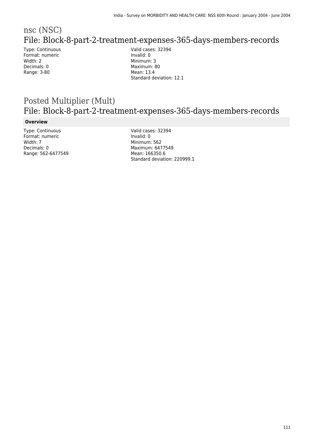# nsc (NSC) File: Block-8-part-2-treatment-expenses-365-days-members-records

Type: Continuous Format: numeric Width: 2 Decimals: 0 Range: 3-80

Valid cases: 32394 Invalid: 0 Minimum: 3 Maximum: 80 Mean: 13.4 Standard deviation: 12.1

# Posted Multiplier (Mult) File: Block-8-part-2-treatment-expenses-365-days-members-records

### **Overview**

Type: Continuous Format: numeric Width: 7 Decimals: 0 Range: 562-6477549

Valid cases: 32394 Invalid: 0 Minimum: 562 Maximum: 6477549 Mean: 166350.6 Standard deviation: 220999.1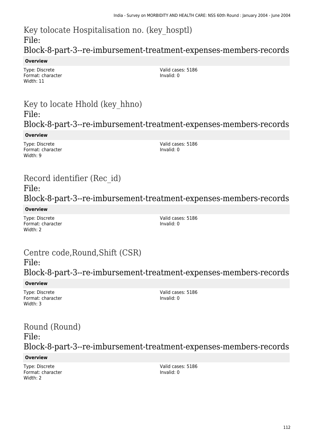### Key tolocate Hospitalisation no. (key\_hosptl) File: Block-8-part-3--re-imbursement-treatment-expenses-members-records

### **Overview**

Type: Discrete Format: character Width: 11

Valid cases: 5186 Invalid: 0

### Key to locate Hhold (key\_hhno) File: Block-8-part-3--re-imbursement-treatment-expenses-members-records

### **Overview**

Type: Discrete Format: character Width: 9

Valid cases: 5186 Invalid: 0

### Record identifier (Rec\_id) File: Block-8-part-3--re-imbursement-treatment-expenses-members-records

### **Overview**

Type: Discrete Format: character Width: 2

Valid cases: 5186 Invalid: 0

# Centre code,Round,Shift (CSR) File:

Block-8-part-3--re-imbursement-treatment-expenses-members-records

### **Overview**

Type: Discrete Format: character Width: 3

Valid cases: 5186 Invalid: 0

# Round (Round) File: Block-8-part-3--re-imbursement-treatment-expenses-members-records

### **Overview**

Type: Discrete Format: character Width: 2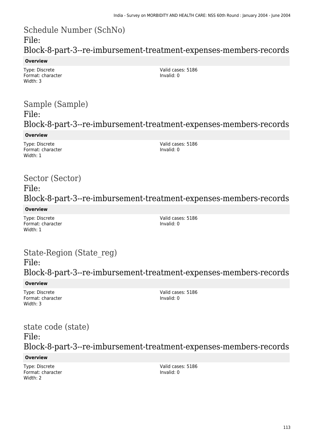# Schedule Number (SchNo) File: Block-8-part-3--re-imbursement-treatment-expenses-members-records

### **Overview**

Type: Discrete Format: character Width: 3

Valid cases: 5186 Invalid: 0

# Sample (Sample) File: Block-8-part-3--re-imbursement-treatment-expenses-members-records

### **Overview**

Type: Discrete Format: character Width: 1

Valid cases: 5186 Invalid: 0

# Sector (Sector) File: Block-8-part-3--re-imbursement-treatment-expenses-members-records

### **Overview**

Type: Discrete Format: character Width: 1

Valid cases: 5186 Invalid: 0

### State-Region (State\_reg) File: Block-8-part-3--re-imbursement-treatment-expenses-members-records

### **Overview**

Type: Discrete Format: character Width: 3

Valid cases: 5186 Invalid: 0

### state code (state) File: Block-8-part-3--re-imbursement-treatment-expenses-members-records

### **Overview**

Type: Discrete Format: character Width: 2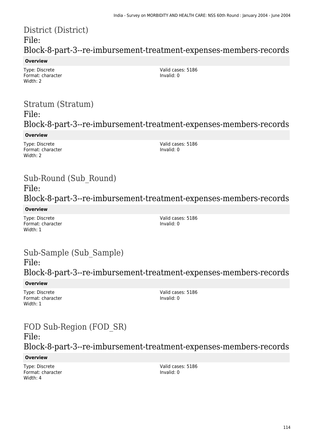### District (District) File: Block-8-part-3--re-imbursement-treatment-expenses-members-records

### **Overview**

Type: Discrete Format: character Width: 2

Valid cases: 5186 Invalid: 0

# Stratum (Stratum) File: Block-8-part-3--re-imbursement-treatment-expenses-members-records

#### **Overview**

Type: Discrete Format: character Width: 2

Valid cases: 5186 Invalid: 0

### Sub-Round (Sub\_Round) File: Block-8-part-3--re-imbursement-treatment-expenses-members-records

#### **Overview**

Type: Discrete Format: character Width: 1

Valid cases: 5186 Invalid: 0

### Sub-Sample (Sub\_Sample) File: Block-8-part-3--re-imbursement-treatment-expenses-members-records

### **Overview**

Type: Discrete Format: character Width: 1

Valid cases: 5186 Invalid: 0

### FOD Sub-Region (FOD\_SR) File: Block-8-part-3--re-imbursement-treatment-expenses-members-records

#### **Overview**

Type: Discrete Format: character Width: 4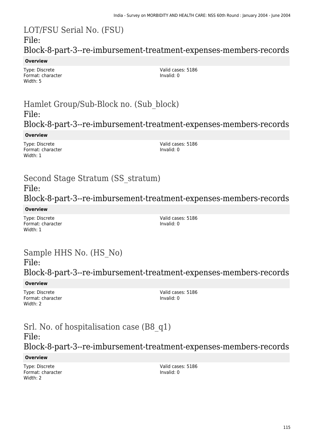### LOT/FSU Serial No. (FSU) File: Block-8-part-3--re-imbursement-treatment-expenses-members-records

#### **Overview**

Type: Discrete Format: character Width: 5

Valid cases: 5186 Invalid: 0

# Hamlet Group/Sub-Block no. (Sub\_block) File: Block-8-part-3--re-imbursement-treatment-expenses-members-records

#### **Overview**

Type: Discrete Format: character Width: 1

Valid cases: 5186 Invalid: 0

# Second Stage Stratum (SS\_stratum) File:

Block-8-part-3--re-imbursement-treatment-expenses-members-records

### **Overview**

Type: Discrete Format: character Width: 1

Valid cases: 5186 Invalid: 0

### Sample HHS No. (HS\_No) File: Block-8-part-3--re-imbursement-treatment-expenses-members-records

#### **Overview**

Type: Discrete Format: character Width: 2

Valid cases: 5186 Invalid: 0

### Srl. No. of hospitalisation case (B8 q1) File: Block-8-part-3--re-imbursement-treatment-expenses-members-records

#### **Overview**

Type: Discrete Format: character Width: 2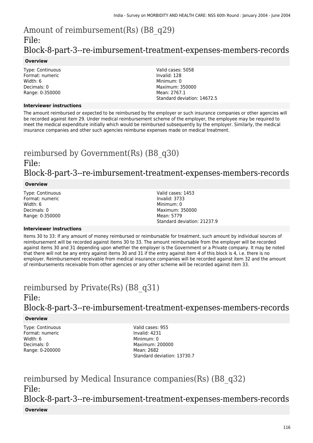### Amount of reimbursement (Rs) (B8\_q29) File: Block-8-part-3--re-imbursement-treatment-expenses-members-records

#### **Overview**

Type: Continuous Format: numeric Width: 6 Decimals: 0 Range: 0-350000

#### **Interviewer instructions**

Valid cases: 5058 Invalid: 128 Minimum: 0 Maximum: 350000 Mean: 2767.1 Standard deviation: 14672.5

The amount reimbursed or expected to be reimbursed by the employer or such insurance companies or other agencies will be recorded against item 29. Under medical reimbursement scheme of the employer, the employee may be required to meet the medical expenditure initially which would be reimbursed subsequently by the employer. Similarly, the medical insurance companies and other such agencies reimburse expenses made on medical treatment.

# reimbursed by Government(Rs) (B8\_q30) File: Block-8-part-3--re-imbursement-treatment-expenses-members-records

#### **Overview**

Type: Continuous Format: numeric Width: 6 Decimals: 0 Range: 0-350000

Valid cases: 1453 Invalid: 3733 Minimum: 0 Maximum: 350000 Mean: 5779 Standard deviation: 21237.9

#### **Interviewer instructions**

Items 30 to 33: If any amount of money reimbursed or reimbursable for treatment, such amount by individual sources of reimbursement will be recorded against items 30 to 33. The amount reimbursable from the employer will be recorded against items 30 and 31 depending upon whether the employer is the Government or a Private company. It may be noted that there will not be any entry against items 30 and 31 if the entry against item 4 of this block is 4, i.e. there is no employer. Reimbursement receivable from medical insurance companies will be recorded against item 32 and the amount of reimbursements receivable from other agencies or any other scheme will be recorded against item 33.

### reimbursed by Private(Rs) (B8\_q31) File: Block-8-part-3--re-imbursement-treatment-expenses-members-records

#### **Overview**

Type: Continuous Format: numeric Width: 6 Decimals: 0 Range: 0-200000

Valid cases: 955 Invalid: 4231 Minimum: 0 Maximum: 200000 Mean: 2682 Standard deviation: 13730.7

reimbursed by Medical Insurance companies(Rs) (B8\_q32) File: Block-8-part-3--re-imbursement-treatment-expenses-members-records **Overview**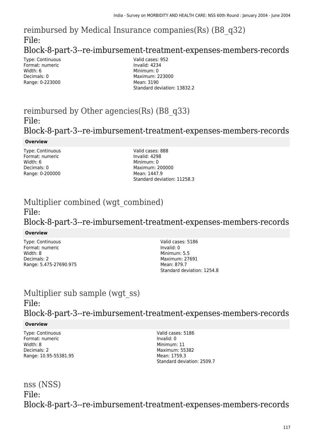### reimbursed by Medical Insurance companies(Rs) (B8\_q32) File: Block-8-part-3--re-imbursement-treatment-expenses-members-records

Type: Continuous Format: numeric Width: 6 Decimals: 0 Range: 0-223000

Valid cases: 952 Invalid: 4234 Minimum: 0 Maximum: 223000 Mean: 3190 Standard deviation: 13832.2

# reimbursed by Other agencies(Rs) (B8\_q33) File: Block-8-part-3--re-imbursement-treatment-expenses-members-records

### **Overview**

Type: Continuous Format: numeric Width: 6 Decimals: 0 Range: 0-200000

Valid cases: 888 Invalid: 4298 Minimum: 0 Maximum: 200000 Mean: 1447.9 Standard deviation: 11258.3

### Multiplier combined (wgt\_combined) File: Block-8-part-3--re-imbursement-treatment-expenses-members-records

# **Overview**

Type: Continuous Format: numeric Width: 8 Decimals: 2 Range: 5.475-27690.975

Valid cases: 5186 Invalid: 0 Minimum: 5.5 Maximum: 27691 Mean: 879.7 Standard deviation: 1254.8

# Multiplier sub sample (wgt\_ss) File:

Block-8-part-3--re-imbursement-treatment-expenses-members-records

### **Overview**

Type: Continuous Format: numeric Width: 8 Decimals: 2 Range: 10.95-55381.95 Valid cases: 5186 Invalid: 0 Minimum: 11 Maximum: 55382 Mean: 1759.3 Standard deviation: 2509.7

### nss (NSS) File: Block-8-part-3--re-imbursement-treatment-expenses-members-records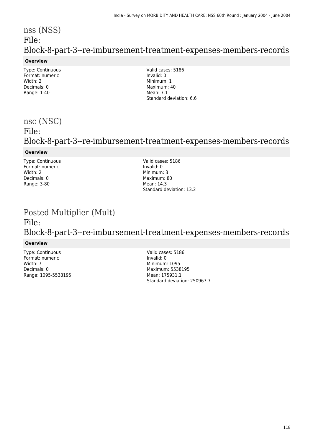### nss (NSS) File: Block-8-part-3--re-imbursement-treatment-expenses-members-records

### **Overview**

Type: Continuous Format: numeric Width: 2 Decimals: 0 Range: 1-40

Valid cases: 5186 Invalid: 0 Minimum: 1 Maximum: 40 Mean: 7.1 Standard deviation: 6.6

# nsc (NSC) File: Block-8-part-3--re-imbursement-treatment-expenses-members-records

### **Overview**

Type: Continuous Format: numeric Width: 2 Decimals: 0 Range: 3-80

Valid cases: 5186 Invalid: 0 Minimum: 3 Maximum: 80 Mean: 14.3 Standard deviation: 13.2

### Posted Multiplier (Mult) File: Block-8-part-3--re-imbursement-treatment-expenses-members-records

### **Overview**

Type: Continuous Format: numeric Width: 7 Decimals: 0 Range: 1095-5538195

Valid cases: 5186 Invalid: 0 Minimum: 1095 Maximum: 5538195 Mean: 175931.1 Standard deviation: 250967.7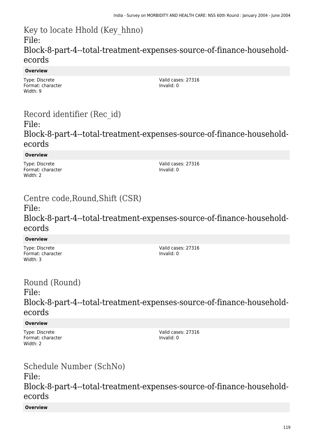# Key to locate Hhold (Key\_hhno) File: Block-8-part-4--total-treatment-expenses-source-of-finance-householdecords

### **Overview**

Type: Discrete Format: character Width: 9

Valid cases: 27316 Invalid: 0

# Record identifier (Rec\_id) File: Block-8-part-4--total-treatment-expenses-source-of-finance-householdecords

### **Overview**

Type: Discrete Format: character Width: 2

Valid cases: 27316 Invalid: 0

# Centre code,Round,Shift (CSR)

### File:

# Block-8-part-4--total-treatment-expenses-source-of-finance-householdecords

### **Overview**

Type: Discrete Format: character Width: 3

Valid cases: 27316 Invalid: 0

# Round (Round) File: Block-8-part-4--total-treatment-expenses-source-of-finance-householdecords

### **Overview**

Type: Discrete Format: character Width: 2

Valid cases: 27316 Invalid: 0

# Schedule Number (SchNo) File: Block-8-part-4--total-treatment-expenses-source-of-finance-householdecords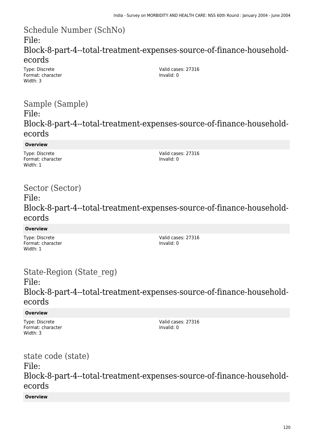# Schedule Number (SchNo) File: Block-8-part-4--total-treatment-expenses-source-of-finance-householdecords

Type: Discrete Format: character Width: 3

Valid cases: 27316 Invalid: 0

# Sample (Sample) File: Block-8-part-4--total-treatment-expenses-source-of-finance-householdecords

### **Overview**

Type: Discrete Format: character Width: 1

Valid cases: 27316 Invalid: 0

# Sector (Sector)

### File: Block-8-part-4--total-treatment-expenses-source-of-finance-householdecords

### **Overview**

Type: Discrete Format: character Width: 1

Valid cases: 27316 Invalid: 0

### State-Region (State\_reg) File: Block-8-part-4--total-treatment-expenses-source-of-finance-householdecords

### **Overview**

Type: Discrete Format: character Width: 3

Valid cases: 27316 Invalid: 0

state code (state) File: Block-8-part-4--total-treatment-expenses-source-of-finance-householdecords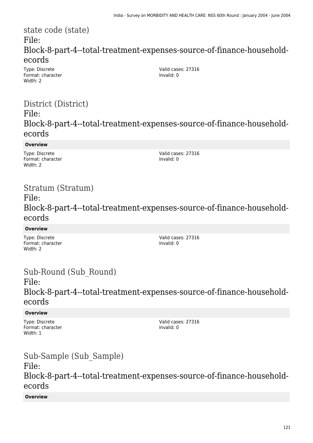# state code (state) File: Block-8-part-4--total-treatment-expenses-source-of-finance-householdecords

Type: Discrete Format: character Width: 2

Valid cases: 27316 Invalid: 0

# District (District) File: Block-8-part-4--total-treatment-expenses-source-of-finance-householdecords

### **Overview**

Type: Discrete Format: character Width: 2

Valid cases: 27316 Invalid: 0

# Stratum (Stratum) File:

Block-8-part-4--total-treatment-expenses-source-of-finance-householdecords

### **Overview**

Type: Discrete Format: character Width: 2

Valid cases: 27316 Invalid: 0

### Sub-Round (Sub\_Round) File: Block-8-part-4--total-treatment-expenses-source-of-finance-householdecords

### **Overview**

Type: Discrete Format: character Width: 1

Valid cases: 27316 Invalid: 0

# Sub-Sample (Sub\_Sample) File: Block-8-part-4--total-treatment-expenses-source-of-finance-householdecords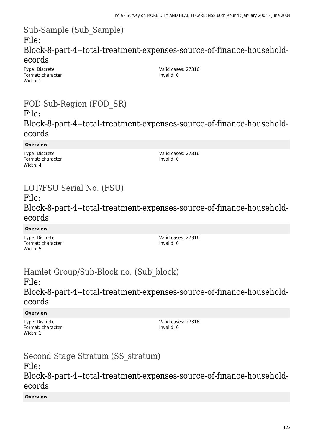# Sub-Sample (Sub\_Sample) File: Block-8-part-4--total-treatment-expenses-source-of-finance-householdecords

Type: Discrete Format: character Width: 1

Valid cases: 27316 Invalid: 0

# FOD Sub-Region (FOD\_SR) File: Block-8-part-4--total-treatment-expenses-source-of-finance-householdecords

### **Overview**

Type: Discrete Format: character Width: 4

Valid cases: 27316 Invalid: 0

# LOT/FSU Serial No. (FSU) File: Block-8-part-4--total-treatment-expenses-source-of-finance-household-

### ecords

**Overview**

Type: Discrete Format: character Width: 5

Valid cases: 27316 Invalid: 0

# Hamlet Group/Sub-Block no. (Sub\_block) File: Block-8-part-4--total-treatment-expenses-source-of-finance-householdecords

### **Overview**

Type: Discrete Format: character Width: 1

Valid cases: 27316 Invalid: 0

Second Stage Stratum (SS\_stratum) File: Block-8-part-4--total-treatment-expenses-source-of-finance-householdecords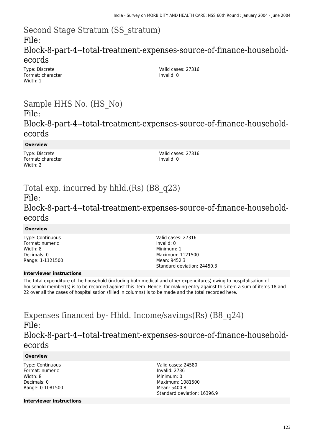# Second Stage Stratum (SS\_stratum) File: Block-8-part-4--total-treatment-expenses-source-of-finance-householdecords

Type: Discrete Format: character Width: 1

Valid cases: 27316 Invalid: 0

### Sample HHS No. (HS\_No) File: Block-8-part-4--total-treatment-expenses-source-of-finance-householdecords

### **Overview**

Type: Discrete Format: character Width: 2

Valid cases: 27316 Invalid: 0

# Total exp. incurred by hhld.(Rs) (B8\_q23)

### File: Block-8-part-4--total-treatment-expenses-source-of-finance-householdecords

### **Overview**

Type: Continuous Format: numeric Width: 8 Decimals: 0 Range: 1-1121500 Valid cases: 27316 Invalid: 0 Minimum: 1 Maximum: 1121500 Mean: 9452.3 Standard deviation: 24450.3

### **Interviewer instructions**

The total expenditure of the household (including both medical and other expenditures) owing to hospitalisation of household member(s) is to be recorded against this item. Hence, for making entry against this item a sum of items 18 and 22 over all the cases of hospitalisation (filled in columns) is to be made and the total recorded here.

### Expenses financed by- Hhld. Income/savings(Rs) (B8\_q24) File: Block-8-part-4--total-treatment-expenses-source-of-finance-householdecords

### **Overview**

Type: Continuous Format: numeric Width: 8 Decimals: 0 Range: 0-1081500 Valid cases: 24580 Invalid: 2736 Minimum: 0 Maximum: 1081500 Mean: 5400.8 Standard deviation: 16396.9

#### **Interviewer instructions**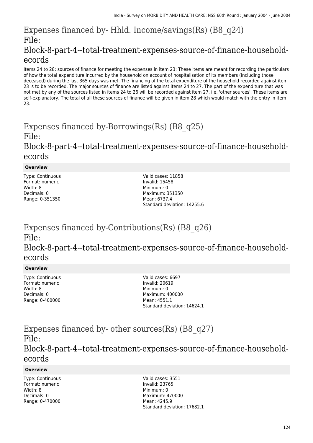# Expenses financed by- Hhld. Income/savings(Rs) (B8\_q24) File: Block-8-part-4--total-treatment-expenses-source-of-finance-householdecords

Items 24 to 28: sources of finance for meeting the expenses in item 23: These items are meant for recording the particulars of how the total expenditure incurred by the household on account of hospitalisation of its members (including those deceased) during the last 365 days was met. The financing of the total expenditure of the household recorded against item 23 is to be recorded. The major sources of finance are listed against items 24 to 27. The part of the expenditure that was not met by any of the sources listed in items 24 to 26 will be recorded against item 27, i.e. 'other sources'. These items are self-explanatory. The total of all these sources of finance will be given in item 28 which would match with the entry in item 23.

### Expenses financed by-Borrowings(Rs) (B8\_q25) File: Block-8-part-4--total-treatment-expenses-source-of-finance-householdecords

### **Overview**

Type: Continuous Format: numeric Width: 8 Decimals: 0 Range: 0-351350

Valid cases: 11858 Invalid: 15458 Minimum: 0 Maximum: 351350 Mean: 6737.4 Standard deviation: 14255.6

# Expenses financed by-Contributions(Rs) (B8\_q26) File: Block-8-part-4--total-treatment-expenses-source-of-finance-householdecords

### **Overview**

Type: Continuous Format: numeric Width: 8 Decimals: 0 Range: 0-400000

Valid cases: 6697 Invalid: 20619 Minimum: 0 Maximum: 400000 Mean: 4551.1 Standard deviation: 14624.1

Expenses financed by- other sources(Rs) (B8\_q27) File: Block-8-part-4--total-treatment-expenses-source-of-finance-householdecords

### **Overview**

Type: Continuous Format: numeric Width: 8 Decimals: 0 Range: 0-470000

Valid cases: 3551 Invalid: 23765 Minimum: 0 Maximum: 470000 Mean: 4245.9 Standard deviation: 17682.1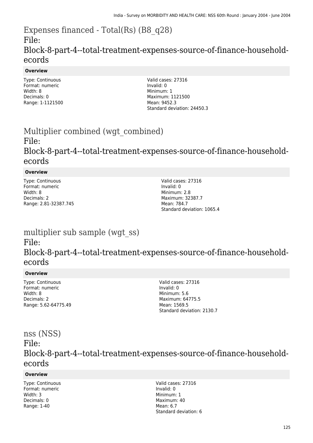# Expenses financed - Total(Rs) (B8\_q28) File: Block-8-part-4--total-treatment-expenses-source-of-finance-householdecords

### **Overview**

Type: Continuous Format: numeric Width: 8 Decimals: 0 Range: 1-1121500

Valid cases: 27316 Invalid: 0 Minimum: 1 Maximum: 1121500 Mean: 9452.3 Standard deviation: 24450.3

# Multiplier combined (wgt\_combined) File: Block-8-part-4--total-treatment-expenses-source-of-finance-householdecords

### **Overview**

Type: Continuous Format: numeric Width: 8 Decimals: 2 Range: 2.81-32387.745

Valid cases: 27316 Invalid: 0 Minimum: 2.8 Maximum: 32387.7 Mean: 784.7 Standard deviation: 1065.4

### multiplier sub sample (wgt\_ss) File: Block-8-part-4--total-treatment-expenses-source-of-finance-householdecords

### **Overview**

Type: Continuous Format: numeric Width: 8 Decimals: 2 Range: 5.62-64775.49 Valid cases: 27316 Invalid: 0 Minimum: 5.6 Maximum: 64775.5 Mean: 1569.5 Standard deviation: 2130.7

### nss (NSS) File: Block-8-part-4--total-treatment-expenses-source-of-finance-householdecords

### **Overview**

Type: Continuous Format: numeric Width: 3 Decimals: 0 Range: 1-40

Valid cases: 27316 Invalid: 0 Minimum: 1 Maximum: 40 Mean: 6.7 Standard deviation: 6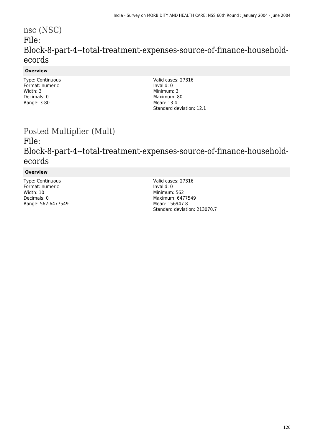# nsc (NSC) File: Block-8-part-4--total-treatment-expenses-source-of-finance-householdecords

### **Overview**

Type: Continuous Format: numeric Width: 3 Decimals: 0 Range: 3-80

Valid cases: 27316 Invalid: 0 Minimum: 3 Maximum: 80 Mean: 13.4 Standard deviation: 12.1

# Posted Multiplier (Mult) File: Block-8-part-4--total-treatment-expenses-source-of-finance-householdecords

### **Overview**

Type: Continuous Format: numeric Width: 10 Decimals: 0 Range: 562-6477549

Valid cases: 27316 Invalid: 0 Minimum: 562 Maximum: 6477549 Mean: 156947.8 Standard deviation: 213070.7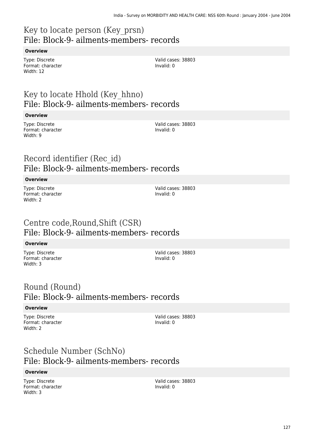### Key to locate person (Key\_prsn) File: Block-9- ailments-members- records

### **Overview**

Type: Discrete Format: character Width: 12

Valid cases: 38803 Invalid: 0

# Key to locate Hhold (Key\_hhno) File: Block-9- ailments-members- records

#### **Overview**

Type: Discrete Format: character Width: 9

Valid cases: 38803 Invalid: 0

# Record identifier (Rec\_id) File: Block-9- ailments-members- records

### **Overview**

Type: Discrete Format: character Width: 2

Valid cases: 38803 Invalid: 0

### Centre code,Round,Shift (CSR) File: Block-9- ailments-members- records

### **Overview**

Type: Discrete Format: character Width: 3

Valid cases: 38803 Invalid: 0

### Round (Round) File: Block-9- ailments-members- records

### **Overview**

Type: Discrete Format: character Width: 2

Valid cases: 38803 Invalid: 0

# Schedule Number (SchNo) File: Block-9- ailments-members- records

### **Overview**

Type: Discrete Format: character Width: 3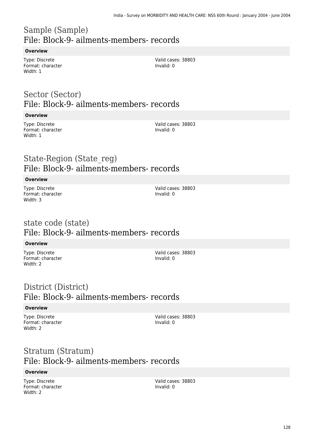# Sample (Sample) File: Block-9- ailments-members- records

### **Overview**

Type: Discrete Format: character Width: 1

Valid cases: 38803 Invalid: 0

# Sector (Sector) File: Block-9- ailments-members- records

#### **Overview**

Type: Discrete Format: character Width: 1

Valid cases: 38803 Invalid: 0

### State-Region (State\_reg) File: Block-9- ailments-members- records

### **Overview**

Type: Discrete Format: character Width: 3

Valid cases: 38803 Invalid: 0

### state code (state) File: Block-9- ailments-members- records

### **Overview**

Type: Discrete Format: character Width: 2

Valid cases: 38803 Invalid: 0

### District (District) File: Block-9- ailments-members- records

#### **Overview**

Type: Discrete Format: character Width: 2

Valid cases: 38803 Invalid: 0

### Stratum (Stratum) File: Block-9- ailments-members- records

### **Overview**

Type: Discrete Format: character Width: 2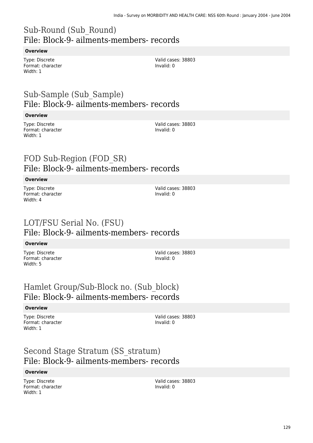# Sub-Round (Sub\_Round) File: Block-9- ailments-members- records

### **Overview**

Type: Discrete Format: character Width: 1

Valid cases: 38803 Invalid: 0

# Sub-Sample (Sub\_Sample) File: Block-9- ailments-members- records

#### **Overview**

Type: Discrete Format: character Width: 1

Valid cases: 38803 Invalid: 0

# FOD Sub-Region (FOD\_SR) File: Block-9- ailments-members- records

#### **Overview**

Type: Discrete Format: character Width: 4

Valid cases: 38803 Invalid: 0

# LOT/FSU Serial No. (FSU) File: Block-9- ailments-members- records

### **Overview**

Type: Discrete Format: character Width: 5

Valid cases: 38803 Invalid: 0

### Hamlet Group/Sub-Block no. (Sub\_block) File: Block-9- ailments-members- records

### **Overview**

Type: Discrete Format: character Width: 1

Valid cases: 38803 Invalid: 0

# Second Stage Stratum (SS\_stratum) File: Block-9- ailments-members- records

### **Overview**

Type: Discrete Format: character Width: 1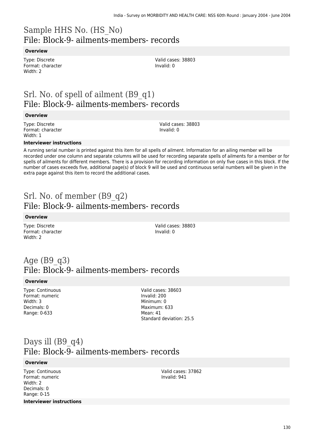# Sample HHS No. (HS\_No) File: Block-9- ailments-members- records

### **Overview**

Type: Discrete Format: character Width: 2

Valid cases: 38803 Invalid: 0

# Srl. No. of spell of ailment (B9\_q1) File: Block-9- ailments-members- records

#### **Overview**

Type: Discrete Format: character Width: 1

Valid cases: 38803 Invalid: 0

### **Interviewer instructions**

A running serial number is printed against this item for all spells of ailment. Information for an ailing member will be recorded under one column and separate columns will be used for recording separate spells of ailments for a member or for spells of ailments for different members. There is a provision for recording information on only five cases in this block. If the number of cases exceeds five, additional page(s) of block 9 will be used and continuous serial numbers will be given in the extra page against this item to record the additional cases.

# Srl. No. of member (B9\_q2) File: Block-9- ailments-members- records

#### **Overview**

Type: Discrete Format: character Width: 2

Valid cases: 38803 Invalid: 0

### Age (B9\_q3) File: Block-9- ailments-members- records

### **Overview**

Type: Continuous Format: numeric Width: 3 Decimals: 0 Range: 0-633

Valid cases: 38603 Invalid: 200 Minimum: 0 Maximum: 633 Mean: 41 Standard deviation: 25.5

# Days ill  $(B9q4)$ File: Block-9- ailments-members- records

#### **Overview**

Type: Continuous Format: numeric Width: 2 Decimals: 0 Range: 0-15 **Interviewer instructions**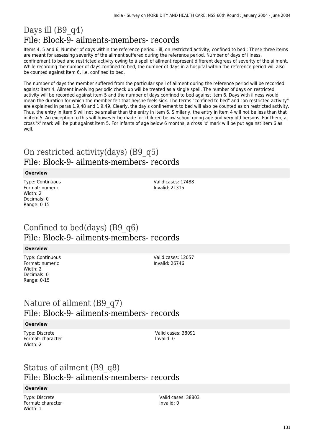# Days ill (B9\_q4) File: Block-9- ailments-members- records

Items 4, 5 and 6: Number of days within the reference period - ill, on restricted activity, confined to bed : These three items are meant for assessing severity of the ailment suffered during the reference period. Number of days of illness, confinement to bed and restricted activity owing to a spell of ailment represent different degrees of severity of the ailment. While recording the number of days confined to bed, the number of days in a hospital within the reference period will also be counted against item 6, i.e. confined to bed.

The number of days the member suffered from the particular spell of ailment during the reference period will be recorded against item 4. Ailment involving periodic check up will be treated as a single spell. The number of days on restricted activity will be recorded against item 5 and the number of days confined to bed against item 6. Days with illness would mean the duration for which the member felt that he/she feels sick. The terms "confined to bed" and "on restricted activity" are explained in paras 1.9.48 and 1.9.49. Clearly, the day's confinement to bed will also be counted as on restricted activity. Thus, the entry in item 5 will not be smaller than the entry in item 6. Similarly, the entry in item 4 will not be less than that in item 5. An exception to this will however be made for children below school going age and very old persons. For them, a cross 'x' mark will be put against item 5. For infants of age below 6 months, a cross 'x' mark will be put against item 6 as well.

# On restricted activity(days) (B9\_q5) File: Block-9- ailments-members- records

### **Overview**

Type: Continuous Format: numeric Width: 2 Decimals: 0 Range: 0-15

Valid cases: 17488 Invalid: 21315

# Confined to bed(days) (B9\_q6) File: Block-9- ailments-members- records

### **Overview**

Type: Continuous Format: numeric Width: 2 Decimals: 0 Range: 0-15

Valid cases: 12057 Invalid: 26746

### Nature of ailment (B9\_q7) File: Block-9- ailments-members- records

### **Overview**

Type: Discrete Format: character Width: 2

Valid cases: 38091 Invalid: 0

# Status of ailment (B9\_q8) File: Block-9- ailments-members- records

### **Overview**

Type: Discrete Format: character Width: 1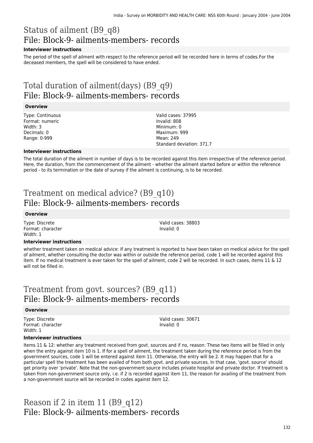# Status of ailment (B9\_q8) File: Block-9- ailments-members- records

### **Interviewer instructions**

The period of the spell of ailment with respect to the reference period will be recorded here in terms of codes.For the deceased members, the spell will be considered to have ended.

# Total duration of ailment(days) (B9\_q9) File: Block-9- ailments-members- records

#### **Overview**

Type: Continuous Format: numeric Width: 3 Decimals: 0 Range: 0-999

Valid cases: 37995 Invalid: 808 Minimum: 0 Maximum: 999 Mean: 249 Standard deviation: 371.7

#### **Interviewer instructions**

The total duration of the ailment in number of days is to be recorded against this item irrespective of the reference period. Here, the duration, from the commencement of the ailment - whether the ailment started before or within the reference period - to its termination or the date of survey if the ailment is continuing, is to be recorded.

# Treatment on medical advice? (B9\_q10) File: Block-9- ailments-members- records

#### **Overview**

Type: Discrete Format: character Width: 1

#### **Interviewer instructions**

whether treatment taken on medical advice: If any treatment is reported to have been taken on medical advice for the spell of ailment, whether consulting the doctor was within or outside the reference period, code 1 will be recorded against this item. If no medical treatment is ever taken for the spell of ailment, code 2 will be recorded. In such cases, items 11 & 12 will not be filled in.

# Treatment from govt. sources? (B9\_q11) File: Block-9- ailments-members- records

### **Overview**

Type: Discrete Format: character Width: 1

Valid cases: 30671 Invalid: 0

Valid cases: 38803

Invalid: 0

#### **Interviewer instructions**

Items 11 & 12: whether any treatment received from govt. sources and if no, reason: These two items will be filled in only when the entry against item 10 is 1. If for a spell of ailment, the treatment taken during the reference period is from the government sources, code 1 will be entered against item 11. Otherwise, the entry will be 2. It may happen that for a particular spell the treatment has been availed of from both govt. and private sources. In that case, 'govt. source' should get priority over 'private'. Note that the non-government source includes private hospital and private doctor. If treatment is taken from non-government source only, i.e. if 2 is recorded against item 11, the reason for availing of the treatment from a non-government source will be recorded in codes against item 12.

Reason if 2 in item 11 (B9 $q12$ ) File: Block-9- ailments-members- records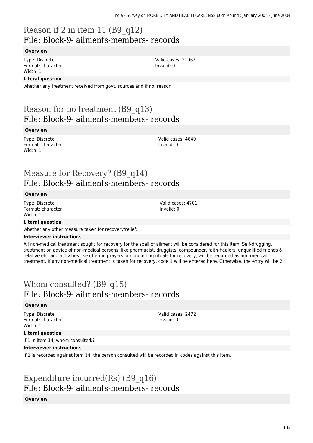# Reason if 2 in item 11 (B9\_q12) File: Block-9- ailments-members- records

#### **Overview**

Type: Discrete Format: character Width: 1

#### Valid cases: 21963 Invalid: 0

### **Literal question**

whether any treatment received from govt. sources and if no, reason

### Reason for no treatment (B9\_q13) File: Block-9- ailments-members- records

#### **Overview**

Type: Discrete Format: character Width: 1

Valid cases: 4640 Invalid: 0

# Measure for Recovery? (B9\_q14) File: Block-9- ailments-members- records

#### **Overview**

Type: Discrete Format: character Width: 1

Valid cases: 4701 Invalid: 0

Valid cases: 2472 Invalid: 0

#### **Literal question**

whether any other measure taken for recovery/relief:

#### **Interviewer instructions**

All non-medical treatment sought for recovery for the spell of ailment will be considered for this item. Self-drugging, treatment on advice of non-medical persons, like pharmacist, druggists, compounder, faith-healers, unqualified friends & relative etc. and activities like offering prayers or conducting rituals for recovery, will be regarded as non-medical treatment. If any non-medical treatment is taken for recovery, code 1 will be entered here. Otherwise, the entry will be 2.

# Whom consulted? (B9\_q15) File: Block-9- ailments-members- records

#### **Overview**

Type: Discrete Format: character Width: 1

#### **Literal question**

if 1 in item 14, whom consulted:?

### **Interviewer instructions**

If 1 is recorded against item 14, the person consulted will be recorded in codes against this item.

# Expenditure incurred(Rs)  $(B9q16)$ File: Block-9- ailments-members- records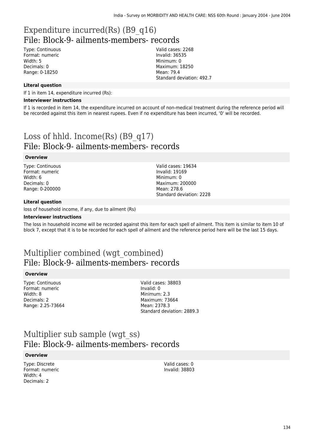# Expenditure incurred(Rs) (B9\_q16) File: Block-9- ailments-members- records

Type: Continuous Format: numeric Width: 5 Decimals: 0 Range: 0-18250

#### Valid cases: 2268 Invalid: 36535 Minimum: 0 Maximum: 18250 Mean: 79.4 Standard deviation: 492.7

#### **Literal question**

If 1 in item 14, expenditure incurred (Rs):

### **Interviewer instructions**

If 1 is recorded in item 14, the expenditure incurred on account of non-medical treatment during the reference period will be recorded against this item in nearest rupees. Even if no expenditure has been incurred, '0' will be recorded.

# Loss of hhld. Income  $(Rs)$  (B9 q17) File: Block-9- ailments-members- records

#### **Overview**

Type: Continuous Format: numeric Width: 6 Decimals: 0 Range: 0-200000

Valid cases: 19634 Invalid: 19169 Minimum: 0 Maximum: 200000 Mean: 278.6 Standard deviation: 2228

#### **Literal question**

loss of household income, if any, due to ailment (Rs)

#### **Interviewer instructions**

The loss in household income will be recorded against this item for each spell of ailment. This item is similar to item 10 of block 7, except that it is to be recorded for each spell of ailment and the reference period here will be the last 15 days.

### Multiplier combined (wgt\_combined) File: Block-9- ailments-members- records

#### **Overview**

Type: Continuous Format: numeric Width: 8 Decimals: 2 Range: 2.25-73664 Valid cases: 38803 Invalid: 0 Minimum: 2.3 Maximum: 73664 Mean: 2378.3 Standard deviation: 2889.3

### Multiplier sub sample (wgt\_ss) File: Block-9- ailments-members- records

#### **Overview**

Type: Discrete Format: numeric Width: 4 Decimals: 2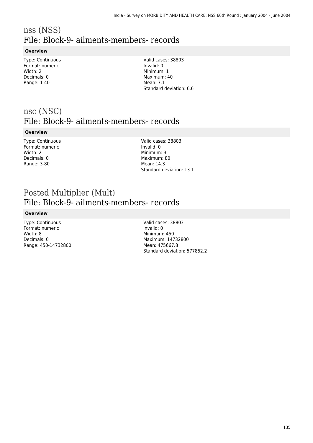# nss (NSS) File: Block-9- ailments-members- records

### **Overview**

Type: Continuous Format: numeric Width: 2 Decimals: 0 Range: 1-40

Valid cases: 38803 Invalid: 0 Minimum: 1 Maximum: 40 Mean: 7.1 Standard deviation: 6.6

# nsc (NSC) File: Block-9- ailments-members- records

### **Overview**

Type: Continuous Format: numeric Width: 2 Decimals: 0 Range: 3-80

Valid cases: 38803 Invalid: 0 Minimum: 3 Maximum: 80 Mean: 14.3 Standard deviation: 13.1

### Posted Multiplier (Mult) File: Block-9- ailments-members- records

### **Overview**

Type: Continuous Format: numeric Width: 8 Decimals: 0 Range: 450-14732800 Valid cases: 38803 Invalid: 0 Minimum: 450 Maximum: 14732800 Mean: 475667.8 Standard deviation: 577852.2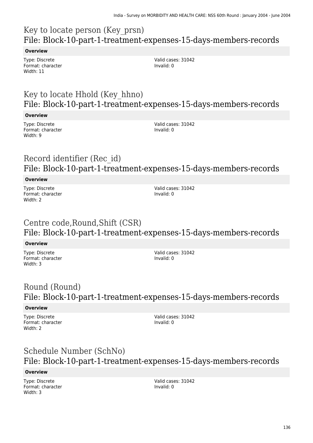# Key to locate person (Key\_prsn) File: Block-10-part-1-treatment-expenses-15-days-members-records

### **Overview**

Type: Discrete Format: character Width: 11

Valid cases: 31042 Invalid: 0

# Key to locate Hhold (Key\_hhno) File: Block-10-part-1-treatment-expenses-15-days-members-records

### **Overview**

Type: Discrete Format: character Width: 9

Valid cases: 31042 Invalid: 0

# Record identifier (Rec\_id) File: Block-10-part-1-treatment-expenses-15-days-members-records

### **Overview**

Type: Discrete Format: character Width: 2

Valid cases: 31042 Invalid: 0

### Centre code,Round,Shift (CSR) File: Block-10-part-1-treatment-expenses-15-days-members-records

### **Overview**

Type: Discrete Format: character Width: 3

Valid cases: 31042 Invalid: 0

# Round (Round) File: Block-10-part-1-treatment-expenses-15-days-members-records

### **Overview**

Type: Discrete Format: character Width: 2

Valid cases: 31042 Invalid: 0

### Schedule Number (SchNo) File: Block-10-part-1-treatment-expenses-15-days-members-records

### **Overview**

Type: Discrete Format: character Width: 3

Valid cases: 31042 Invalid: 0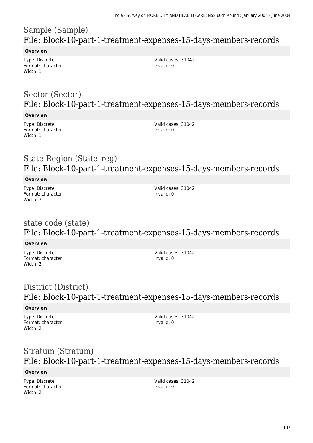# Sample (Sample) File: Block-10-part-1-treatment-expenses-15-days-members-records

### **Overview**

Type: Discrete Format: character Width: 1

Valid cases: 31042 Invalid: 0

# Sector (Sector) File: Block-10-part-1-treatment-expenses-15-days-members-records

### **Overview**

Type: Discrete Format: character Width: 1

Valid cases: 31042 Invalid: 0

### State-Region (State\_reg) File: Block-10-part-1-treatment-expenses-15-days-members-records

### **Overview**

Type: Discrete Format: character Width: 3

Valid cases: 31042 Invalid: 0

### state code (state) File: Block-10-part-1-treatment-expenses-15-days-members-records

### **Overview**

Type: Discrete Format: character Width: 2

Valid cases: 31042 Invalid: 0

# District (District) File: Block-10-part-1-treatment-expenses-15-days-members-records

### **Overview**

Type: Discrete Format: character Width: 2

Valid cases: 31042 Invalid: 0

### Stratum (Stratum) File: Block-10-part-1-treatment-expenses-15-days-members-records

### **Overview**

Type: Discrete Format: character Width: 2

Valid cases: 31042 Invalid: 0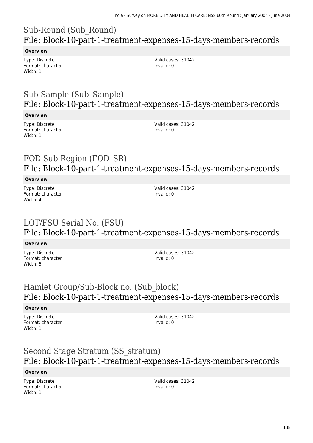# Sub-Round (Sub\_Round) File: Block-10-part-1-treatment-expenses-15-days-members-records

#### **Overview**

Type: Discrete Format: character Width: 1

Valid cases: 31042 Invalid: 0

# Sub-Sample (Sub\_Sample) File: Block-10-part-1-treatment-expenses-15-days-members-records

### **Overview**

Type: Discrete Format: character Width: 1

Valid cases: 31042 Invalid: 0

# FOD Sub-Region (FOD\_SR) File: Block-10-part-1-treatment-expenses-15-days-members-records

### **Overview**

Type: Discrete Format: character Width: 4

Valid cases: 31042 Invalid: 0

# LOT/FSU Serial No. (FSU) File: Block-10-part-1-treatment-expenses-15-days-members-records

### **Overview**

Type: Discrete Format: character Width: 5

Valid cases: 31042 Invalid: 0

# Hamlet Group/Sub-Block no. (Sub\_block) File: Block-10-part-1-treatment-expenses-15-days-members-records

### **Overview**

Type: Discrete Format: character Width: 1

Valid cases: 31042 Invalid: 0

### Second Stage Stratum (SS\_stratum) File: Block-10-part-1-treatment-expenses-15-days-members-records

### **Overview**

Type: Discrete Format: character Width: 1

Valid cases: 31042 Invalid: 0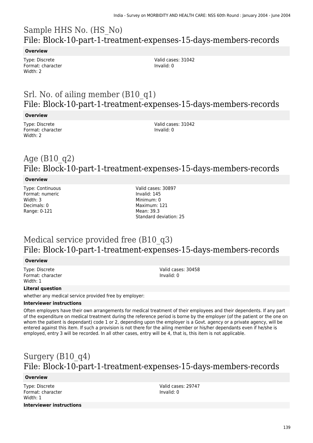# Sample HHS No. (HS\_No) File: Block-10-part-1-treatment-expenses-15-days-members-records

#### **Overview**

Type: Discrete Format: character Width: 2

Valid cases: 31042 Invalid: 0

# Srl. No. of ailing member (B10\_q1) File: Block-10-part-1-treatment-expenses-15-days-members-records

#### **Overview**

Type: Discrete Format: character Width: 2

Valid cases: 31042 Invalid: 0

# Age (B10\_q2) File: Block-10-part-1-treatment-expenses-15-days-members-records

### **Overview**

| Type: Continuous |
|------------------|
| Format: numeric  |
| Width: 3         |
| Decimals: 0      |
| Range: 0-121     |

Valid cases: 30897 Invalid: 145 Minimum: 0 Maximum: 121 Mean: 39.3 Standard deviation: 25

# Medical service provided free (B10\_q3) File: Block-10-part-1-treatment-expenses-15-days-members-records

#### **Overview**

Type: Discrete Format: character Width: 1

Valid cases: 30458 Invalid: 0

### **Literal question**

whether any medical service provided free by employer:

#### **Interviewer instructions**

Often employers have their own arrangements for medical treatment of their employees and their dependents. If any part of the expenditure on medical treatment during the reference period is borne by the employer (of the patient or the one on whom the patient is dependant) code 1 or 2, depending upon the employer is a Govt. agency or a private agency, will be entered against this item. If such a provision is not there for the ailing member or his/her dependants even if he/she is employed, entry 3 will be recorded. In all other cases, entry will be 4, that is, this item is not applicable.

# Surgery (B10\_q4) File: Block-10-part-1-treatment-expenses-15-days-members-records

### **Overview**

Type: Discrete Format: character Width: 1

**Interviewer instructions**

Valid cases: 29747 Invalid: 0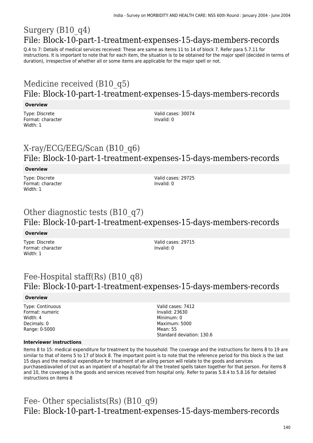# Surgery (B10\_q4) File: Block-10-part-1-treatment-expenses-15-days-members-records

Q.4 to 7: Details of medical services received: These are same as items 11 to 14 of block 7. Refer para 5.7.11 for instructions. It is important to note that for each item, the situation is to be obtained for the major spell (decided in terms of duration), irrespective of whether all or some items are applicable for the major spell or not.

# Medicine received (B10\_q5) File: Block-10-part-1-treatment-expenses-15-days-members-records

### **Overview**

Type: Discrete Format: character Width: 1

Valid cases: 30074 Invalid: 0

# X-ray/ECG/EEG/Scan (B10\_q6) File: Block-10-part-1-treatment-expenses-15-days-members-records

### **Overview**

Type: Discrete Format: character Width: 1

Valid cases: 29725 Invalid: 0

# Other diagnostic tests (B10\_q7) File: Block-10-part-1-treatment-expenses-15-days-members-records

### **Overview**

Type: Discrete Format: character Width: 1

Valid cases: 29715 Invalid: 0

# Fee-Hospital staff(Rs) (B10\_q8) File: Block-10-part-1-treatment-expenses-15-days-members-records

### **Overview**

Type: Continuous Format: numeric Width: 4 Decimals: 0 Range: 0-5000

Valid cases: 7412 Invalid: 23630 Minimum: 0 Maximum: 5000 Mean: 55 Standard deviation: 130.6

### **Interviewer instructions**

Items 8 to 15: medical expenditure for treatment by the household: The coverage and the instructions for items 8 to 19 are similar to that of items 5 to 17 of block 8. The important point is to note that the reference period for this block is the last 15 days and the medical expenditure for treatment of an ailing person will relate to the goods and services purchased/availed of (not as an inpatient of a hospital) for all the treated spells taken together for that person. For items 8 and 10, the coverage is the goods and services received from hospital only. Refer to paras 5.8.4 to 5.8.16 for detailed instructions on items 8

Fee- Other specialists(Rs) (B10\_q9) File: Block-10-part-1-treatment-expenses-15-days-members-records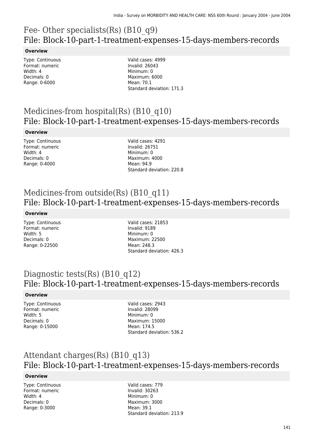# Fee- Other specialists(Rs) (B10\_q9) File: Block-10-part-1-treatment-expenses-15-days-members-records

### **Overview**

| Type: Continuous |
|------------------|
| Format: numeric  |
| Width: 4         |
| Decimals: 0      |
| Range: 0-6000    |

Valid cases: 4999 Invalid: 26043 Minimum: 0 Maximum: 6000 Mean: 70.1 Standard deviation: 171.3

# Medicines-from hospital(Rs) (B10\_q10) File: Block-10-part-1-treatment-expenses-15-days-members-records

### **Overview**

| Type: Continuous |
|------------------|
| Format: numeric  |
| Width: 4         |
| Decimals: 0      |
| Range: 0-4000    |

Valid cases: 4291 Invalid: 26751 Minimum: 0 Maximum: 4000 Mean: 94.9 Standard deviation: 220.8

# Medicines-from outside(Rs) (B10 q11) File: Block-10-part-1-treatment-expenses-15-days-members-records

### **Overview**

Type: Continuous Format: numeric Width: 5 Decimals: 0 Range: 0-22500

Valid cases: 21853 Invalid: 9189 Minimum: 0 Maximum: 22500 Mean: 248.3 Standard deviation: 426.3

# Diagnostic tests(Rs) (B10\_q12) File: Block-10-part-1-treatment-expenses-15-days-members-records

### **Overview**

Type: Continuous Format: numeric Width: 5 Decimals: 0 Range: 0-15000

Valid cases: 2943 Invalid: 28099 Minimum: 0 Maximum: 15000 Mean: 174.5 Standard deviation: 536.2

# Attendant charges(Rs) (B10\_q13) File: Block-10-part-1-treatment-expenses-15-days-members-records

### **Overview**

Type: Continuous Format: numeric Width: 4 Decimals: 0 Range: 0-3000

Valid cases: 779 Invalid: 30263 Minimum: 0 Maximum: 3000 Mean: 39.1 Standard deviation: 213.9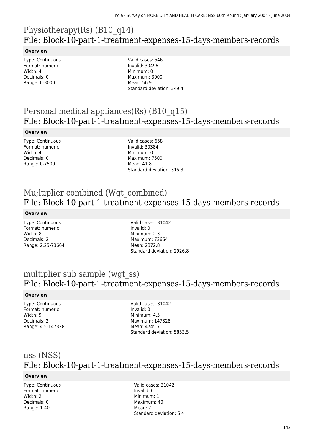# Physiotherapy(Rs) (B10\_q14) File: Block-10-part-1-treatment-expenses-15-days-members-records

### **Overview**

| Type: Continuous |
|------------------|
| Format: numeric  |
| Width: 4         |
| Decimals: 0      |
| Range: 0-3000    |

Valid cases: 546 Invalid: 30496 Minimum: 0 Maximum: 3000 Mean: 56.9 Standard deviation: 249.4

# Personal medical appliances(Rs) (B10\_q15) File: Block-10-part-1-treatment-expenses-15-days-members-records

### **Overview**

| <b>Type: Continuous</b> |
|-------------------------|
| Format: numeric         |
| Width: 4                |
| Decimals: 0             |
| Range: 0-7500           |

Valid cases: 658 Invalid: 30384 Minimum: 0 Maximum: 7500 Mean: 41.8 Standard deviation: 315.3

# Mu;ltiplier combined (Wgt\_combined) File: Block-10-part-1-treatment-expenses-15-days-members-records

### **Overview**

Type: Continuous Format: numeric Width: 8 Decimals: 2 Range: 2.25-73664

Valid cases: 31042 Invalid: 0 Minimum: 2.3 Maximum: 73664 Mean: 2372.8 Standard deviation: 2926.8

### multiplier sub sample (wgt\_ss) File: Block-10-part-1-treatment-expenses-15-days-members-records

### **Overview**

Type: Continuous Format: numeric Width: 9 Decimals: 2 Range: 4.5-147328

Valid cases: 31042 Invalid: 0 Minimum: 4.5 Maximum: 147328 Mean: 4745.7 Standard deviation: 5853.5

# nss (NSS) File: Block-10-part-1-treatment-expenses-15-days-members-records

### **Overview**

Type: Continuous Format: numeric Width: 2 Decimals: 0 Range: 1-40

Valid cases: 31042 Invalid: 0 Minimum: 1 Maximum: 40 Mean: 7 Standard deviation: 6.4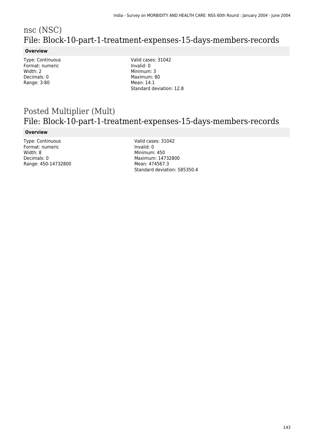# nsc (NSC) File: Block-10-part-1-treatment-expenses-15-days-members-records

### **Overview**

Type: Continuous Format: numeric Width: 2 Decimals: 0 Range: 3-80

Valid cases: 31042 Invalid: 0 Minimum: 3 Maximum: 80 Mean: 14.1 Standard deviation: 12.8

# Posted Multiplier (Mult) File: Block-10-part-1-treatment-expenses-15-days-members-records

### **Overview**

Type: Continuous Format: numeric Width: 8 Decimals: 0 Range: 450-14732800 Valid cases: 31042 Invalid: 0 Minimum: 450 Maximum: 14732800 Mean: 474567.3 Standard deviation: 585350.4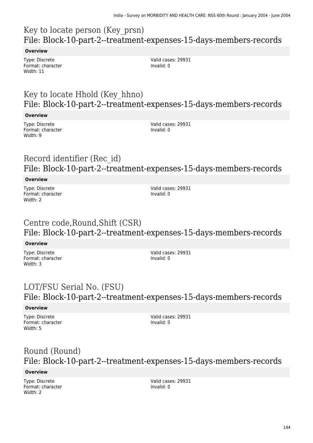# Key to locate person (Key\_prsn) File: Block-10-part-2--treatment-expenses-15-days-members-records

### **Overview**

Type: Discrete Format: character Width: 11

Valid cases: 29931 Invalid: 0

# Key to locate Hhold (Key\_hhno) File: Block-10-part-2--treatment-expenses-15-days-members-records

### **Overview**

Type: Discrete Format: character Width: 9

Valid cases: 29931 Invalid: 0

# Record identifier (Rec\_id) File: Block-10-part-2--treatment-expenses-15-days-members-records

### **Overview**

Type: Discrete Format: character Width: 2

Valid cases: 29931 Invalid: 0

### Centre code,Round,Shift (CSR) File: Block-10-part-2--treatment-expenses-15-days-members-records

### **Overview**

Type: Discrete Format: character Width: 3

Valid cases: 29931 Invalid: 0

# LOT/FSU Serial No. (FSU) File: Block-10-part-2--treatment-expenses-15-days-members-records

### **Overview**

Type: Discrete Format: character Width: 5

Valid cases: 29931 Invalid: 0

# Round (Round) File: Block-10-part-2--treatment-expenses-15-days-members-records

### **Overview**

Type: Discrete Format: character Width: 2

Valid cases: 29931 Invalid: 0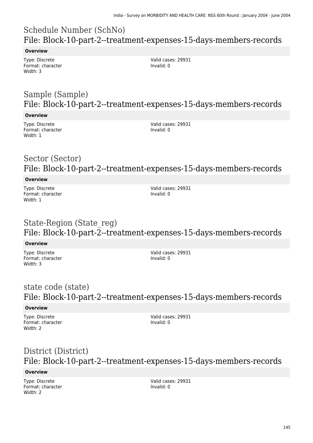# Schedule Number (SchNo) File: Block-10-part-2--treatment-expenses-15-days-members-records

### **Overview**

Type: Discrete Format: character Width: 3

Valid cases: 29931 Invalid: 0

# Sample (Sample) File: Block-10-part-2--treatment-expenses-15-days-members-records

#### **Overview**

Type: Discrete Format: character Width: 1

Valid cases: 29931 Invalid: 0

### Sector (Sector) File: Block-10-part-2--treatment-expenses-15-days-members-records

#### **Overview**

Type: Discrete Format: character Width: 1

Valid cases: 29931 Invalid: 0

### State-Region (State\_reg) File: Block-10-part-2--treatment-expenses-15-days-members-records

#### **Overview**

Type: Discrete Format: character Width: 3

Valid cases: 29931 Invalid: 0

### state code (state) File: Block-10-part-2--treatment-expenses-15-days-members-records

#### **Overview**

Type: Discrete Format: character Width: 2

Valid cases: 29931 Invalid: 0

### District (District) File: Block-10-part-2--treatment-expenses-15-days-members-records

#### **Overview**

Type: Discrete Format: character Width: 2

Valid cases: 29931 Invalid: 0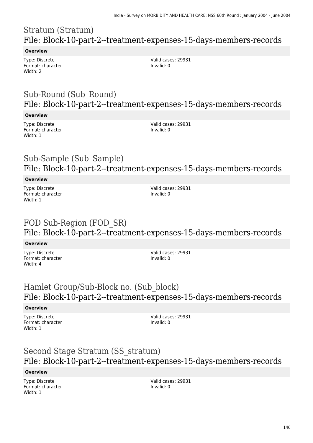# Stratum (Stratum) File: Block-10-part-2--treatment-expenses-15-days-members-records

#### **Overview**

Type: Discrete Format: character Width: 2

Valid cases: 29931 Invalid: 0

### Sub-Round (Sub\_Round) File: Block-10-part-2--treatment-expenses-15-days-members-records

#### **Overview**

Type: Discrete Format: character Width: 1

Valid cases: 29931 Invalid: 0

### Sub-Sample (Sub\_Sample) File: Block-10-part-2--treatment-expenses-15-days-members-records

#### **Overview**

Type: Discrete Format: character Width: 1

Valid cases: 29931 Invalid: 0

### FOD Sub-Region (FOD\_SR) File: Block-10-part-2--treatment-expenses-15-days-members-records

#### **Overview**

Type: Discrete Format: character Width: 4

Valid cases: 29931 Invalid: 0

### Hamlet Group/Sub-Block no. (Sub\_block) File: Block-10-part-2--treatment-expenses-15-days-members-records

#### **Overview**

Type: Discrete Format: character Width: 1

Valid cases: 29931 Invalid: 0

### Second Stage Stratum (SS\_stratum) File: Block-10-part-2--treatment-expenses-15-days-members-records

#### **Overview**

Type: Discrete Format: character Width: 1

Valid cases: 29931 Invalid: 0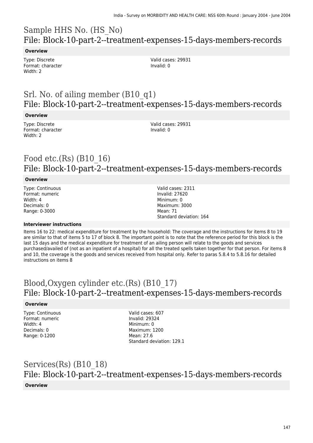# Sample HHS No. (HS\_No) File: Block-10-part-2--treatment-expenses-15-days-members-records

#### **Overview**

Type: Discrete Format: character Width: 2

Valid cases: 29931 Invalid: 0

### Srl. No. of ailing member (B10\_q1) File: Block-10-part-2--treatment-expenses-15-days-members-records

#### **Overview**

Type: Discrete Format: character Width: 2

Valid cases: 29931 Invalid: 0

### Food etc.(Rs) (B10\_16) File: Block-10-part-2--treatment-expenses-15-days-members-records

#### **Overview**

Type: Continuous Format: numeric Width: 4 Decimals: 0 Range: 0-3000

Valid cases: 2311 Invalid: 27620 Minimum: 0 Maximum: 3000 Mean: 71 Standard deviation: 164

#### **Interviewer instructions**

Items 16 to 22: medical expenditure for treatment by the household: The coverage and the instructions for items 8 to 19 are similar to that of items 5 to 17 of block 8. The important point is to note that the reference period for this block is the last 15 days and the medical expenditure for treatment of an ailing person will relate to the goods and services purchased/availed of (not as an inpatient of a hospital) for all the treated spells taken together for that person. For items 8 and 10, the coverage is the goods and services received from hospital only. Refer to paras 5.8.4 to 5.8.16 for detailed instructions on items 8

### Blood,Oxygen cylinder etc.(Rs) (B10\_17) File: Block-10-part-2--treatment-expenses-15-days-members-records

#### **Overview**

Type: Continuous Format: numeric Width: 4 Decimals: 0 Range: 0-1200

Valid cases: 607 Invalid: 29324 Minimum: 0 Maximum: 1200 Mean: 27.6 Standard deviation: 129.1

# Services(Rs) (B10\_18) File: Block-10-part-2--treatment-expenses-15-days-members-records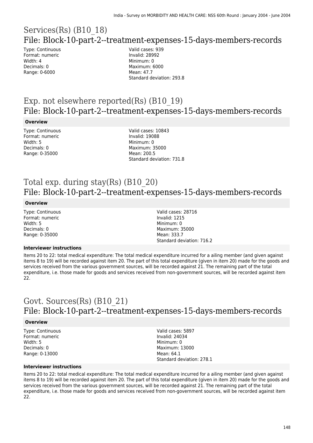# Services(Rs) (B10\_18) File: Block-10-part-2--treatment-expenses-15-days-members-records

Type: Continuous Format: numeric Width: 4 Decimals: 0 Range: 0-6000

Valid cases: 939 Invalid: 28992 Minimum: 0 Maximum: 6000 Mean: 47.7 Standard deviation: 293.8

# Exp. not elsewhere reported(Rs) (B10\_19) File: Block-10-part-2--treatment-expenses-15-days-members-records

#### **Overview**

Type: Continuous Format: numeric Width: 5 Decimals: 0 Range: 0-35000

Valid cases: 10843 Invalid: 19088 Minimum: 0 Maximum: 35000 Mean: 200.5 Standard deviation: 731.8

### Total exp. during stay(Rs) (B10\_20) File: Block-10-part-2--treatment-expenses-15-days-members-records

Valid cases: 28716 Invalid: 1215 Minimum: 0 Maximum: 35000 Mean: 333.7

#### **Overview**

Type: Continuous Format: numeric Width: 5 Decimals: 0 Range: 0-35000

Standard deviation: 716.2 **Interviewer instructions** Items 20 to 22: total medical expenditure: The total medical expenditure incurred for a ailing member (and given against items 8 to 19) will be recorded against item 20. The part of this total expenditure (given in item 20) made for the goods and services received from the various government sources, will be recorded against 21. The remaining part of the total expenditure, i.e. those made for goods and services received from non-government sources, will be recorded against item 22.

### Govt. Sources(Rs) (B10\_21) File: Block-10-part-2--treatment-expenses-15-days-members-records

#### **Overview**

Type: Continuous Format: numeric Width: 5 Decimals: 0 Range: 0-13000

Valid cases: 5897 Invalid: 24034 Minimum: 0 Maximum: 13000 Mean: 64.1 Standard deviation: 278.1

#### **Interviewer instructions**

Items 20 to 22: total medical expenditure: The total medical expenditure incurred for a ailing member (and given against items 8 to 19) will be recorded against item 20. The part of this total expenditure (given in item 20) made for the goods and services received from the various government sources, will be recorded against 21. The remaining part of the total expenditure, i.e. those made for goods and services received from non-government sources, will be recorded against item 22.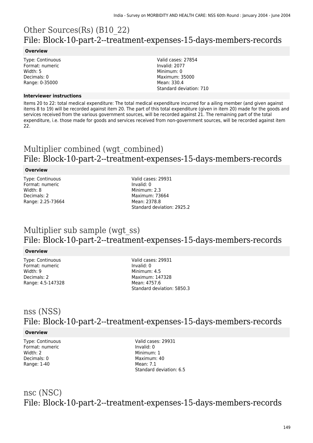# Other Sources(Rs) (B10\_22) File: Block-10-part-2--treatment-expenses-15-days-members-records

#### **Overview**

Type: Continuous Format: numeric Width: 5 Decimals: 0 Range: 0-35000

#### **Interviewer instructions**

Valid cases: 27854 Invalid: 2077 Minimum: 0 Maximum: 35000 Mean: 330.4 Standard deviation: 710

Items 20 to 22: total medical expenditure: The total medical expenditure incurred for a ailing member (and given against items 8 to 19) will be recorded against item 20. The part of this total expenditure (given in item 20) made for the goods and services received from the various government sources, will be recorded against 21. The remaining part of the total expenditure, i.e. those made for goods and services received from non-government sources, will be recorded against item 22.

### Multiplier combined (wgt\_combined) File: Block-10-part-2--treatment-expenses-15-days-members-records

#### **Overview**

Type: Continuous Format: numeric Width: 8 Decimals: 2 Range: 2.25-73664 Valid cases: 29931 Invalid: 0 Minimum: 2.3 Maximum: 73664 Mean: 2378.8 Standard deviation: 2925.2

### Multiplier sub sample (wgt\_ss) File: Block-10-part-2--treatment-expenses-15-days-members-records

#### **Overview**

Type: Continuous Format: numeric Width: 9 Decimals: 2 Range: 4.5-147328 Valid cases: 29931 Invalid: 0 Minimum: 4.5 Maximum: 147328 Mean: 4757.6 Standard deviation: 5850.3

### nss (NSS) File: Block-10-part-2--treatment-expenses-15-days-members-records

#### **Overview**

Type: Continuous Format: numeric Width: 2 Decimals: 0 Range: 1-40

Valid cases: 29931 Invalid: 0 Minimum: 1 Maximum: 40 Mean: 7.1 Standard deviation: 6.5

### nsc (NSC) File: Block-10-part-2--treatment-expenses-15-days-members-records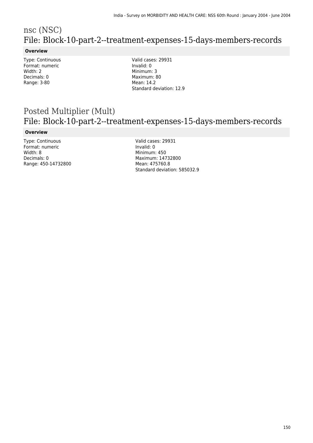## nsc (NSC) File: Block-10-part-2--treatment-expenses-15-days-members-records

#### **Overview**

Type: Continuous Format: numeric Width: 2 Decimals: 0 Range: 3-80

Valid cases: 29931 Invalid: 0 Minimum: 3 Maximum: 80 Mean: 14.2 Standard deviation: 12.9

# Posted Multiplier (Mult) File: Block-10-part-2--treatment-expenses-15-days-members-records

#### **Overview**

Type: Continuous Format: numeric Width: 8 Decimals: 0 Range: 450-14732800

Valid cases: 29931 Invalid: 0 Minimum: 450 Maximum: 14732800 Mean: 475760.8 Standard deviation: 585032.9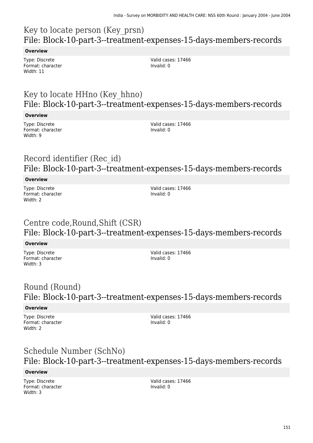# Key to locate person (Key\_prsn) File: Block-10-part-3--treatment-expenses-15-days-members-records

#### **Overview**

Type: Discrete Format: character Width: 11

Valid cases: 17466 Invalid: 0

### Key to locate HHno (Key\_hhno) File: Block-10-part-3--treatment-expenses-15-days-members-records

#### **Overview**

Type: Discrete Format: character Width: 9

Valid cases: 17466 Invalid: 0

### Record identifier (Rec\_id) File: Block-10-part-3--treatment-expenses-15-days-members-records

#### **Overview**

Type: Discrete Format: character Width: 2

Valid cases: 17466 Invalid: 0

### Centre code,Round,Shift (CSR) File: Block-10-part-3--treatment-expenses-15-days-members-records

#### **Overview**

Type: Discrete Format: character Width: 3

Valid cases: 17466 Invalid: 0

### Round (Round) File: Block-10-part-3--treatment-expenses-15-days-members-records

#### **Overview**

Type: Discrete Format: character Width: 2

Valid cases: 17466 Invalid: 0

### Schedule Number (SchNo) File: Block-10-part-3--treatment-expenses-15-days-members-records

#### **Overview**

Type: Discrete Format: character Width: 3

Valid cases: 17466 Invalid: 0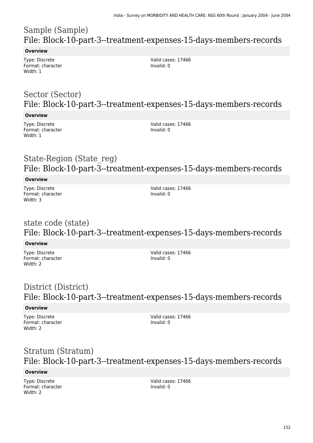# Sample (Sample) File: Block-10-part-3--treatment-expenses-15-days-members-records

#### **Overview**

Type: Discrete Format: character Width: 1

Valid cases: 17466 Invalid: 0

## Sector (Sector) File: Block-10-part-3--treatment-expenses-15-days-members-records

#### **Overview**

Type: Discrete Format: character Width: 1

Valid cases: 17466 Invalid: 0

### State-Region (State\_reg) File: Block-10-part-3--treatment-expenses-15-days-members-records

#### **Overview**

Type: Discrete Format: character Width: 3

Valid cases: 17466 Invalid: 0

### state code (state) File: Block-10-part-3--treatment-expenses-15-days-members-records

#### **Overview**

Type: Discrete Format: character Width: 2

Valid cases: 17466 Invalid: 0

### District (District) File: Block-10-part-3--treatment-expenses-15-days-members-records

#### **Overview**

Type: Discrete Format: character Width: 2

Valid cases: 17466 Invalid: 0

### Stratum (Stratum) File: Block-10-part-3--treatment-expenses-15-days-members-records

#### **Overview**

Type: Discrete Format: character Width: 2

Valid cases: 17466 Invalid: 0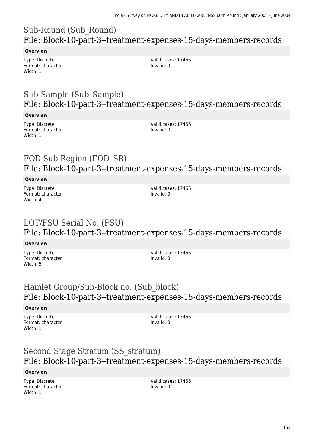# Sub-Round (Sub\_Round) File: Block-10-part-3--treatment-expenses-15-days-members-records

#### **Overview**

Type: Discrete Format: character Width: 1

Valid cases: 17466 Invalid: 0

### Sub-Sample (Sub\_Sample) File: Block-10-part-3--treatment-expenses-15-days-members-records

#### **Overview**

Type: Discrete Format: character Width: 1

Valid cases: 17466 Invalid: 0

### FOD Sub-Region (FOD\_SR) File: Block-10-part-3--treatment-expenses-15-days-members-records

#### **Overview**

Type: Discrete Format: character Width: 4

Valid cases: 17466 Invalid: 0

### LOT/FSU Serial No. (FSU) File: Block-10-part-3--treatment-expenses-15-days-members-records

#### **Overview**

Type: Discrete Format: character Width: 5

Valid cases: 17466 Invalid: 0

### Hamlet Group/Sub-Block no. (Sub\_block) File: Block-10-part-3--treatment-expenses-15-days-members-records

#### **Overview**

Type: Discrete Format: character Width: 1

Valid cases: 17466 Invalid: 0

### Second Stage Stratum (SS\_stratum) File: Block-10-part-3--treatment-expenses-15-days-members-records

#### **Overview**

Type: Discrete Format: character Width: 1

Valid cases: 17466 Invalid: 0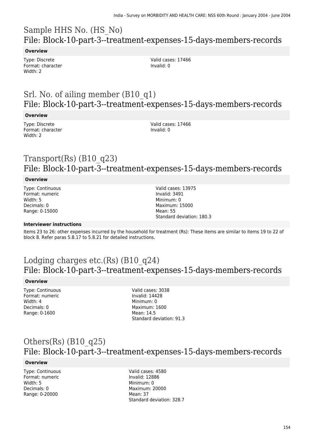# Sample HHS No. (HS\_No) File: Block-10-part-3--treatment-expenses-15-days-members-records

#### **Overview**

Type: Discrete Format: character Width: 2

Valid cases: 17466 Invalid: 0

### Srl. No. of ailing member (B10\_q1) File: Block-10-part-3--treatment-expenses-15-days-members-records

#### **Overview**

Type: Discrete Format: character Width: 2

Valid cases: 17466 Invalid: 0

### Transport(Rs) (B10\_q23) File: Block-10-part-3--treatment-expenses-15-days-members-records

#### **Overview**

Type: Continuous Format: numeric Width: 5 Decimals: 0 Range: 0-15000

Valid cases: 13975 Invalid: 3491 Minimum: 0 Maximum: 15000 Mean: 55 Standard deviation: 180.3

#### **Interviewer instructions**

Items 23 to 26: other expenses incurred by the household for treatment (Rs): These items are similar to items 19 to 22 of block 8. Refer paras 5.8.17 to 5.8.21 for detailed instructions.

### Lodging charges etc.(Rs) (B10\_q24) File: Block-10-part-3--treatment-expenses-15-days-members-records

#### **Overview**

| Type: Continuous |
|------------------|
| Format: numeric  |
| Width: 4         |
| Decimals: 0      |
| Range: 0-1600    |

Valid cases: 3038 Invalid: 14428 Minimum: 0 Maximum: 1600 Mean: 14.5 Standard deviation: 91.3

### Others $(Rs)$  (B10 q25) File: Block-10-part-3--treatment-expenses-15-days-members-records

#### **Overview**

Type: Continuous Format: numeric Width: 5 Decimals: 0 Range: 0-20000

Valid cases: 4580 Invalid: 12886 Minimum: 0 Maximum: 20000 Mean: 37 Standard deviation: 328.7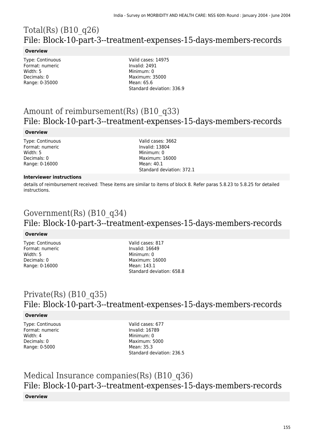# Total(Rs) (B10\_q26) File: Block-10-part-3--treatment-expenses-15-days-members-records

#### **Overview**

| Type: Continuous |
|------------------|
| Format: numeric  |
| Width: 5         |
| Decimals: 0      |
| Range: 0-35000   |

Valid cases: 14975 Invalid: 2491 Minimum: 0 Maximum: 35000 Mean: 65.6 Standard deviation: 336.9

# Amount of reimbursement (Rs) (B10\_q33) File: Block-10-part-3--treatment-expenses-15-days-members-records

#### **Overview**

Type: Continuous Format: numeric Width: 5 Decimals: 0 Range: 0-16000

Valid cases: 3662 Invalid: 13804 Minimum: 0 Maximum: 16000 Mean: 40.1 Standard deviation: 372.1

#### **Interviewer instructions**

details of reimbursement received: These items are similar to items of block 8. Refer paras 5.8.23 to 5.8.25 for detailed instructions.

### Government(Rs) (B10\_q34) File: Block-10-part-3--treatment-expenses-15-days-members-records

#### **Overview**

Type: Continuous Format: numeric Width: 5 Decimals: 0 Range: 0-16000

Valid cases: 817 Invalid: 16649 Minimum: 0 Maximum: 16000 Mean: 143.1 Standard deviation: 658.8

### Private(Rs) (B10\_q35) File: Block-10-part-3--treatment-expenses-15-days-members-records

#### **Overview**

Type: Continuous Format: numeric Width: 4 Decimals: 0 Range: 0-5000

Valid cases: 677 Invalid: 16789 Minimum: 0 Maximum: 5000 Mean: 35.3 Standard deviation: 236.5

# Medical Insurance companies(Rs) (B10\_q36) File: Block-10-part-3--treatment-expenses-15-days-members-records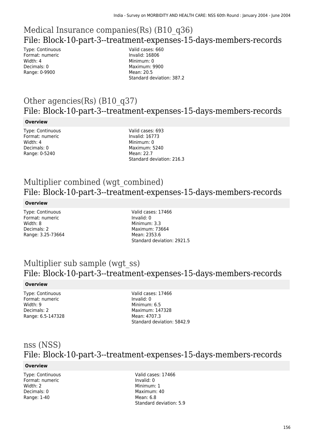## Medical Insurance companies(Rs) (B10\_q36) File: Block-10-part-3--treatment-expenses-15-days-members-records

Type: Continuous Format: numeric Width: 4 Decimals: 0 Range: 0-9900

Valid cases: 660 Invalid: 16806 Minimum: 0 Maximum: 9900 Mean: 20.5 Standard deviation: 387.2

### Other agencies(Rs) (B10\_q37) File: Block-10-part-3--treatment-expenses-15-days-members-records

#### **Overview**

Type: Continuous Format: numeric Width: 4 Decimals: 0 Range: 0-5240

Valid cases: 693 Invalid: 16773 Minimum: 0 Maximum: 5240 Mean: 22.7 Standard deviation: 216.3

### Multiplier combined (wgt\_combined) File: Block-10-part-3--treatment-expenses-15-days-members-records

#### **Overview**

Type: Continuous Format: numeric Width: 8 Decimals: 2 Range: 3.25-73664 Valid cases: 17466 Invalid: 0 Minimum: 3.3 Maximum: 73664 Mean: 2353.6 Standard deviation: 2921.5

### Multiplier sub sample (wgt\_ss) File: Block-10-part-3--treatment-expenses-15-days-members-records

#### **Overview**

Type: Continuous Format: numeric Width: 9 Decimals: 2 Range: 6.5-147328 Valid cases: 17466 Invalid: 0 Minimum: 6.5 Maximum: 147328 Mean: 4707.3 Standard deviation: 5842.9

### nss (NSS) File: Block-10-part-3--treatment-expenses-15-days-members-records

#### **Overview**

Type: Continuous Format: numeric Width: 2 Decimals: 0 Range: 1-40

Valid cases: 17466 Invalid: 0 Minimum: 1 Maximum: 40 Mean: 6.8 Standard deviation: 5.9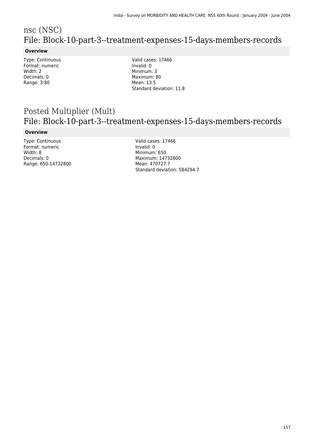# nsc (NSC) File: Block-10-part-3--treatment-expenses-15-days-members-records

#### **Overview**

Type: Continuous Format: numeric Width: 2 Decimals: 0 Range: 3-80

Valid cases: 17466 Invalid: 0 Minimum: 3 Maximum: 80 Mean: 13.5 Standard deviation: 11.8

# Posted Multiplier (Mult) File: Block-10-part-3--treatment-expenses-15-days-members-records

#### **Overview**

Type: Continuous Format: numeric Width: 8 Decimals: 0 Range: 650-14732800

Valid cases: 17466 Invalid: 0 Minimum: 650 Maximum: 14732800 Mean: 470727.7 Standard deviation: 584294.7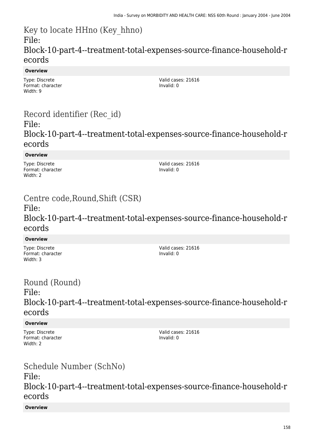### Key to locate HHno (Key\_hhno) File: Block-10-part-4--treatment-total-expenses-source-finance-household-r ecords

#### **Overview**

Type: Discrete Format: character Width: 9

Valid cases: 21616 Invalid: 0

### Record identifier (Rec\_id) File: Block-10-part-4--treatment-total-expenses-source-finance-household-r ecords

#### **Overview**

Type: Discrete Format: character Width: 2

Valid cases: 21616 Invalid: 0

### Centre code,Round,Shift (CSR)

### File:

Block-10-part-4--treatment-total-expenses-source-finance-household-r ecords

#### **Overview**

Type: Discrete Format: character Width: 3

Valid cases: 21616 Invalid: 0

# Round (Round) File: Block-10-part-4--treatment-total-expenses-source-finance-household-r ecords

#### **Overview**

Type: Discrete Format: character Width: 2

Valid cases: 21616 Invalid: 0

# Schedule Number (SchNo) File: Block-10-part-4--treatment-total-expenses-source-finance-household-r ecords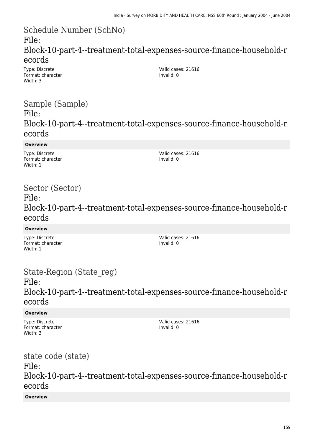### Schedule Number (SchNo) File: Block-10-part-4--treatment-total-expenses-source-finance-household-r ecords

Type: Discrete Format: character Width: 3

Valid cases: 21616 Invalid: 0

### Sample (Sample) File: Block-10-part-4--treatment-total-expenses-source-finance-household-r ecords

### **Overview**

Type: Discrete Format: character Width: 1

Valid cases: 21616 Invalid: 0

# Sector (Sector)

### File: Block-10-part-4--treatment-total-expenses-source-finance-household-r ecords

### **Overview**

Type: Discrete Format: character Width: 1

Valid cases: 21616 Invalid: 0

### State-Region (State\_reg) File: Block-10-part-4--treatment-total-expenses-source-finance-household-r ecords

#### **Overview**

Type: Discrete Format: character Width: 3

Valid cases: 21616 Invalid: 0

state code (state) File: Block-10-part-4--treatment-total-expenses-source-finance-household-r ecords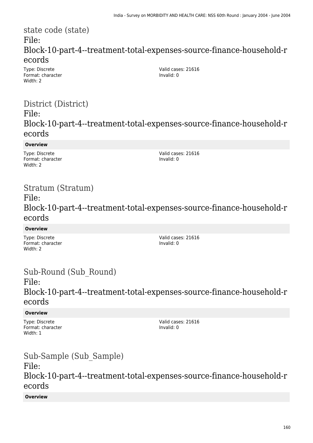### state code (state) File: Block-10-part-4--treatment-total-expenses-source-finance-household-r ecords

Type: Discrete Format: character Width: 2

Valid cases: 21616 Invalid: 0

### District (District) File: Block-10-part-4--treatment-total-expenses-source-finance-household-r ecords

#### **Overview**

Type: Discrete Format: character Width: 2

Valid cases: 21616 Invalid: 0

### Stratum (Stratum) File:

Block-10-part-4--treatment-total-expenses-source-finance-household-r ecords

### **Overview**

Type: Discrete Format: character Width: 2

Valid cases: 21616 Invalid: 0

### Sub-Round (Sub\_Round) File: Block-10-part-4--treatment-total-expenses-source-finance-household-r ecords

#### **Overview**

Type: Discrete Format: character Width: 1

Valid cases: 21616 Invalid: 0

# Sub-Sample (Sub\_Sample) File: Block-10-part-4--treatment-total-expenses-source-finance-household-r ecords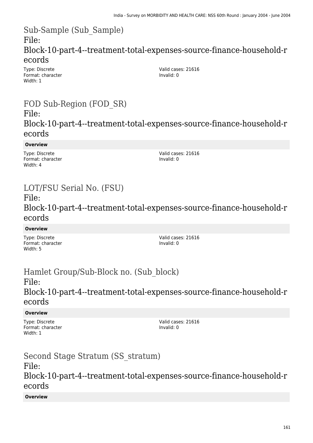## Sub-Sample (Sub\_Sample) File: Block-10-part-4--treatment-total-expenses-source-finance-household-r ecords

Type: Discrete Format: character Width: 1

Valid cases: 21616 Invalid: 0

### FOD Sub-Region (FOD\_SR) File: Block-10-part-4--treatment-total-expenses-source-finance-household-r ecords

### **Overview**

Type: Discrete Format: character Width: 4

Valid cases: 21616 Invalid: 0

# LOT/FSU Serial No. (FSU)

### File: Block-10-part-4--treatment-total-expenses-source-finance-household-r ecords

### **Overview**

Type: Discrete Format: character Width: 5

Valid cases: 21616 Invalid: 0

### Hamlet Group/Sub-Block no. (Sub\_block) File: Block-10-part-4--treatment-total-expenses-source-finance-household-r ecords

#### **Overview**

Type: Discrete Format: character Width: 1

Valid cases: 21616 Invalid: 0

Second Stage Stratum (SS\_stratum) File: Block-10-part-4--treatment-total-expenses-source-finance-household-r ecords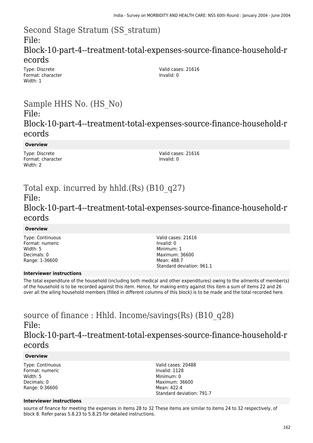### Second Stage Stratum (SS\_stratum) File: Block-10-part-4--treatment-total-expenses-source-finance-household-r ecords

Type: Discrete Format: character Width: 1

Valid cases: 21616 Invalid: 0

### Sample HHS No. (HS\_No) File: Block-10-part-4--treatment-total-expenses-source-finance-household-r ecords

#### **Overview**

Type: Discrete Format: character Width: 2

Valid cases: 21616 Invalid: 0

### Total exp. incurred by hhld.(Rs) (B10\_q27) File:

### Block-10-part-4--treatment-total-expenses-source-finance-household-r ecords

#### **Overview**

Type: Continuous Format: numeric Width: 5 Decimals: 0 Range: 1-36600

Valid cases: 21616 Invalid: 0 Minimum: 1 Maximum: 36600 Mean: 488.7 Standard deviation: 961.1

#### **Interviewer instructions**

The total expenditure of the household (including both medical and other expenditures) owing to the ailments of member(s) of the household is to be recorded against this item. Hence, for making entry against this item a sum of items 22 and 26 over all the ailing household members (filled in different columns of this block) is to be made and the total recorded here.

### source of finance : Hhld. Income/savings(Rs) (B10\_q28) File: Block-10-part-4--treatment-total-expenses-source-finance-household-r ecords

#### **Overview**

Type: Continuous Format: numeric Width: 5 Decimals: 0 Range: 0-36600

#### **Interviewer instructions**

Valid cases: 20488 Invalid: 1128 Minimum: 0 Maximum: 36600 Mean: 422.4 Standard deviation: 791.7

source of finance for meeting the expenses in items 28 to 32 These items are similar to items 24 to 32 respectively, of block 8. Refer paras 5.8.23 to 5.8.25 for detailed instructions.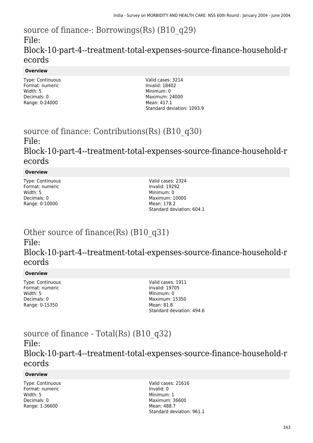# source of finance-: Borrowings(Rs) (B10\_q29) File: Block-10-part-4--treatment-total-expenses-source-finance-household-r ecords

#### **Overview**

Type: Continuous Format: numeric Width: 5 Decimals: 0 Range: 0-24000

Valid cases: 3214 Invalid: 18402 Minimum: 0 Maximum: 24000 Mean: 417.1 Standard deviation: 1093.9

### source of finance: Contributions(Rs) (B10\_q30) File: Block-10-part-4--treatment-total-expenses-source-finance-household-r ecords

#### **Overview**

Type: Continuous Format: numeric Width: 5 Decimals: 0 Range: 0-10000

Valid cases: 2324 Invalid: 19292 Minimum: 0 Maximum: 10000 Mean: 178.2 Standard deviation: 604.1

# Other source of finance(Rs) (B10\_q31)

### File:

Block-10-part-4--treatment-total-expenses-source-finance-household-r ecords

### **Overview**

Type: Continuous Format: numeric Width: 5 Decimals: 0 Range: 0-15350

Valid cases: 1911 Invalid: 19705 Minimum: 0 Maximum: 15350 Mean: 81.8 Standard deviation: 494.6

source of finance - Total(Rs) (B10\_q32)

# File:

Block-10-part-4--treatment-total-expenses-source-finance-household-r ecords

#### **Overview**

Type: Continuous Format: numeric Width: 5 Decimals: 0 Range: 1-36600

Valid cases: 21616 Invalid: 0 Minimum: 1 Maximum: 36600 Mean: 488.7 Standard deviation: 961.1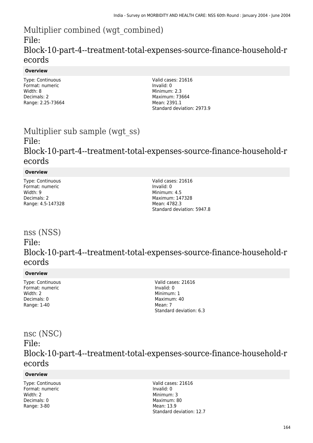### Multiplier combined (wgt\_combined) File: Block-10-part-4--treatment-total-expenses-source-finance-household-r ecords

#### **Overview**

Type: Continuous Format: numeric Width: 8 Decimals: 2 Range: 2.25-73664 Valid cases: 21616 Invalid: 0 Minimum: 2.3 Maximum: 73664 Mean: 2391.1 Standard deviation: 2973.9

### Multiplier sub sample (wgt\_ss) File: Block-10-part-4--treatment-total-expenses-source-finance-household-r ecords

#### **Overview**

| Type: Continuous  | Valid cases: 21616         |
|-------------------|----------------------------|
| Format: numeric   | Invalid: 0                 |
| Width: 9          | Minimum: 4.5               |
| Decimals: 2       | Maximum: 147328            |
| Range: 4.5-147328 | Mean: 4782.3               |
|                   | Standard deviation: 5947.8 |
|                   |                            |

### nss (NSS)

# File: Block-10-part-4--treatment-total-expenses-source-finance-household-r ecords

### **Overview**

| Type: Continuous |
|------------------|
| Format: numeric  |
| Width: 2         |
| Decimals: 0      |
| Range: 1-40      |

Valid cases: 21616 Invalid: 0 Minimum: 1 Maximum: 40 Mean: 7 Standard deviation: 6.3

### nsc (NSC) File: Block-10-part-4--treatment-total-expenses-source-finance-household-r ecords

#### **Overview**

Type: Continuous Format: numeric Width: 2 Decimals: 0 Range: 3-80

Valid cases: 21616 Invalid: 0 Minimum: 3 Maximum: 80 Mean: 13.9 Standard deviation: 12.7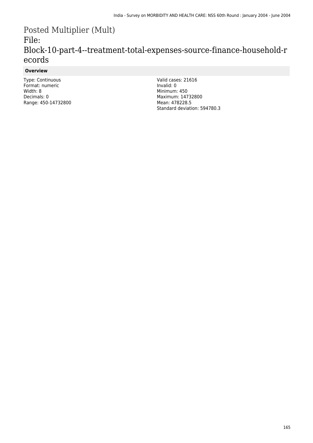### Posted Multiplier (Mult) File: Block-10-part-4--treatment-total-expenses-source-finance-household-r ecords

#### **Overview**

Type: Continuous Format: numeric Width: 8 Decimals: 0 Range: 450-14732800 Valid cases: 21616 Invalid: 0 Minimum: 450 Maximum: 14732800 Mean: 478228.5 Standard deviation: 594780.3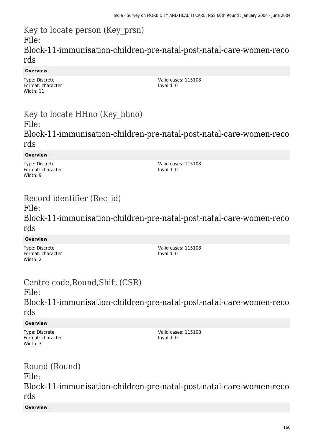### Key to locate person (Key\_prsn) File: Block-11-immunisation-children-pre-natal-post-natal-care-women-reco rds

### **Overview**

Type: Discrete Format: character Width: 11

Valid cases: 115108 Invalid: 0

### Key to locate HHno (Key\_hhno) File: Block-11-immunisation-children-pre-natal-post-natal-care-women-reco rds

#### **Overview**

Type: Discrete Format: character Width: 9

Valid cases: 115108 Invalid: 0

### Record identifier (Rec\_id)

### File: Block-11-immunisation-children-pre-natal-post-natal-care-women-reco rds

#### **Overview**

Type: Discrete Format: character Width: 2

Valid cases: 115108 Invalid: 0

### Centre code,Round,Shift (CSR) File: Block-11-immunisation-children-pre-natal-post-natal-care-women-reco rds

### **Overview**

Type: Discrete Format: character Width: 3

Valid cases: 115108 Invalid: 0

| Round (Round)                                                              |
|----------------------------------------------------------------------------|
| File:                                                                      |
| Block-11-immunisation-children-pre-natal-post-natal-care-women-reco<br>rds |
| <b>Overview</b>                                                            |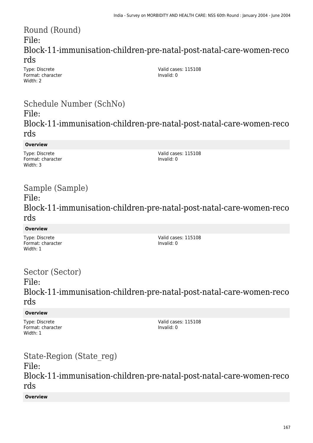### Round (Round) File: Block-11-immunisation-children-pre-natal-post-natal-care-women-reco rds

Type: Discrete Format: character Width: 2

Valid cases: 115108 Invalid: 0

### Schedule Number (SchNo) File: Block-11-immunisation-children-pre-natal-post-natal-care-women-reco rds

### **Overview**

Type: Discrete Format: character Width: 3

Valid cases: 115108 Invalid: 0

## Sample (Sample) File:

Block-11-immunisation-children-pre-natal-post-natal-care-women-reco rds

### **Overview**

Type: Discrete Format: character Width: 1

Valid cases: 115108 Invalid: 0

### Sector (Sector) File: Block-11-immunisation-children-pre-natal-post-natal-care-women-reco rds

#### **Overview**

Type: Discrete Format: character Width: 1

Valid cases: 115108 Invalid: 0

State-Region (State\_reg) File: Block-11-immunisation-children-pre-natal-post-natal-care-women-reco rds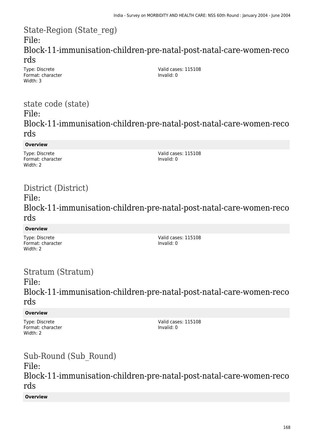### State-Region (State\_reg) File: Block-11-immunisation-children-pre-natal-post-natal-care-women-reco rds

Type: Discrete Format: character Width: 3

Valid cases: 115108 Invalid: 0

### state code (state) File: Block-11-immunisation-children-pre-natal-post-natal-care-women-reco rds

### **Overview**

Type: Discrete Format: character Width: 2

Valid cases: 115108 Invalid: 0

# District (District)

File: Block-11-immunisation-children-pre-natal-post-natal-care-women-reco rds

### **Overview**

Type: Discrete Format: character Width: 2

Valid cases: 115108 Invalid: 0

### Stratum (Stratum) File: Block-11-immunisation-children-pre-natal-post-natal-care-women-reco rds

#### **Overview**

Type: Discrete Format: character Width: 2

Valid cases: 115108 Invalid: 0

Sub-Round (Sub\_Round) File: Block-11-immunisation-children-pre-natal-post-natal-care-women-reco rds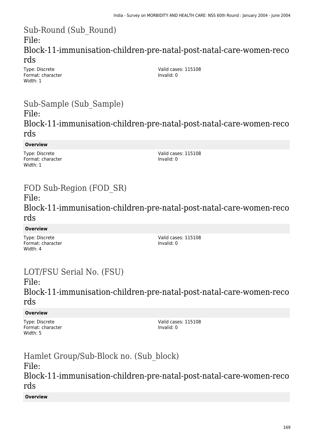### Sub-Round (Sub\_Round) File: Block-11-immunisation-children-pre-natal-post-natal-care-women-reco rds

Type: Discrete Format: character Width: 1

Valid cases: 115108 Invalid: 0

### Sub-Sample (Sub\_Sample) File: Block-11-immunisation-children-pre-natal-post-natal-care-women-reco rds

### **Overview**

Type: Discrete Format: character Width: 1

Valid cases: 115108 Invalid: 0

### FOD Sub-Region (FOD\_SR)

File: Block-11-immunisation-children-pre-natal-post-natal-care-women-reco rds

### **Overview**

Type: Discrete Format: character Width: 4

Valid cases: 115108 Invalid: 0

### LOT/FSU Serial No. (FSU) File: Block-11-immunisation-children-pre-natal-post-natal-care-women-reco rds

### **Overview**

Type: Discrete Format: character Width: 5

Valid cases: 115108 Invalid: 0

Hamlet Group/Sub-Block no. (Sub\_block) File: Block-11-immunisation-children-pre-natal-post-natal-care-women-reco rds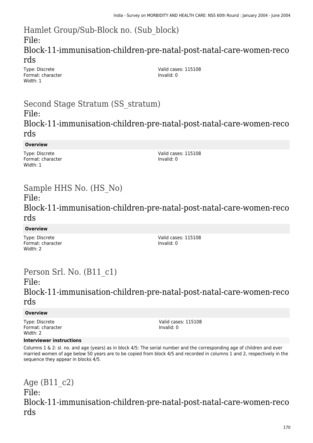### Hamlet Group/Sub-Block no. (Sub\_block) File: Block-11-immunisation-children-pre-natal-post-natal-care-women-reco rds

Type: Discrete Format: character Width: 1

Valid cases: 115108 Invalid: 0

### Second Stage Stratum (SS\_stratum) File: Block-11-immunisation-children-pre-natal-post-natal-care-women-reco rds

#### **Overview**

Type: Discrete Format: character Width: 1

Valid cases: 115108 Invalid: 0

### Sample HHS No. (HS\_No) File:

Block-11-immunisation-children-pre-natal-post-natal-care-women-reco rds

#### **Overview**

Type: Discrete Format: character Width: 2

Valid cases: 115108 Invalid: 0

### Person Srl. No. (B11\_c1) File: Block-11-immunisation-children-pre-natal-post-natal-care-women-reco rds

#### **Overview**

Type: Discrete Format: character Width: 2

Valid cases: 115108 Invalid: 0

#### **Interviewer instructions**

Columns 1 & 2: sl. no. and age (years) as in block 4/5: The serial number and the corresponding age of children and ever married women of age below 50 years are to be copied from block 4/5 and recorded in columns 1 and 2, respectively in the sequence they appear in blocks 4/5.

Age (B11\_c2) File: Block-11-immunisation-children-pre-natal-post-natal-care-women-reco rds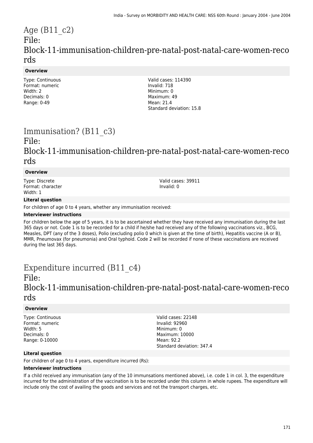### Age (B11\_c2) File: Block-11-immunisation-children-pre-natal-post-natal-care-women-reco rds

#### **Overview**

Type: Continuous Format: numeric Width: 2 Decimals: 0 Range: 0-49

Valid cases: 114390 Invalid: 718 Minimum: 0 Maximum: 49 Mean: 21.4 Standard deviation: 15.8

### Immunisation? (B11\_c3) File: Block-11-immunisation-children-pre-natal-post-natal-care-women-reco rds

#### **Overview**

Type: Discrete Format: character Width: 1

Valid cases: 39911 Invalid: 0

#### **Literal question**

For children of age 0 to 4 years, whether any immunisation received:

#### **Interviewer instructions**

For children below the age of 5 years, it is to be ascertained whether they have received any immunisation during the last 365 days or not. Code 1 is to be recorded for a child if he/she had received any of the following vaccinations viz., BCG, Measles, DPT (any of the 3 doses), Polio (excluding polio 0 which is given at the time of birth), Hepatitis vaccine (A or B), MMR, Pneumovax (for pneumonia) and Oral typhoid. Code 2 will be recorded if none of these vaccinations are received during the last 365 days.

### Expenditure incurred (B11\_c4) File:

### Block-11-immunisation-children-pre-natal-post-natal-care-women-reco rds

#### **Overview**

Type: Continuous Format: numeric Width: 5 Decimals: 0 Range: 0-10000

Valid cases: 22148 Invalid: 92960 Minimum: 0 Maximum: 10000  $M$ ean: 92.2 Standard deviation: 347.4

#### **Literal question**

For children of age 0 to 4 years, expenditure incurred (Rs):

#### **Interviewer instructions**

If a child received any immunisation (any of the 10 immunsations mentioned above), i.e. code 1 in col. 3, the expenditure incurred for the administration of the vaccination is to be recorded under this column in whole rupees. The expenditure will include only the cost of availing the goods and services and not the transport charges, etc.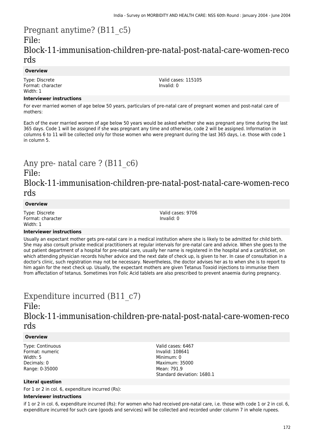## Pregnant anytime? (B11\_c5) File: Block-11-immunisation-children-pre-natal-post-natal-care-women-reco rds

#### **Overview**

Type: Discrete Format: character Width: 1

**Interviewer instructions**

For ever married women of age below 50 years, particulars of pre-natal care of pregnant women and post-natal care of mothers:

Each of the ever married women of age below 50 years would be asked whether she was pregnant any time during the last 365 days. Code 1 will be assigned if she was pregnant any time and otherwise, code 2 will be assigned. Information in columns 6 to 11 will be collected only for those women who were pregnant during the last 365 days, i.e. those with code 1 in column 5.

### Any pre- natal care ? (B11\_c6) File: Block-11-immunisation-children-pre-natal-post-natal-care-women-reco rds

#### **Overview**

Type: Discrete Format: character Width: 1

Valid cases: 9706 Invalid: 0

Valid cases: 115105

Invalid: 0

#### **Interviewer instructions**

Usually an expectant mother gets pre-natal care in a medical institution where she is likely to be admitted for child birth. She may also consult private medical practitioners at regular intervals for pre-natal care and advice. When she goes to the out patient department of a hospital for pre-natal care, usually her name is registered in the hospital and a card/ticket, on which attending physician records his/her advice and the next date of check up, is given to her. In case of consultation in a doctor's clinic, such registration may not be necessary. Nevertheless, the doctor advises her as to when she is to report to him again for the next check up. Usually, the expectant mothers are given Tetanus Toxoid injections to immunise them from affectation of tetanus. Sometimes Iron Folic Acid tablets are also prescribed to prevent anaemia during pregnancy.

### Expenditure incurred (B11\_c7) File: Block-11-immunisation-children-pre-natal-post-natal-care-women-reco rds

Valid cases: 6467 Invalid: 108641 Minimum: 0 Maximum: 35000 Mean: 791.9

Standard deviation: 1680.1

#### **Overview**

Type: Continuous Format: numeric Width: 5 Decimals: 0 Range: 0-35000

#### **Literal question**

For 1 or 2 in col. 6, expenditure incurred (Rs):

#### **Interviewer instructions**

if 1 or 2 in col. 6, expenditure incurred (Rs): For women who had received pre-natal care, i.e. those with code 1 or 2 in col. 6, expenditure incurred for such care (goods and services) will be collected and recorded under column 7 in whole rupees.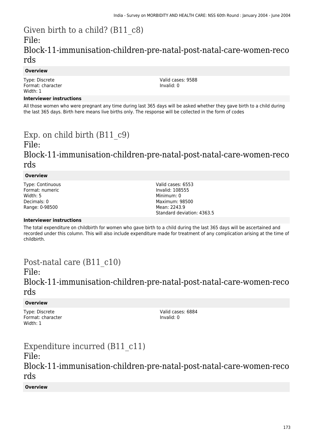# Given birth to a child? (B11\_c8) File: Block-11-immunisation-children-pre-natal-post-natal-care-women-reco rds

Valid cases: 9588 Invalid: 0

#### **Overview**

Type: Discrete Format: character Width: 1

**Interviewer instructions**

All those women who were pregnant any time during last 365 days will be asked whether they gave birth to a child during the last 365 days. Birth here means live births only. The response will be collected in the form of codes

# Exp. on child birth (B11\_c9) File: Block-11-immunisation-children-pre-natal-post-natal-care-women-reco rds

#### **Overview**

Type: Continuous Format: numeric Width: 5 Decimals: 0 Range: 0-98500

Valid cases: 6553 Invalid: 108555 Minimum: 0 Maximum: 98500 Mean: 2243.9 Standard deviation: 4363.5

#### **Interviewer instructions**

The total expenditure on childbirth for women who gave birth to a child during the last 365 days will be ascertained and recorded under this column. This will also include expenditure made for treatment of any complication arising at the time of childbirth.

### Post-natal care (B11\_c10) File: Block-11-immunisation-children-pre-natal-post-natal-care-women-reco rds

#### **Overview**

Type: Discrete Format: character Width: 1

Valid cases: 6884 Invalid: 0

### Expenditure incurred (B11 c11) File: Block-11-immunisation-children-pre-natal-post-natal-care-women-reco rds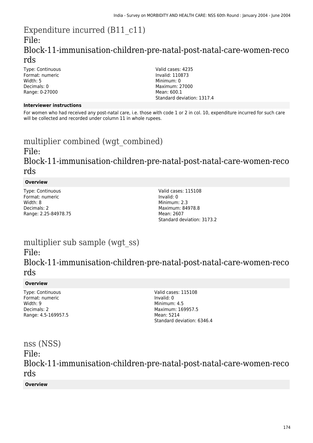# Expenditure incurred (B11 c11) File: Block-11-immunisation-children-pre-natal-post-natal-care-women-reco rds

Type: Continuous Format: numeric Width: 5 Decimals: 0 Range: 0-27000

#### **Interviewer instructions**

Valid cases: 4235 Invalid: 110873 Minimum: 0 Maximum: 27000 Mean: 600.1 Standard deviation: 1317.4

For women who had received any post-natal care, i.e. those with code 1 or 2 in col. 10, expenditure incurred for such care will be collected and recorded under column 11 in whole rupees.

### multiplier combined (wgt\_combined) File: Block-11-immunisation-children-pre-natal-post-natal-care-women-reco rds

#### **Overview**

Type: Continuous Format: numeric Width: 8 Decimals: 2 Range: 2.25-84978.75 Valid cases: 115108 Invalid: 0 Minimum: 2.3 Maximum: 84978.8 Mean: 2607 Standard deviation: 3173.2

### multiplier sub sample (wgt\_ss) File: Block-11-immunisation-children-pre-natal-post-natal-care-women-reco rds

#### **Overview**

Type: Continuous Format: numeric Width: 9 Decimals: 2 Range: 4.5-169957.5

Valid cases: 115108 Invalid: 0 Minimum: 4.5 Maximum: 169957.5 Mean: 5214 Standard deviation: 6346.4

nss (NSS) File: Block-11-immunisation-children-pre-natal-post-natal-care-women-reco rds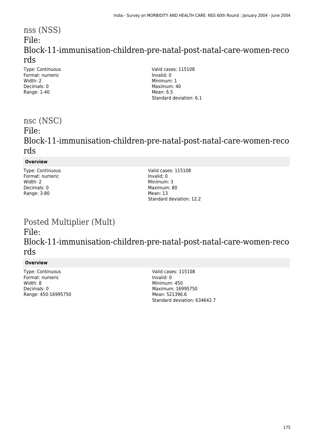### nss (NSS) File: Block-11-immunisation-children-pre-natal-post-natal-care-women-reco rds

Type: Continuous Format: numeric Width: 2 Decimals: 0 Range: 1-40

Valid cases: 115108 Invalid: 0 Minimum: 1 Maximum: 40 Mean: 6.5 Standard deviation: 6.1

### nsc (NSC) File: Block-11-immunisation-children-pre-natal-post-natal-care-women-reco rds

#### **Overview**

Type: Continuous Format: numeric Width: 2 Decimals: 0 Range: 3-80

Valid cases: 115108 Invalid: 0 Minimum: 3 Maximum: 80 Mean: 13 Standard deviation: 12.2

### Posted Multiplier (Mult) File: Block-11-immunisation-children-pre-natal-post-natal-care-women-reco

### rds

### **Overview**

Type: Continuous Format: numeric Width: 8 Decimals: 0 Range: 450-16995750 Valid cases: 115108 Invalid: 0 Minimum: 450 Maximum: 16995750 Mean: 521396.6 Standard deviation: 634642.7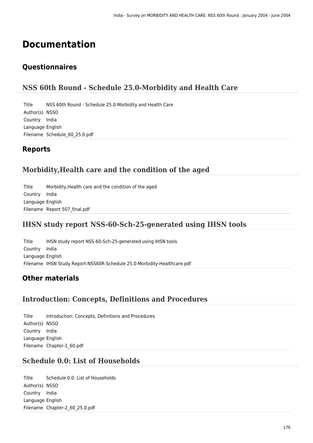# **Documentation**

### **Questionnaires**

### **NSS 60th Round - Schedule 25.0-Morbidity and Health Care**

Title NSS 60th Round - Schedule 25.0-Morbidity and Health Care Author(s) NSSO Country India Language English Filename Schedule 60 25.0.pdf

### **Reports**

### **Morbidity,Health care and the condition of the aged**

Title Morbidity,Health care and the condition of the aged Country India Language English Filename Report 507 final.pdf

### **IHSN study report NSS-60-Sch-25-generated using IHSN tools**

Title IHSN study report NSS-60-Sch-25-generated using IHSN tools Country India Language English Filename IHSN Study Report-NSS60R-Schedule 25.0-Morbidity-Healthcare.pdf

### **Other materials**

### **Introduction: Concepts, Definitions and Procedures**

Title Introduction: Concepts, Definitions and Procedures Author(s) NSSO Country India Language English Filename Chapter-1\_60.pdf

### **Schedule 0.0: List of Households**

Title Schedule 0.0: List of Households Author(s) NSSO Country India Language English Filename Chapter-2\_60\_25.0.pdf